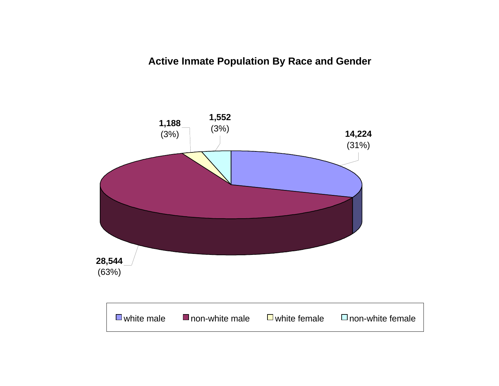# **Active Inmate Population By Race and Gender**

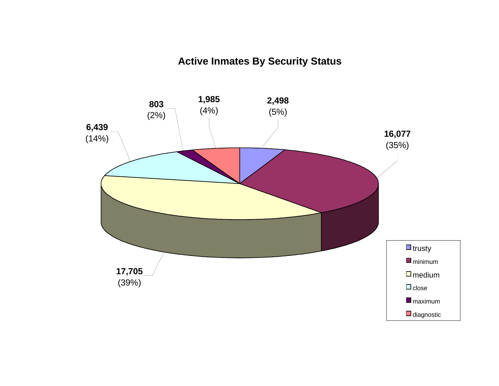# **Active Inmates By Security Status**

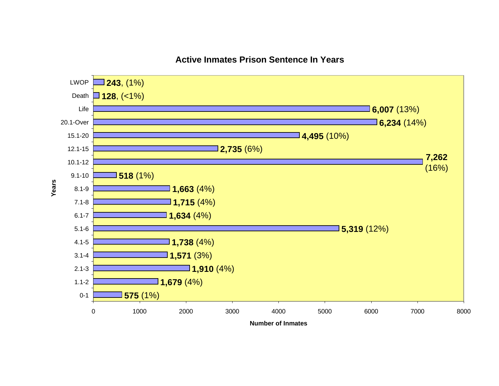

# **Active Inmates Prison Sentence In Years**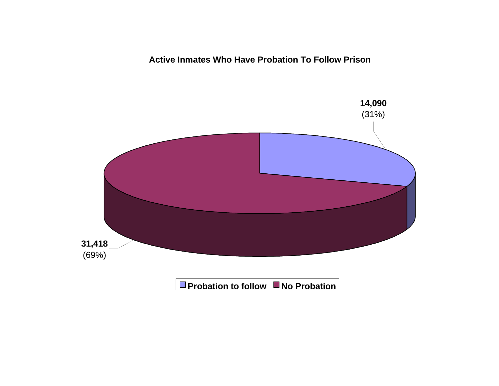**Active Inmates Who Have Probation To Follow Prison**

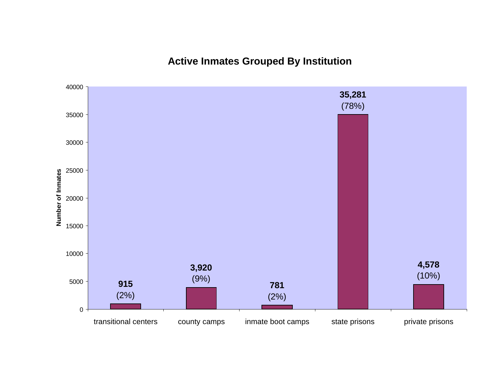**Active Inmates Grouped By Institution**

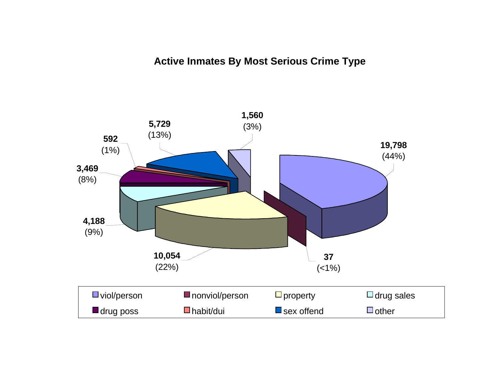# **Active Inmates By Most Serious Crime Type**

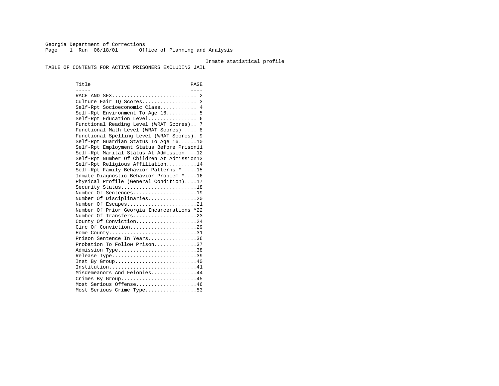Georgia Department of Corrections Page 1 Run 06/18/01 Office of Planning and Analysis

#### Inmate statistical profile

TABLE OF CONTENTS FOR ACTIVE PRISONERS EXCLUDING JAIL

Title PAGE ----- ---- RACE AND SEX............................ 2 Culture Fair IQ Scores.................. 3 Self-Rpt Socioeconomic Class............ 4 Self-Rpt Environment To Age 16.......... 5 Self-Rpt Education Level................ 6 Functional Reading Level (WRAT Scores).. 7 Functional Math Level (WRAT Scores)..... 8 Functional Spelling Level (WRAT Scores). 9 Self-Rpt Guardian Status To Age 16......10 Self-Rpt Employment Status Before Prison11 Self-Rpt Marital Status At Admission....12 Self-Rpt Number Of Children At Admission13 Self-Rpt Religious Affiliation..........14 Self-Rpt Family Behavior Patterns \*.....15 Inmate Diagnostic Behavior Problem \*....16 Physical Profile (General Condition)....17 Security Status...........................18 Number Of Sentences.....................19 Number Of Disciplinaries................20 Number Of Escapes........................21 Number Of Prior Georgia Incarcerations \*22 Number Of Transfers.....................23 County Of Conviction....................24 Circ Of Conviction......................29 Home County.............................31 Prison Sentence In Years................36 Probation To Follow Prison..............37Admission Type.............................38 Release Type...............................39 Inst By Group.............................40 Institution................................41 Misdemeanors And Felonies...............44 Crimes By Group...........................45 Most Serious Offense....................46 Most Serious Crime Type.................53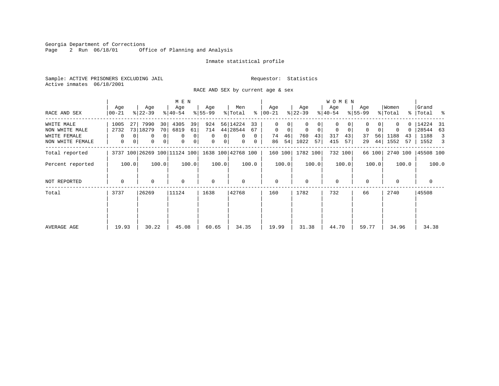Georgia Department of Corrections<br>Page 2 Run 06/18/01 0ff Office of Planning and Analysis

#### Inmate statistical profile

Sample: ACTIVE PRISONERS EXCLUDING JAIL **Requestor:** Statistics Active inmates 06/18/2001

RACE AND SEX by current age & sex

|                                                                  |                                                   |                                                                                             | M E N                                                        |                                                                                 |                                                                                       |                                                |                                                       | W O M E N                             |                                                  |                                               |                                                             |
|------------------------------------------------------------------|---------------------------------------------------|---------------------------------------------------------------------------------------------|--------------------------------------------------------------|---------------------------------------------------------------------------------|---------------------------------------------------------------------------------------|------------------------------------------------|-------------------------------------------------------|---------------------------------------|--------------------------------------------------|-----------------------------------------------|-------------------------------------------------------------|
| RACE AND SEX                                                     | Age<br>$00 - 21$                                  | Age<br>$ 22-39 $                                                                            | Age<br>$ 40-54 $                                             | Age<br>$8 55-99$                                                                | Men<br>% Total                                                                        | Age<br>$8   00 - 21$                           | Age<br>$ 22-39 $                                      | Age<br>$ 40-54 $                      | Age<br>$8 55-99$                                 | Women<br>% Total                              | Grand<br>%   Total %                                        |
| WHITE MALE<br>NON WHITE MALE<br>WHITE FEMALE<br>NON WHITE FEMALE | 1005<br>27<br>2732<br>$\mathbf 0$<br>$\mathbf{0}$ | 7990<br>30<br>73 18279<br>70 <br>0 <sup>1</sup><br>0<br>0 <sup>1</sup><br>$\mathbf{0}$<br>0 | 4305<br>39<br>6819<br>61<br>0<br>$\mathbf 0$<br>0<br>$\circ$ | 924<br>714<br>$\overline{0}$<br>0 <sup>1</sup><br>$\mathbf 0$<br>0 <sup>1</sup> | 56 14224<br>33<br>44 28544<br>67<br>$\Omega$<br>$\overline{0}$<br>$\overline{0}$<br>0 | 0<br>$\mathbf{0}$<br>0<br>46<br>74<br>54<br>86 | $\mathbf 0$<br>$\mathbf 0$<br>760<br>43<br>1022<br>57 | 0<br>0<br>0<br>317<br>43<br>415<br>57 | $\mathbf 0$<br>$\Omega$<br>56<br>37<br>44 <br>29 | $0-1$<br>$\Omega$<br>1188<br>43<br>1552<br>57 | 14224 31<br>28544<br>63<br>1188<br>$\overline{3}$<br>1552 3 |
| Total reported                                                   |                                                   | 3737 100 26269 100 11124 100                                                                |                                                              |                                                                                 | 1638 100 42768 100                                                                    | 160 100                                        | 1782 100                                              | 732 100                               | 66 100                                           | 2740 100                                      | 45508 100                                                   |
| Percent reported                                                 | 100.0                                             | 100.0                                                                                       | 100.0                                                        | 100.0                                                                           | 100.0                                                                                 | 100.0                                          | 100.0                                                 | 100.0                                 | 100.0                                            | 100.0                                         | 100.0                                                       |
| NOT REPORTED                                                     | $\Omega$                                          | $\Omega$                                                                                    | $\mathbf 0$                                                  | $\mathbf 0$                                                                     | $\Omega$                                                                              | $\mathbf{0}$                                   | $\Omega$                                              | $\Omega$                              | $\Omega$                                         | $\Omega$                                      | $\mathbf 0$                                                 |
| Total                                                            | 3737                                              | 26269                                                                                       | 11124                                                        | 1638                                                                            | 42768                                                                                 | 160                                            | 1782                                                  | 732                                   | 66                                               | 2740                                          | 45508                                                       |
| AVERAGE AGE                                                      | 19.93                                             | 30.22                                                                                       | 45.08                                                        | 60.65                                                                           | 34.35                                                                                 | 19.99                                          | 31.38                                                 | 44.70                                 | 59.77                                            | 34.96                                         | 34.38                                                       |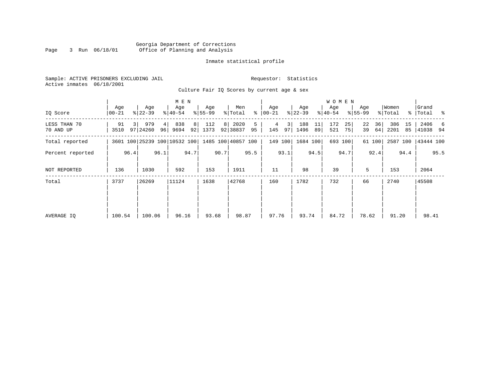#### Georgia Department of Corrections Page 3 Run 06/18/01 Office of Planning and Analysis

# Inmate statistical profile

|  | Sample: ACTIVE PRISONERS EXCLUDING JAIL |  |                                             |  |  | Requestor: Statistics |  |  |
|--|-----------------------------------------|--|---------------------------------------------|--|--|-----------------------|--|--|
|  | Active inmates 06/18/2001               |  |                                             |  |  |                       |  |  |
|  |                                         |  | Culture Fair IO Scores by current age & sex |  |  |                       |  |  |

| IQ Score                  | Age<br>00-21                 | Age<br>$ 22 - 39 $          | M E N<br>Age<br>$8 40-54$ | Age<br>$8 55-99$ | Men<br>% Total                                  | Age<br>$8   00 - 21$        | Age<br>$ 22-39 $        | <b>WOMEN</b><br>Age<br>$ 40-54 $ | Age<br>$8155 - 99$   | Women<br>% Total        | Grand<br>%   Total %  |
|---------------------------|------------------------------|-----------------------------|---------------------------|------------------|-------------------------------------------------|-----------------------------|-------------------------|----------------------------------|----------------------|-------------------------|-----------------------|
| LESS THAN 70<br>70 AND UP | 91<br>$\overline{3}$<br>3510 | 979<br>4 <br>97 24260<br>96 | 838<br>8<br>9694<br>92    | 112<br>8<br>1373 | 2020<br>5<br>92 38837<br>95                     | 3 <sup>1</sup><br>97<br>145 | 188<br>11<br>1496<br>89 | 172<br>25<br>521<br>75           | 36<br>22<br>64<br>39 | 386<br>15<br>2201<br>85 | 2406<br>6<br>41038 94 |
| Total reported            |                              |                             |                           |                  | 3601 100 25239 100 10532 100 1485 100 40857 100 | 149 100                     | 1684 100                | 693 100                          | 61 100               | 2587 100                | 43444 100             |
| Percent reported          | 96.4                         | 96.1                        | 94.7                      | 90.7             | 95.5                                            | 93.1                        | 94.5                    | 94.7                             | 92.4                 | 94.4                    | 95.5                  |
| NOT REPORTED              | 136                          | 1030                        | 592                       | 153              | 1911                                            | 11                          | 98                      | 39                               | 5                    | 153                     | 2064                  |
| Total                     | 3737                         | 26269                       | 11124                     | 1638             | 42768                                           | 160                         | 1782                    | 732                              | 66                   | 2740                    | 45508                 |
|                           |                              |                             |                           |                  |                                                 |                             |                         |                                  |                      |                         |                       |
|                           |                              |                             |                           |                  |                                                 |                             |                         |                                  |                      |                         |                       |
| AVERAGE IO                | 100.54                       | 100.06                      | 96.16                     | 93.68            | 98.87                                           | 97.76                       | 93.74                   | 84.72                            | 78.62                | 91.20                   | 98.41                 |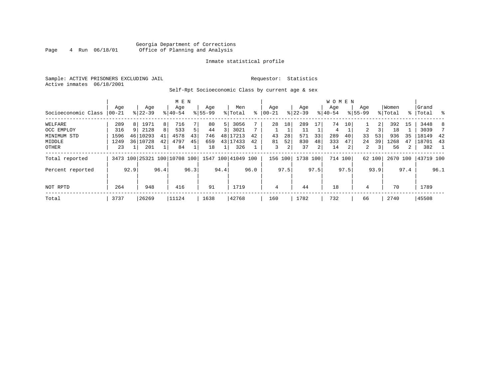### Georgia Department of Corrections<br>4 Run 06/18/01 Office of Planning and Analysis Page 4 Run 06/18/01 Office of Planning and Analysis

#### Inmate statistical profile

Sample: ACTIVE PRISONERS EXCLUDING JAIL **Requestor:** Statistics Active inmates 06/18/2001

# Self-Rpt Socioeconomic Class by current age & sex

|                     |                 |                 |                              |      | M E N            |      |                    |                |                    |      |                  |      |                    |      | <b>WOMEN</b>     |         |                    |        |                  |      |                    |                |
|---------------------|-----------------|-----------------|------------------------------|------|------------------|------|--------------------|----------------|--------------------|------|------------------|------|--------------------|------|------------------|---------|--------------------|--------|------------------|------|--------------------|----------------|
| Socioeconomic Class | Age<br>$ 00-21$ |                 | Age<br>$8 22-39$             |      | Age<br>$8 40-54$ |      | Age<br>$8155 - 99$ |                | Men<br>% Total     | ∻    | Aqe<br>$00 - 21$ |      | Age<br>$8$   22-39 |      | Aqe<br>$8 40-54$ |         | Age<br>$8155 - 99$ |        | Women<br>% Total |      | Grand<br>%   Total | း - မွ         |
| WELFARE             | 289             | 8 <sup>1</sup>  | 1971                         | 8    | 716              |      | 80                 | 5 <sup>1</sup> | 3056               |      | 28               | 18   | 289                | 17   | 74               | 10      |                    | 2      | 392              | 15   | 3448               | 8              |
| OCC EMPLOY          | 316             | $Q \mid$        | 2128                         | 8    | 533              | 5    | 44                 | 3 I            | 3021               |      |                  |      | 11                 |      | 4                |         | 2                  |        | 18               |      | 3039               |                |
| MINIMUM STD         | 1596            | 46              | 10293                        | 41   | 4578             | 43   | 746                |                | 48 17213           | 42   | 43               | 28   | 571                | 33   | 289              | 40      | 33                 | 53     | 936              | 35   | 18149              | 42             |
| MIDDLE              | 1249            | 36 <sup>1</sup> | 10728                        | 42   | 4797             | 45   | 659                |                | 43 17433           | 42   | 81               | 52   | 830                | 48   | 333              | 47      | 24                 | 39     | 1268             | 47   | 18701              | 43             |
| OTHER               | 23              |                 | 201                          |      | 84               |      | 18                 |                | 326                |      | 3                | 2    | 37                 | 2    | 14               | 2       | 2                  | 3      | 56               | 2    | 382                | $\overline{1}$ |
| Total reported      |                 |                 | 3473 100 25321 100 10708 100 |      |                  |      |                    |                | 1547 100 41049 100 |      | 156 100          |      | 1738 100           |      |                  | 714 100 |                    | 62 100 | 2670 100         |      | 43719 100          |                |
| Percent reported    |                 | 92.9            |                              | 96.4 |                  | 96.3 |                    | 94.4           |                    | 96.0 |                  | 97.5 |                    | 97.5 |                  | 97.5    |                    | 93.9   |                  | 97.4 |                    | 96.1           |
|                     |                 |                 |                              |      |                  |      |                    |                |                    |      |                  |      |                    |      |                  |         |                    |        |                  |      |                    |                |
| NOT RPTD            | 264             |                 | 948                          |      | 416              |      | 91                 |                | 1719               |      | 4                |      | 44                 |      | 18               |         | 4                  |        | 70               |      | 1789               |                |
| Total               | 3737            |                 | 26269                        |      | 11124            |      | 1638               |                | 42768              |      | 160              |      | 1782               |      | 732              |         | 66                 |        | 2740             |      | 45508              |                |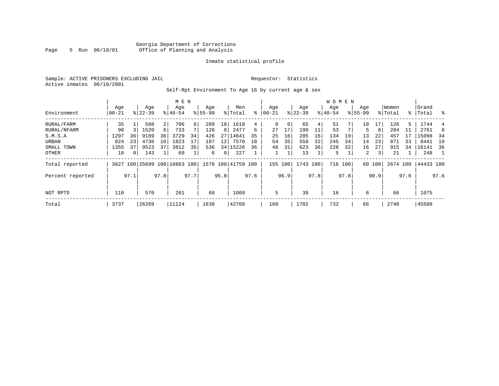### Georgia Department of Corrections Page 5 Run 06/18/01 Office of Planning and Analysis

#### Inmate statistical profile

Sample: ACTIVE PRISONERS EXCLUDING JAIL **Requestor:** Statistics Active inmates 06/18/2001

Self-Rpt Environment To Age 16 by current age & sex

|                  |                  |                |                  |                | M E N                   |      |                    |                 |                    |      |                  |      |                  |      | <b>WOMEN</b>    |      |                    |        |                  |      |                 |      |
|------------------|------------------|----------------|------------------|----------------|-------------------------|------|--------------------|-----------------|--------------------|------|------------------|------|------------------|------|-----------------|------|--------------------|--------|------------------|------|-----------------|------|
| Environment      | Age<br>$00 - 21$ |                | Age<br>$8 22-39$ |                | Age<br>$8 40-54$        |      | Age<br>$8155 - 99$ |                 | Men<br>% Total     | ⊱    | Age<br>$00 - 21$ |      | Age<br>$ 22-39 $ |      | Age<br>$ 40-54$ |      | Age<br>$8155 - 99$ |        | Women<br>% Total | ွေ   | Grand<br> Total | ႜ    |
| RURAL/FARM       | 35               |                | 588              | $\overline{2}$ | 706                     | 6    | 289                | 18 <sup>1</sup> | 1618               | 4    | 0                | 0    | 65               | 4    | 51              |      | 10                 | 17     | 126              | 5.   | 1744            |      |
| RURAL/NFARM      | 98               |                | 1520             | $6 \mid$       | 733                     |      | 126                | 8               | 2477               | 6    | 27               | 17   | 199              |      | 53              |      | 5                  | 8      | 284              | 11   | 2761            | 6    |
| S.M.S.A          | 1297             | 36             | 9189             | 36             | 3729                    | 34   | 426                | 27              | 14641              | 35   | 25               | 16   | 285              | 16   | 134             | 19   | 13                 | 22     | 457              |      | 15098           | 34   |
| URBAN            | 824              | 23             | 4736             | 18             | 1823                    |      | 187                | 12              | 7570               | 18   | 54               | 35   | 558              | 32   | 245             | 34   | 14                 | 23     | 871              | 33   | 8441            | 19   |
| SMALL TOWN       | 1355             | 37             | 9523             | 37             | 3812                    | 35   | 536                |                 | 34 15226           | 36   | 48               | 31   | 623              | 36   | 228             | 32   | 16                 | 27     | 915              | 34   | 16141           | 36   |
| OTHER            | 18               | 0 <sup>1</sup> | 143              |                | 60                      |      | 6                  | 0 <sup>1</sup>  | 227                |      |                  |      | 13               |      | 5               |      | 2                  | 3      | 21               |      | 248             |      |
| Total reported   | 3627             |                |                  |                | 100 25699 100 10863 100 |      |                    |                 | 1570 100 41759 100 |      | 155 100          |      | 1743 100         |      | 716 100         |      |                    | 60 100 | 2674 100         |      | 44433 100       |      |
| Percent reported |                  | 97.1           |                  | 97.8           |                         | 97.7 |                    | 95.8            |                    | 97.6 |                  | 96.9 |                  | 97.8 |                 | 97.8 |                    | 90.9   |                  | 97.6 |                 | 97.6 |
| NOT RPTD         | 110              |                | 570              |                | 261                     |      | 68                 |                 | 1009               |      | 5                |      | 39               |      | 16              |      | 6                  |        | 66               |      | 1075            |      |
| Total            | 3737             |                | 26269            |                | 11124                   |      | 1638               |                 | 42768              |      | 160              |      | 1782             |      | 732             |      | 66                 |        | 2740             |      | 45508           |      |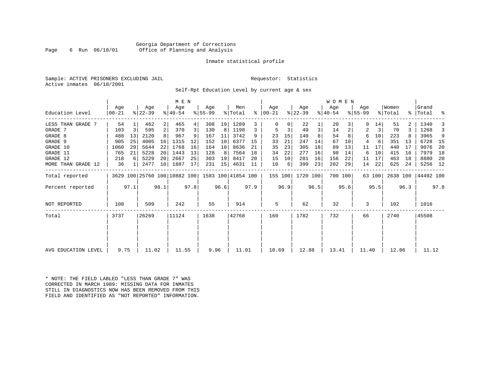#### Georgia Department of Corrections Page 6 Run 06/18/01 Office of Planning and Analysis

#### Inmate statistical profile

Sample: ACTIVE PRISONERS EXCLUDING JAIL **Requestor:** Statistics Active inmates 06/18/2001

Self-Rpt Education Level by current age & sex

|                     |                |                |                  |      | M E N                        |      |                  |      |                    |           |                |      |                  |      | W O M E N        |      |                  |        |                  |      |                    |      |
|---------------------|----------------|----------------|------------------|------|------------------------------|------|------------------|------|--------------------|-----------|----------------|------|------------------|------|------------------|------|------------------|--------|------------------|------|--------------------|------|
| Education Level     | Age<br>  00-21 |                | Age<br>$ 22-39 $ |      | Age<br>$8 40-54$             |      | Age<br>$8 55-99$ |      | Men<br>% Total     | $\approx$ | Age<br>  00-21 |      | Age<br>$ 22-39 $ |      | Age<br>$ 40-54 $ |      | Age<br>$8 55-99$ |        | Women<br>% Total |      | Grand<br>%   Total | း    |
| LESS THAN GRADE     | 54             |                | 462              | 2    | 465                          |      | 308              | 19   | 1289               |           |                |      | 22               |      | 20               |      |                  | 14     | 51               |      | 1340               | 3    |
| GRADE 7             | 103            | $\overline{3}$ | 595              | 2    | 370                          |      | 130              | 8    | 1198               |           |                |      | 49               | 3    | 14               | 2    | 2                | 3      | 70               |      | 1268               | 3    |
| GRADE 8             | 488            | 13             | 2120             | 8    | 967                          |      | 167              | 11   | 3742               | 9         | 23             | 15   | 140              |      | 54               |      | 6                | 10     | 223              |      | 3965               | 9    |
| GRADE 9             | 905            | 25             | 4005             | 16   | 1315                         | 12   | 152              | 10   | 6377               | 15        | 33             | 21   | 247              | 14   | 67               | 10   | 4                | -6     | 351              | 13   | 6728               | - 15 |
| GRADE 10            | 1060           | 29             | 5644             | 22   | 1768                         | 16   | 164              | 10   | 8636               | 21        | 35             | 23   | 305              | 18   | 89               | 13   | 11               | 17     | 440              | 17   | 9076               | 20   |
| GRADE 11            | 765            | 21             | 5228             | 20   | 1443                         | 13   | 128              | 8    | 7564               | 18        | 34             | 22   | 277              | 16   | 98               | 14   | 6                | 10     | 415              | 16   | 7979               | 18   |
| GRADE 12            | 218            | 6              | 5229             | 20   | 2667                         | 25   | 303              | 19   | 8417               | 20        | 15             | 10   | 281              | 16   | 156              | 22   | 11               | 17     | 463              | 18   | 8880               | -20  |
| MORE THAN GRADE 12  | 36             | $1\vert$       | 2477             | 10   | 1887                         | 17   | 231              | 15   | 4631               | -11       | 10             | 6    | 399              | 23   | 202              | 29   | 14               | 22     | 625              | 24   | 5256 12            |      |
| Total reported      |                |                |                  |      | 3629 100 25760 100 10882 100 |      |                  |      | 1583 100 41854 100 |           | 155 100        |      | 1720 100         |      | 700 100          |      |                  | 63 100 | 2638 100         |      | 44492 100          |      |
| Percent reported    |                | 97.1           |                  | 98.1 |                              | 97.8 |                  | 96.6 |                    | 97.9      |                | 96.9 |                  | 96.5 |                  | 95.6 |                  | 95.5   |                  | 96.3 |                    | 97.8 |
| NOT REPORTED        | 108            |                | 509              |      | 242                          |      | 55               |      | 914                |           | 5              |      | 62               |      | 32               |      | 3                |        | 102              |      | 1016               |      |
| Total               | 3737           |                | 26269            |      | 11124                        |      | 1638             |      | 42768              |           | 160            |      | 1782             |      | 732              |      | 66               |        | 2740             |      | 45508              |      |
|                     |                |                |                  |      |                              |      |                  |      |                    |           |                |      |                  |      |                  |      |                  |        |                  |      |                    |      |
|                     |                |                |                  |      |                              |      |                  |      |                    |           |                |      |                  |      |                  |      |                  |        |                  |      |                    |      |
| AVG EDUCATION LEVEL | 9.75           |                | 11.02            |      | 11.55                        |      | 9.96             |      | 11.01              |           | 10.69          |      | 12.88            |      | 13.41            |      | 11.40            |        | 12.86            |      | 11.12              |      |

\* NOTE: THE FIELD LABLED "LESS THAN GRADE 7" WAS CORRECTED IN MARCH 1989: MISSING DATA FOR INMATES STILL IN DIAGNOSTICS NOW HAS BEEN REMOVED FROM THIS FIELD AND IDENTIFIED AS "NOT REPORTED" INFORMATION.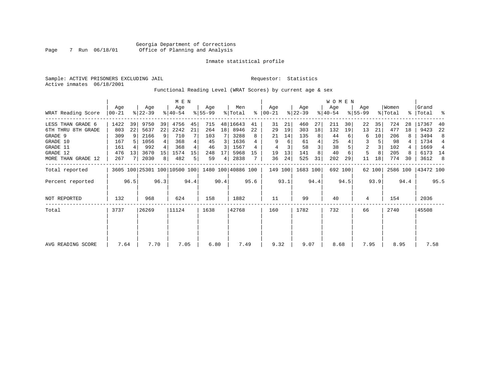Sample: ACTIVE PRISONERS EXCLUDING JAIL **Requestor:** Statistics Active inmates 06/18/2001

Functional Reading Level (WRAT Scores) by current age & sex

|                     |                |      |                              |                 | M E N            |      |                 |                 |                    |      |                    |      |                  |      | WOMEN            |         |                    |        |                  |      |                 |      |
|---------------------|----------------|------|------------------------------|-----------------|------------------|------|-----------------|-----------------|--------------------|------|--------------------|------|------------------|------|------------------|---------|--------------------|--------|------------------|------|-----------------|------|
| WRAT Reading Score  | Age<br>  00-21 |      | Age<br>$ 22-39 $             |                 | Age<br>$ 40-54 $ |      | Age<br>$ 55-99$ |                 | Men<br>% Total     | ႜ    | Age<br>$ 00 - 21 $ |      | Age<br>$ 22-39 $ |      | Age<br>$ 40-54 $ |         | Age<br>$8155 - 99$ |        | Women<br>% Total | ႜႂ   | Grand<br> Total | ႜ    |
| LESS THAN GRADE 6   | 1422           | 39   | 9750                         | 39              | 4756             | 45   | 715             |                 | 48 16643           | 41   | 31                 | 21   | 460              | 27   | 211              | 30      | 22                 | 35     | 724              | 28   | 17367           | 40   |
| 6TH THRU 8TH GRADE  | 803            | 22   | 5637                         | 22              | 2242             | 21   | 264             | 18 <sup>1</sup> | 8946               | 22   | 29                 | 19   | 303              | 18   | 132              | 19      | 13                 | 21     | 477              | 18   | 9423            | 22   |
| GRADE 9             | 309            | -9   | 2166                         | 9               | 710              |      | 103             |                 | 3288               | 8    | 21                 | 14   | 135              | 8    | 44               |         | 6                  | 10     | 206              |      | 3494            | 8    |
| GRADE 10            | 167            |      | 1056                         |                 | 368              |      | 45              | 3               | 1636               |      | 9                  | 6    | 61               |      | 25               |         | 3                  |        | 98               |      | 1734            | 4    |
| GRADE 11            | 161            |      | 992                          |                 | 368              |      | 46              | 3               | 1567               |      | 4                  |      | 58               |      | 38               |         | $\overline{2}$     |        | 102              |      | 1669            | 4    |
| GRADE 12            | 476            | 13   | 3670                         | 15 <sup>1</sup> | 1574             | 15   | 248             | 17              | 5968               | 15   | 19                 | 13   | 141              |      | 40               |         | 5                  | 8      | 205              | 8    | 6173 14         |      |
| MORE THAN GRADE 12  | 267            |      | 2030                         | 8               | 482              | 5    | 59              | $\overline{4}$  | 2838               |      | 36                 | 24   | 525              | 31   | 202              | 29      | 11                 | 18     | 774              | 30   | 3612            | -8   |
| Total reported      |                |      | 3605 100 25301 100 10500 100 |                 |                  |      |                 |                 | 1480 100 40886 100 |      | 149 100            |      | 1683 100         |      |                  | 692 100 |                    | 62 100 | 2586 100         |      | 43472 100       |      |
| Percent reported    |                | 96.5 |                              | 96.3            |                  | 94.4 |                 | 90.4            |                    | 95.6 |                    | 93.1 |                  | 94.4 |                  | 94.5    |                    | 93.9   |                  | 94.4 |                 | 95.5 |
| <b>NOT REPORTED</b> | 132            |      | 968                          |                 | 624              |      | 158             |                 | 1882               |      | 11                 |      | 99               |      | 40               |         | 4                  |        | 154              |      | 2036            |      |
| Total               | 3737           |      | 26269                        |                 | 11124            |      | 1638            |                 | 42768              |      | 160                |      | 1782             |      | 732              |         | 66                 |        | 2740             |      | 45508           |      |
|                     |                |      |                              |                 |                  |      |                 |                 |                    |      |                    |      |                  |      |                  |         |                    |        |                  |      |                 |      |
|                     |                |      |                              |                 |                  |      |                 |                 |                    |      |                    |      |                  |      |                  |         |                    |        |                  |      |                 |      |
| AVG READING SCORE   | 7.64           |      | 7.70                         |                 | 7.05             |      | 6.80            |                 | 7.49               |      | 9.32               |      | 9.07             |      | 8.68             |         | 7.95               |        | 8.95             |      | 7.58            |      |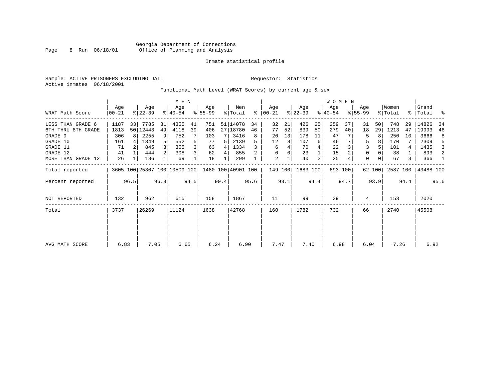Sample: ACTIVE PRISONERS EXCLUDING JAIL **Requestor:** Statistics Active inmates 06/18/2001

Functional Math Level (WRAT Scores) by current age & sex

|                    | M E N            |      |                  |                |                              |      |                 |      |                    |      |                  |      |                  |      | WOMEN            |         |                  |        |                  |      |                    |      |
|--------------------|------------------|------|------------------|----------------|------------------------------|------|-----------------|------|--------------------|------|------------------|------|------------------|------|------------------|---------|------------------|--------|------------------|------|--------------------|------|
| WRAT Math Score    | Age<br>$00 - 21$ |      | Age<br>$ 22-39 $ |                | Age<br>$8140 - 54$           |      | Age<br>$ 55-99$ |      | Men<br>% Total     | ⊱    | Age<br>$ 00-21 $ |      | Age<br>$ 22-39 $ |      | Age<br>$ 40-54 $ |         | Age<br>$8 55-99$ |        | Women<br>% Total |      | Grand<br>%   Total | ್ಠಿ  |
| LESS THAN GRADE 6  | 1187             | 33   | 7785             | 31             | 4355                         | 41   | 751             |      | 51 14078           | 34   | 32               | 21   | 426              | 25   | 259              | 37      | 31               | 50     | 748              | 29   | 14826              | -34  |
| 6TH THRU 8TH GRADE | 1813             |      | 50 12443         | 49             | 4118                         | 39   | 406             |      | 27 18780           | 46   | 77               | 52   | 839              | 50   | 279              | 40      | 18               | 29     | 1213             | 47   | 19993              | 46   |
| GRADE 9            | 306              | 8    | 2255             | 9              | 752                          |      | 103             |      | 3416               | 8    | 20               | 13   | 178              | 11   | 47               |         | 5                |        | 250              | 10   | 3666               | 8    |
| GRADE 10           | 161              |      | 1349             | 5 <sup>1</sup> | 552                          | 5    | 77              |      | 2139               |      | 12               | 8    | 107              | 6    | 46               |         | 5                |        | 170              |      | 2309               | 5    |
| GRADE 11           | 71               |      | 845              |                | 355                          | 3    | 63              | 4    | 1334               |      | 6                |      | 70               |      | 22               |         | 3                |        | 101              | 4    | 1435               | 3    |
| GRADE 12           | 41               |      | 444              | $\overline{2}$ | 308                          | 3    | 62              | 4    | 855                |      | $\Omega$         |      | 23               |      | 15               |         | 0                |        | 38               |      | 893                | 2    |
| MORE THAN GRADE 12 | 26               |      | 186              |                | 69                           |      | 18              |      | 299                |      | 2                |      | 40               | 2    | 25               |         | $\Omega$         |        | 67               | 3    | 366                | -1   |
| Total reported     |                  |      |                  |                | 3605 100 25307 100 10509 100 |      |                 |      | 1480 100 40901 100 |      | 149 100          |      | 1683 100         |      |                  | 693 100 |                  | 62 100 | 2587 100         |      | 43488 100          |      |
| Percent reported   |                  | 96.5 |                  | 96.3           |                              | 94.5 |                 | 90.4 |                    | 95.6 |                  | 93.1 |                  | 94.4 |                  | 94.7    |                  | 93.9   |                  | 94.4 |                    | 95.6 |
| NOT REPORTED       | 132              |      | 962              |                | 615                          |      | 158             |      | 1867               |      | 11               |      | 99               |      | 39               |         | 4                |        | 153              |      | 2020               |      |
| Total              | 3737             |      | 26269            |                | 11124                        |      | 1638            |      | 42768              |      | 160              |      | 1782             |      | 732              |         | 66               |        | 2740             |      | 45508              |      |
|                    |                  |      |                  |                |                              |      |                 |      |                    |      |                  |      |                  |      |                  |         |                  |        |                  |      |                    |      |
| AVG MATH SCORE     | 6.83             |      | 7.05             |                | 6.65                         |      | 6.24            |      | 6.90               |      | 7.47             |      | 7.40             |      | 6.98             |         | 6.04             |        | 7.26             |      | 6.92               |      |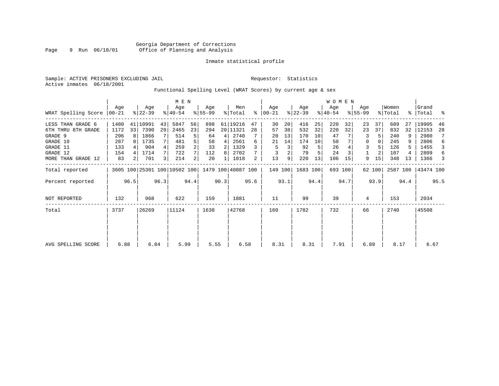Sample: ACTIVE PRISONERS EXCLUDING JAIL **Requestor:** Statistics Active inmates 06/18/2001

### Functional Spelling Level (WRAT Scores) by current age & sex

|                             | M E N |                |                  |      |                              |                |                 |      |                    |      |                 |      |                  |      | WOMEN            |         |                    |        |                  |               |                |      |
|-----------------------------|-------|----------------|------------------|------|------------------------------|----------------|-----------------|------|--------------------|------|-----------------|------|------------------|------|------------------|---------|--------------------|--------|------------------|---------------|----------------|------|
| WRAT Spelling Score   00-21 | Aqe   |                | Age<br>$8 22-39$ |      | Age<br>$8 40-54$             |                | Aqe<br>$ 55-99$ |      | Men<br>% Total     | ွေ   | Aqe<br>$ 00-21$ |      | Aqe<br>$ 22-39 $ |      | Age<br>$ 40-54 $ |         | Aqe<br>$8155 - 99$ |        | Women<br>% Total | $\frac{8}{3}$ | Grand<br>Total | း    |
| LESS THAN GRADE 6           | 1480  |                | 41 10991         | 43   | 5847                         | 56             | 898             |      | 61 19216           | 47   | 30              | 20   | 416              | 25   | 220              | 32      | 23                 | 37     | 689              | 27            | 19905          | 46   |
| 6TH THRU 8TH GRADE          | 1172  | 33             | 7390             | 29   | 2465                         | 23             | 294             |      | 20 11321           | 28   | 57              | 38   | 532              | 32   | 220              | 32      | 23                 | 37     | 832              | 32            | 12153          | 28   |
| GRADE 9                     | 296   | 8              | 1866             |      | 514                          | 5              | 64              | 4    | 2740               |      | 20              | 13   | 170              | 10   | 47               |         | 3                  |        | 240              |               | 2980           | 7    |
| GRADE 10                    | 287   |                | 1735             |      | 481                          | 5              | 58              | 4    | 2561               | 6    | 21              | 14   | 174              | 10   | 50               |         | 0                  |        | 245              |               | 2806           | 6    |
| GRADE 11                    | 133   |                | 904              |      | 259                          | $\overline{a}$ | 33              | 2    | 1329               |      | 5               | 3    | 92               |      | 26               |         | 3                  |        | 126              |               | 1455           | 3    |
| GRADE 12                    | 154   |                | 1714             |      | 722                          |                | 112             | 8    | 2702               |      |                 | 2    | 79               |      | 24               |         |                    |        | 107              |               | 2809           | 6    |
| MORE THAN GRADE 12          | 83    | 2 <sub>1</sub> | 701              | 3    | 214                          | $2\vert$       | 20              |      | 1018               | 2    | 13              | 9    | 220              | 13   | 106              | 15      | 9                  | 15     | 348              | 13            | 1366           | 3    |
| Total reported              |       |                |                  |      | 3605 100 25301 100 10502 100 |                |                 |      | 1479 100 40887 100 |      | 149 100         |      | 1683 100         |      |                  | 693 100 |                    | 62 100 | 2587 100         |               | 43474 100      |      |
| Percent reported            |       | 96.5           |                  | 96.3 |                              | 94.4           |                 | 90.3 |                    | 95.6 |                 | 93.1 |                  | 94.4 |                  | 94.7    |                    | 93.9   |                  | 94.4          |                | 95.5 |
| <b>NOT REPORTED</b>         | 132   |                | 968              |      | 622                          |                | 159             |      | 1881               |      | 11              |      | 99               |      | 39               |         | 4                  |        | 153              |               | 2034           |      |
| Total                       | 3737  |                | 26269            |      | 11124                        |                | 1638            |      | 42768              |      | 160             |      | 1782             |      | 732              |         | 66                 |        | 2740             |               | 45508          |      |
|                             |       |                |                  |      |                              |                |                 |      |                    |      |                 |      |                  |      |                  |         |                    |        |                  |               |                |      |
|                             |       |                |                  |      |                              |                |                 |      |                    |      |                 |      |                  |      |                  |         |                    |        |                  |               |                |      |
| AVG SPELLING SCORE          | 6.88  |                | 6.84             |      | 5.99                         |                | 5.55            |      | 6.58               |      | 8.31            |      | 8.31             |      | 7.91             |         | 6.89               |        | 8.17             |               | 6.67           |      |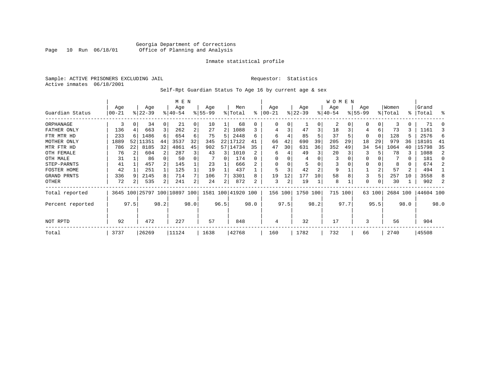#### Georgia Department of Corrections Page 10 Run 06/18/01 Office of Planning and Analysis

#### Inmate statistical profile

Sample: ACTIVE PRISONERS EXCLUDING JAIL **Requestor:** Statistics Active inmates 06/18/2001

### Self-Rpt Guardian Status To Age 16 by current age & sex

|                  | M E N     |      |                     |          |             |                |           |      |           |          |          |      |           |      | W O M E N |      |             |          |          |               |           |          |
|------------------|-----------|------|---------------------|----------|-------------|----------------|-----------|------|-----------|----------|----------|------|-----------|------|-----------|------|-------------|----------|----------|---------------|-----------|----------|
|                  | Age       |      | Age                 |          | Age         |                | Age       |      | Men       |          | Age      |      | Age       |      | Age       |      | Age         |          | Women    |               | Grand     |          |
| Guardian Status  | $00 - 21$ |      | $ 22-39 $           |          | $8140 - 54$ |                | $8 55-99$ |      | % Total   | % ิ      | $ 00-21$ |      | $ 22-39 $ |      | $ 40-54 $ |      | $8155 - 99$ |          | % Total  | $\frac{1}{6}$ | Total     | ႜ        |
| ORPHANAGE        | 3         | 0    | 34                  | $\Omega$ | 21          | $\Omega$       | 10        |      | 68        | 0        |          |      |           | 0    | 2         |      | O           | 0        | 3        | 0             | 71        | 0        |
| FATHER ONLY      | 136       |      | 663                 | 3        | 262         | $\overline{a}$ | 27        | 2    | 1088      | 3        |          |      | 47        | 3    | 18        | 3    | 4           | 6        | 73       | 3.            | 1161      |          |
| FTR MTR HD       | 233       | 6    | 1486                | 6        | 654         | 6              | 75        | 5    | 2448      | 6        | 6        |      | 85        |      | 37        |      | 0           | $\Omega$ | 128      | 5             | 2576      | 6        |
| MOTHER ONLY      | 1889      | 52   | 11351               | 44       | 3537        | 32             | 345       | 22   | 17122     | 41       | 66       | 42   | 690       | 39   | 205       | 29   | 18          | 29       | 979      | 36            | 18101     | 41       |
| MTR FTR HD       | 786       | 22   | 8185                | 32       | 4861        | 45             | 902       | 57   | 14734     | 35       | 47       | 30   | 631       | 36   | 352       | 49   | 34          | 54       | 1064     | 40            | 15798     | 35       |
| OTH FEMALE       | 76        |      | 604                 |          | 287         |                | 43        | 3    | 1010      |          | 6        |      | 49        | 3    | 20        |      | 3           |          | 78       |               | 1088      | 2        |
| OTH MALE         | 31        |      | 86                  |          | 50          |                |           | 0    | 174       | $\Omega$ |          |      | 4         |      |           |      | 0           |          |          | 0             | 181       | $\Omega$ |
| STEP-PARNTS      | 41        |      | 457                 |          | 145         |                | 23        |      | 666       |          |          |      | 5         |      |           |      | 0           |          | 8        | 0             | 674       |          |
| FOSTER HOME      | 42        |      | 251                 |          | 125         |                | 19        |      | 437       |          |          |      | 42        | 2    | 9         |      |             |          | 57       | 2             | 494       |          |
| GRAND PRNTS      | 336       | 9    | 2145                | 8        | 714         |                | 106       |      | 3301      | 8        | 19       | 12   | 177       | 10   | 58        | 8    | 3           |          | 257      | 10            | 3558      | 8        |
| OTHER            | 72        |      | 535                 | 2        | 241         | 2 <sub>1</sub> | 24        | 2    | 872       | 2        | 3        | 2    | 19        |      | 8         |      | 0           | 0        | 30       |               | 902       |          |
| Total reported   | 3645      |      | 100 25797 100 10897 |          |             | 100            | 1581 100  |      | 41920 100 |          | 156 100  |      | 1750 100  |      | 715 100   |      |             | 63 100   | 2684 100 |               | 44604 100 |          |
| Percent reported |           | 97.5 |                     | 98.2     |             | 98.0           |           | 96.5 |           | 98.0     |          | 97.5 |           | 98.2 |           | 97.7 |             | 95.5     |          | 98.0          |           | 98.0     |
| NOT RPTD         | 92        |      | 472                 |          | 227         |                | 57        |      | 848       |          | 4        |      | 32        |      | 17        |      | 3           |          | 56       |               | 904       |          |
| Total            | 3737      |      | 26269               |          | 11124       |                | 1638      |      | 42768     |          | 160      |      | 1782      |      | 732       |      | 66          |          | 2740     |               | 45508     |          |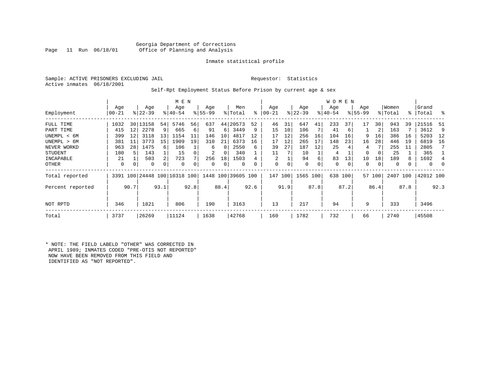#### Georgia Department of Corrections<br>Page 11 Run 06/18/01 office of Planning and Analysis Office of Planning and Analysis

#### Inmate statistical profile

Sample: ACTIVE PRISONERS EXCLUDING JAIL **Requestor:** Statistics Active inmates 06/18/2001

#### Self-Rpt Employment Status Before Prison by current age & sex

|                  | M E N     |      |            |      |                          |      |           |          |                    |      |            |      |             |      | W O M E N |      |           |        |         |      |             |      |
|------------------|-----------|------|------------|------|--------------------------|------|-----------|----------|--------------------|------|------------|------|-------------|------|-----------|------|-----------|--------|---------|------|-------------|------|
|                  | Age       |      | Age        |      | Age                      |      | Age       |          | Men                |      | Age        |      | Age         |      | Age       |      | Age       |        | Women   |      | Grand       |      |
| Employment       | $00 - 21$ |      | $ 22-39 $  |      | $8 40-54$                |      | $8 55-99$ |          | % Total            | ి    | $ 00 - 21$ |      | $ 22 - 39 $ |      | $ 40-54 $ |      | $8 55-99$ |        | % Total |      | %   Total   | ႜ    |
| FULL TIME        | 1032      |      | 30   13158 | 54   | 5746                     | 56   | 637       | 44       | 20573              | 52   | 46         | 31   | 647         | 41   | 233       | 37   | 17        | 30     | 943     | 39   | 21516       | 51   |
| PART TIME        | 415       | 12   | 2278       | 9    | 665                      | 6    | 91        | 6        | 3449               | 9    | 15         | 10   | 106         |      | 41        | 6    |           | 2      | 163     |      | 3612        | 9    |
| UNEMPL < 6M      | 399       | 12   | 3118       | 13   | 1154                     | 11   | 146       | 10       | 4817               | 12   | 17         | 12   | 256         | 16   | 104       | 16   | 9         | 16     | 386     | 16   | 5203        | 12   |
| UNEMPL > 6M      | 381       | 11   | 3773       | 15   | 1909                     | 19   | 310       | 21       | 6373               | 16   | 17         | 12   | 265         | 17   | 148       | 23   | 16        | 28     | 446     | 19   | 6819        | 16   |
| NEVER WORKD      | 963       | 28   | 1475       | 6    | 106                      |      | 6         | $\Omega$ | 2550               | 6    | 39         | 27   | 187         | 12   | 25        |      | 4         |        | 255     | 11   | 2805        |      |
| <b>STUDENT</b>   | 180       | 5    | 143        |      | 15                       |      | 2         | 0        | 340                |      | 11         |      | 10          |      | 4         |      | 0         | 0      | 25      |      | 365         |      |
| INCAPABLE        | 21        |      | 503        | 2    | 723                      |      | 256       | 18       | 1503               |      | 2          |      | 94          | 6    | 83        | 13   | 10        | 18     | 189     | 8    | 1692        | 4    |
| OTHER            | 0         | 0    | 0          | 0    | 0                        |      | 0         | 0        | 0                  |      | 0          | 0    | $\mathbf 0$ | 0    | 0         | 0    | 0         | 0      | 0       |      | $\mathbf 0$ |      |
| Total reported   |           |      |            |      | 3391 100 24448 100 10318 | 100  |           |          | 1448 100 39605 100 |      | 147        | 100  | 1565        | 100  | 638 100   |      |           | 57 100 | 2407    | 100  | 42012 100   |      |
| Percent reported |           | 90.7 |            | 93.1 |                          | 92.8 |           | 88.4     |                    | 92.6 |            | 91.9 |             | 87.8 |           | 87.2 |           | 86.4   |         | 87.8 |             | 92.3 |
| NOT RPTD         | 346       |      | 1821       |      | 806                      |      | 190       |          | 3163               |      | 13         |      | 217         |      | 94        |      | 9         |        | 333     |      | 3496        |      |
| Total            | 3737      |      | 26269      |      | 11124                    |      | 1638      |          | 42768              |      | 160        |      | 1782        |      | 732       |      | 66        |        | 2740    |      | 45508       |      |

\* NOTE: THE FIELD LABELD "OTHER" WAS CORRECTED IN APRIL 1989; INMATES CODED "PRE-OTIS NOT REPORTED" NOW HAVE BEEN REMOVED FROM THIS FIELD AND IDENTIFIED AS "NOT REPORTED".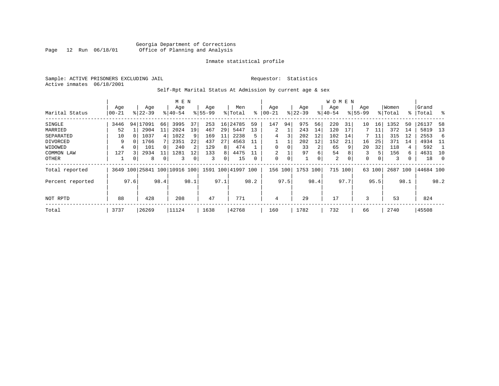Sample: ACTIVE PRISONERS EXCLUDING JAIL **Requestor:** Statistics Active inmates 06/18/2001

### Self-Rpt Marital Status At Admission by current age & sex

|                  | M E N     |      |                         |          |           |      |           |      |                    |      |           |      |           |                | W O M E N |      |             |        |         |      |           |                |
|------------------|-----------|------|-------------------------|----------|-----------|------|-----------|------|--------------------|------|-----------|------|-----------|----------------|-----------|------|-------------|--------|---------|------|-----------|----------------|
|                  | Age       |      | Age                     |          | Age       |      | Age       |      | Men                |      | Age       |      | Age       |                | Age       |      | Age         |        | Women   |      | Grand     |                |
| Marital Status   | $00 - 21$ |      | $8 22-39$               |          | $8 40-54$ |      | $8 55-99$ |      | % Total            | ፝    | $ 00-21 $ |      | $ 22-39 $ |                | $ 40-54 $ |      | $8155 - 99$ |        | % Total |      | %   Total | း              |
| SINGLE           | 3446      |      | 94   17091              | 66       | 3995      | 37   | 253       | 16   | 24785              | 59   | 147       | 94   | 975       | 56             | 220       | 31   | 10          | 16     | 1352    | 50   | 26137     | 58             |
| MARRIED          | 52        |      | 2904                    | 11       | 2024      | 19   | 467       | 29   | 5447               | 13   | 2         |      | 243       | 14             | 120       | 17   |             | 11     | 372     | 14   | 5819      | 13             |
| SEPARATED        | 10        |      | 1037                    | 4        | 1022      |      | 169       | 11   | 2238               | 5    | 4         | 3    | 202       | 12             | 102       | 14   |             | 11     | 315     | 12   | 2553      | -6             |
| DIVORCED         | 9         | 0    | 1766                    |          | 2351      | 22   | 437       | 27   | 4563               | 11   |           |      | 202       | 12             | 152       | 21   | 16          | 25     | 371     | 14   | 4934      | - 11           |
| WIDOWED          | 4         |      | 101                     | $\Omega$ | 240       |      | 129       | 8    | 474                |      | $\Omega$  |      | 33        | $\overline{2}$ | 65        | 9    | 20          | 32     | 118     | 4    | 592       |                |
| COMMON LAW       | 127       |      | 2934                    | 11       | 1281      | 12   | 133       | 8    | 4475               |      |           |      | 97        | б.             | 54        | 8    | 3           | 5      | 156     | 6    | 4631      | 10             |
| <b>OTHER</b>     |           | 0    | 8                       | 0        | 3         |      | 3         | 0    | 15                 |      | $\Omega$  | 0    |           |                | 2         | 0    | 0           | 0      | 3       |      | 18        | $\overline{0}$ |
| Total reported   | 3649      |      | 100 25841 100 10916 100 |          |           |      |           |      | 1591 100 41997 100 |      | 156       | 100  | 1753 100  |                | 715 100   |      |             | 63 100 | 2687    | 100  | 44684 100 |                |
| Percent reported |           | 97.6 |                         | 98.4     |           | 98.1 |           | 97.1 |                    | 98.2 |           | 97.5 |           | 98.4           |           | 97.7 |             | 95.5   |         | 98.1 |           | 98.2           |
| NOT RPTD         | 88        |      | 428                     |          | 208       |      | 47        |      | 771                |      | 4         |      | 29        |                | 17        |      | 3           |        | 53      |      | 824       |                |
|                  |           |      |                         |          |           |      |           |      |                    |      |           |      |           |                |           |      |             |        |         |      |           |                |
| Total            | 3737      |      | 26269                   |          | 11124     |      | 1638      |      | 42768              |      | 160       |      | 1782      |                | 732       |      | 66          |        | 2740    |      | 45508     |                |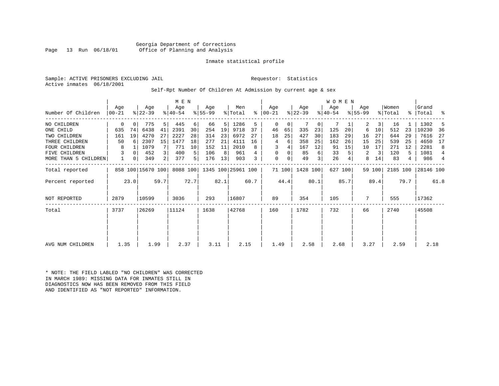Georgia Department of Corrections<br>Page 13 Run 06/18/01 office of Planning and Analysis Office of Planning and Analysis

#### Inmate statistical profile

Sample: ACTIVE PRISONERS EXCLUDING JAIL **Requestor:** Statistics Active inmates 06/18/2001

Self-Rpt Number Of Children At Admission by current age & sex

|                      |                  |              |                   |                | M E N            |      |                  |      |                    |      |                      |        |                  |      | <b>WOMEN</b>    |         |                    |        |                  |      |                    |      |
|----------------------|------------------|--------------|-------------------|----------------|------------------|------|------------------|------|--------------------|------|----------------------|--------|------------------|------|-----------------|---------|--------------------|--------|------------------|------|--------------------|------|
| Number Of Children   | Age<br>$ 00-21 $ |              | Age<br>$ 22-39 $  |                | Age<br>$ 40-54 $ |      | Age<br>$8 55-99$ |      | Men<br>% Total     |      | Age<br>$8   00 - 21$ |        | Age<br>$ 22-39 $ |      | Age<br>$ 40-54$ |         | Age<br>$8155 - 99$ |        | Women<br>% Total |      | Grand<br>%   Total | ႜ    |
| NO CHILDREN          | $\mathbf 0$      | $\mathbf{0}$ | 775               | 5 <sup>1</sup> | 445              | 6    | 66               | 5    | 1286               | 5    | $\Omega$             | 0      |                  | 0    | 7               |         | 2                  | 3      | 16               |      | 1302               | .5   |
| ONE CHILD            | 635              | 74           | 6438              | 41             | 2391             | 30   | 254              | 19   | 9718               | 37   | 46                   | 65     | 335              | 23   | 125             | 20      | 6                  | 10     | 512              | 23   | 10230              | -36  |
| TWO CHILDREN         | 161              | 19           | 4270              | 27             | 2227             | 28   | 314              | 23   | 6972               | 27   | 18                   | 25     | 427              | 30   | 183             | 29      | 16                 | 27     | 644              | 29   | 7616               | 27   |
| THREE CHILDREN       | 50               | 6            | 2307              | 15             | 1477             | 18   | 277              | 21   | 4111               | 16   | 4                    | 6      | 358              | 25   | 162             | 26      | 15                 | 25     | 539              | 25   | 4650               | 17   |
| <b>FOUR CHILDREN</b> | 8                |              | 1079              |                | 771              | 10   | 152              | 11   | 2010               | 8    | 3                    |        | 167              | 12   | 91              | 15      | 10                 | 17     | 271              | 12   | 2281               | 8    |
| FIVE CHILDREN        | 3                | 0            | 452               |                | 400              | 5    | 106              | 8    | 961                |      | $\mathbf 0$          | 0      | 85               | 6    | 33              |         | 2                  | 3      | 120              | 5    | 1081               | 4    |
| MORE THAN 5 CHILDREN | 1                | 0            | 349               | 2 <sub>1</sub> | 377              | 5    | 176              | 13   | 903                | 3    | $\mathbf 0$          | 0      | 49               | 3    | 26              |         | 8                  | 14     | 83               | 4    | 986                | 4    |
| Total reported       |                  |              | 858 100 15670 100 |                | 8088 100         |      |                  |      | 1345 100 25961 100 |      |                      | 71 100 | 1428 100         |      |                 | 627 100 |                    | 59 100 | 2185 100         |      | 28146 100          |      |
| Percent reported     |                  | 23.0         |                   | 59.7           |                  | 72.7 |                  | 82.1 |                    | 60.7 |                      | 44.4   |                  | 80.1 |                 | 85.7    |                    | 89.4   |                  | 79.7 |                    | 61.8 |
| <b>NOT REPORTED</b>  | 2879             |              | 10599             |                | 3036             |      | 293              |      | 16807              |      | 89                   |        | 354              |      | 105             |         | 7                  |        | 555              |      | 17362              |      |
| Total                | 3737             |              | 26269             |                | 11124            |      | 1638             |      | 42768              |      | 160                  |        | 1782             |      | 732             |         | 66                 |        | 2740             |      | 45508              |      |
|                      |                  |              |                   |                |                  |      |                  |      |                    |      |                      |        |                  |      |                 |         |                    |        |                  |      |                    |      |
|                      |                  |              |                   |                |                  |      |                  |      |                    |      |                      |        |                  |      |                 |         |                    |        |                  |      |                    |      |
| AVG NUM CHILDREN     | 1.35             |              | 1.99              |                | 2.37             |      | 3.11             |      | 2.15               |      | 1.49                 |        | 2.58             |      | 2.68            |         | 3.27               |        | 2.59             |      | 2.18               |      |

\* NOTE: THE FIELD LABLED "NO CHILDREN" WAS CORRECTED IN MARCH 1989: MISSING DATA FOR INMATES STILL IN DIAGNOSTICS NOW HAS BEEN REMOVED FROM THIS FIELD AND IDENTIFIED AS "NOT REPORTED" INFORMATION.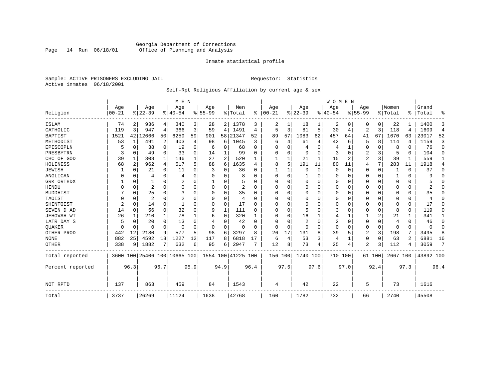### Georgia Department of Corrections<br>Page 14 Run 06/18/01 Office of Planning and Analysis Page 14 Run 06/18/01 Office of Planning and Analysis

#### Inmate statistical profile

Sample: ACTIVE PRISONERS EXCLUDING JAIL **Requestor:** Statistics Active inmates 06/18/2001

# Self-Rpt Religious Affiliation by current age & sex

|                  |                  |                |                              |             | M E N           |          |                  |          |                    |              |                 |          |                 |      | <b>WOMEN</b>    |          |                  |             |                  |          |                |                |
|------------------|------------------|----------------|------------------------------|-------------|-----------------|----------|------------------|----------|--------------------|--------------|-----------------|----------|-----------------|------|-----------------|----------|------------------|-------------|------------------|----------|----------------|----------------|
| Religion         | Age<br>$00 - 21$ |                | Age<br>$ 22-39 $             |             | Age<br>$ 40-54$ |          | Age<br>$8 55-99$ |          | Men<br>% Total     | ွေ           | Age<br>$ 00-21$ |          | Age<br>$ 22-39$ |      | Aqe<br>$ 40-54$ |          | Age<br>$8 55-99$ |             | Women<br>% Total | ፠        | Grand<br>Total | ዱ              |
|                  |                  |                |                              |             |                 |          |                  |          |                    |              |                 |          |                 |      |                 |          |                  |             |                  |          |                |                |
| ISLAM            | 74               | 2              | 936                          | 4           | 340             | 3        | 28               |          | 2 1378             | 3            |                 |          | 18              |      | 2               | 0        | 0                | 0           | 22               |          | 1400           | 3              |
| CATHOLIC         | 119              | 3              | 947                          | 4           | 366             | 3        | 59               | 4        | 1491               | 4            | 5               | 3        | 81              | 5    | 30              | 4        | 2                | 3           | 118              | 4        | 1609           | $\overline{4}$ |
| <b>BAPTIST</b>   | 1521             | 42             | 12666                        | 50          | 6259            | 59       | 901              | 58       | 21347              | 52           | 89              | 57       | 1083            | 62   | 457             | 64       | 41               | 67          | 1670             | 63       | 23017          | 52             |
| METHODIST        | 53               | 1              | 491                          | 2           | 403             | 4        | 98               | 6        | 1045               | 3            | 6               | 4        | 61              | 4    | 42              | 6        | 5                | 8           | 114              | 4        | 1159           | 3              |
| EPISCOPLN        |                  | 0              | 38                           | $\mathbf 0$ | 19              | 0        | 6                | 0        | 68                 | $\Omega$     | U               | O        | 4               | 0    |                 | 1        | 0                | $\Omega$    | 8                | $\Omega$ | 76             | 0              |
| PRESBYTRN        | 3                | $\Omega$       | 49                           | $\Omega$    | 33              | $\Omega$ | 14               | 1        | 99                 | U            | 0               | U        | 0               | 0    | 3               | $\Omega$ | 2                | 3           | 5                | $\Omega$ | 104            | $\Omega$       |
| CHC OF GOD       | 39               | 1              | 308                          | 1           | 146             |          | 27               | 2        | 520                |              |                 |          | 21              | 1    | 15              | 2        | 2                | 3           | 39               |          | 559            | 1              |
| HOLINESS         | 68               | $\overline{c}$ | 962                          | 4           | 517             | 5        | 88               | 6        | 1635               | 4            | 8               | 5        | 191             | 11   | 80              | 11       | 4                | 7           | 283              | 11       | 1918           | 4              |
| <b>JEWISH</b>    |                  | $\Omega$       | 21                           | $\Omega$    | 11              | O        |                  | U        | 36                 | O            |                 |          | $\Omega$        | 0    | $\Omega$        | $\Omega$ | 0                | 0           |                  | $\Omega$ | 37             | 0              |
| ANGLICAN         |                  | 0              | 4                            | $\Omega$    | 4               |          |                  | 0        | 8                  |              | $\Omega$        | O        |                 | 0    | 0               | $\Omega$ | 0                | $\Omega$    |                  | $\Omega$ | 9              | $\Omega$       |
| GRK ORTHDX       |                  | $\Omega$       |                              | 0           |                 | O        |                  | 0        |                    | U            | U               | U        | $\Omega$        | 0    | $\Omega$        | 0        | 0                | $\Omega$    | $\Omega$         | $\Omega$ |                | $\Omega$       |
| HINDU            |                  | $\Omega$       | $\overline{2}$               | $\Omega$    | $\Omega$        | $\Omega$ |                  | 0        | 2                  | <sup>0</sup> | U               |          | 0               | U    | $\Omega$        | $\Omega$ | 0                | $\Omega$    | O                | $\Omega$ |                | $\Omega$       |
| <b>BUDDHIST</b>  |                  | $\Omega$       | 25                           | $\Omega$    | 3               | $\Omega$ |                  | $\Omega$ | 35                 | U            | $\Omega$        |          | $\Omega$        | O    | $\Omega$        | $\Omega$ | Ω                | $\Omega$    | $\Omega$         | $\Omega$ | 35             | $\Omega$       |
| TAOIST           |                  | $\Omega$       | $\overline{a}$               | $\Omega$    | $\overline{2}$  |          |                  | $\Omega$ | 4                  | U            | U               | O        | $\Omega$        | 0    | $\Omega$        | $\Omega$ | 0                | $\Omega$    | $\Omega$         | $\Omega$ | 4              | $\Omega$       |
| SHINTOIST        | $\overline{2}$   | $\Omega$       | 14                           | $\Omega$    |                 |          |                  | $\Omega$ | 17                 | O            | U               | $\cap$   | $\mathbf 0$     | O    | O               | $\Omega$ | 0                | $\Omega$    | $\Omega$         | $\Omega$ | 17             | $\Omega$       |
| SEVEN D AD       | 14               | $\Omega$       | 56                           | $\Omega$    | 32              | $\Omega$ | 9                | 1        | 111                | U            | U               | $\cap$   | 5               | U    | 3               | $\Omega$ | 0                | $\Omega$    | 8                | $\Omega$ | 119            | O              |
| JEHOVAH WT       | 26               | 1              | 210                          | 1           | 78              |          | 6                | 0        | 320                |              | $\Omega$        | $\Omega$ | 16              |      | 4               |          |                  | 2           | 21               |          | 341            | 1              |
| LATR DAY S       |                  | $\Omega$       | 20                           | $\Omega$    | 13              |          |                  | 0        | 42                 | n            | 0               |          | $\overline{2}$  | 0    | 2               | 0        | 0                | 0           | 4                | $\Omega$ | 46             | 0              |
| <b>OUAKER</b>    |                  | 0              | O                            | 0           | $\Omega$        |          | O                | 0        | $\Omega$           |              | $\Omega$        | $\Omega$ | 0               | 0    | $\Omega$        | 0        | 0                | 0           | $\Omega$         | $\Omega$ | $\Omega$       | 0              |
| OTHER PROD       | 442              | 12             | 2180                         | 9           | 577             | 5        | 98               | 6        | 3297               | 8            | 26              | 17       | 131             | 8    | 39              | 5        | 2                | 3           | 198              | 7        | 3495           | 8              |
| <b>NONE</b>      | 882              | 25             | 4592                         | 18          | 1227            | 12       | 117              | 8        | 6818               | 17           | 6               | 4        | 53              | 3    | 4               | 1        | 0                | $\mathbf 0$ | 63               | 2        | 6881           | 16             |
| <b>OTHER</b>     | 338              | 9              | 1882                         | 7           | 632             | 6        | 95               | 6        | 2947               | 7            | 12              | 8        | 73              | 4    | 25              | 4        | 2                | 3           | 112              |          | 3059           | 7              |
| Total reported   |                  |                | 3600 100 25406 100 10665 100 |             |                 |          |                  |          | 1554 100 41225 100 |              | 156 100         |          | 1740 100        |      | 710             | 100      |                  | 61 100      | 2667 100         |          | 43892 100      |                |
| Percent reported |                  | 96.3           |                              | 96.7        |                 | 95.9     |                  | 94.9     |                    | 96.4         |                 | 97.5     |                 | 97.6 |                 | 97.0     |                  | 92.4        |                  | 97.3     |                | 96.4           |
| NOT RPTD         | 137              |                | 863                          |             | 459             |          | 84               |          | 1543               |              | 4               |          | 42              |      | 22              |          | 5                |             | 73               |          | 1616           |                |
| Total            | 3737             |                | 26269                        |             | 11124           |          | 1638             |          | 42768              |              | 160             |          | 1782            |      | 732             |          | 66               |             | 2740             |          | 45508          |                |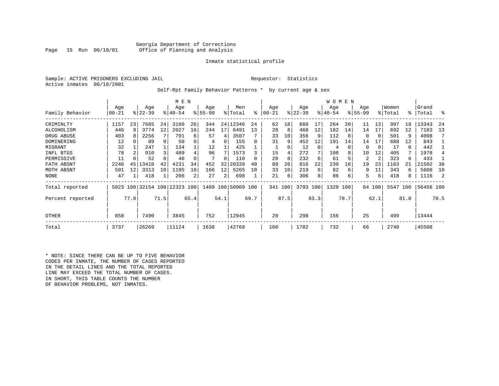Sample: ACTIVE PRISONERS EXCLUDING JAIL **Requestor:** Statistics Active inmates 06/18/2001

Self-Rpt Family Behavior Patterns \* by current age & sex

|                  |       |      |                              |      | M E N     |                |           |      |                    |          |           |               |           |      | W O M E N |      |             |                |          |      |           |      |
|------------------|-------|------|------------------------------|------|-----------|----------------|-----------|------|--------------------|----------|-----------|---------------|-----------|------|-----------|------|-------------|----------------|----------|------|-----------|------|
|                  | Age   |      | Age                          |      | Age       |                | Age       |      | Men                |          | Age       |               | Age       |      | Age       |      | Age         |                | Women    |      | Grand     |      |
| Family Behavior  | 00-21 |      | $ 22-39 $                    |      | $8 40-54$ |                | $8 55-99$ |      | % Total            | ႜ        | $00 - 21$ | $\frac{1}{6}$ | $22 - 39$ |      | $ 40-54 $ |      | $8155 - 99$ |                | % Total  | န္   | Total     | ႜ    |
| CRIMINLTY        | 1157  | 23   | 7685                         | 24   | 3160      | 26             | 344       |      | 24   12346         | 24       | 62        | 18            | 660       | 17   | 264       | 20   | 11          | 13             | 997      | 18   | 13343     | 24   |
| ALCOHOLISM       | 446   | 9    | 3774                         | 12   | 2027      | 16             | 244       | 17   | 6491               | 13       | 28        | 8             | 468       | 12   | 182       | 14   | 14          | 17             | 692      | 12   | 7183      | 13   |
| DRUG ABUSE       | 403   | 8    | 2256                         |      | 791       | 6              | 57        | 4    | 3507               |          | 33        | 10            | 356       | 9    | 112       |      | $\Omega$    | $\Omega$       | 501      | 9    | 4008      |      |
| DOMINERING       | 12    |      | 89                           |      | 50        | 0              | 4         | 0    | 155                | $\Omega$ | 31        | 9             | 452       | 12   | 191       | 14   | 14          | 17             | 688      | 12   | 843       |      |
| MIGRANT          | 32    |      | 247                          |      | 134       |                | 12        |      | 425                |          |           |               | 12        | 0    | 4         |      | $\Omega$    | 0              | 17       | 0    | 442       |      |
| INFL BTGS        | 78    |      | 910                          | 3    | 489       |                | 96        |      | 1573               |          | 15        | 4             | 272       | 7    | 108       |      | 10          | 12             | 405      | 7    | 1978      |      |
| PERMISSIVE       | 11    |      | 52                           |      | 40        |                |           | U    | 110                | $\Omega$ | 28        | 8             | 232       | 6    | 61        |      | 2           | $\overline{2}$ | 323      | 6    | 433       |      |
| FATH ABSNT       | 2246  | 45   | 13410                        | 42   | 4231      | 34             | 452       | 32   | 20339              | 40       | 89        | 26            | 816       | 22   | 239       | 18   | 19          | 23             | 1163     | 21   | 21502     | 38   |
| MOTH ABSNT       | 591   | 12   | 3313                         | 10   | 1195      | 10             | 166       | 12   | 5265               | 10       | 33        | 10            | 219       | 6    | 82        | 6    | 9           | 11             | 343      | 6    | 5608      | 10   |
| NONE             | 47    |      | 418                          |      | 206       | $\overline{2}$ | 27        | 2    | 698                |          | 21        | 6             | 306       | 8    | 86        | 6    | 5           | 6              | 418      | 8    | 1116      | 2    |
| Total reported   |       |      | 5023 100 32154 100 12323 100 |      |           |                |           |      | 1409 100 50909 100 |          | 341 100   |               | 3793 100  |      | 1329 100  |      |             | 84 100         | 5547 100 |      | 56456 100 |      |
| Percent reported |       | 77.0 |                              | 71.5 |           | 65.4           |           | 54.1 |                    | 69.7     |           | 87.5          |           | 83.3 |           | 78.7 |             | 62.1           |          | 81.8 |           | 70.5 |
| <b>OTHER</b>     | 858   |      | 7490                         |      | 3845      |                | 752       |      | 12945              |          | 20        |               | 298       |      | 156       |      | 25          |                | 499      |      | 13444     |      |
| Total            | 3737  |      | 26269                        |      | 11124     |                | 1638      |      | 42768              |          | 160       |               | 1782      |      | 732       |      | 66          |                | 2740     |      | 45508     |      |

\* NOTE: SINCE THERE CAN BE UP TO FIVE BEHAVIOR CODES PER INMATE, THE NUMBER OF CASES REPORTED IN THE DETAIL LINES AND THE TOTAL REPORTED LINE MAY EXCEED THE TOTAL NUMBER OF CASES. IN SHORT, THIS TABLE COUNTS THE NUMBER OF BEHAVIOR PROBLEMS, NOT INMATES.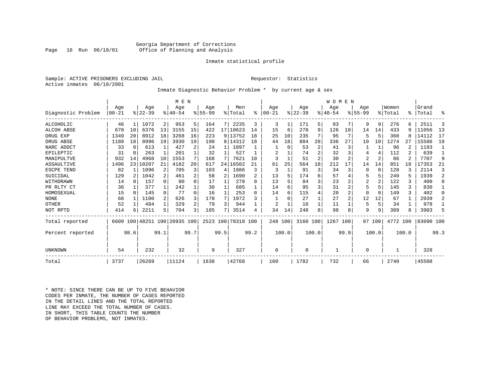#### Georgia Department of Corrections<br>Page 16 Run 06/18/01 office of Planning and Analysis Office of Planning and Analysis

#### Inmate statistical profile

Sample: ACTIVE PRISONERS EXCLUDING JAIL **Requestor:** Statistics Active inmates 06/18/2001

### Inmate Diagnostic Behavior Problem \* by current age & sex

|                    |           |                |           |              | M E N                   |      |             |      |                    |                |           |       |          |       | WOMEN    |                |                |                 |          |       |           |              |
|--------------------|-----------|----------------|-----------|--------------|-------------------------|------|-------------|------|--------------------|----------------|-----------|-------|----------|-------|----------|----------------|----------------|-----------------|----------|-------|-----------|--------------|
|                    | Age       |                | Age       |              | Age                     |      | Age         |      | Men                |                | Age       |       | Age      |       | Age      |                | Age            |                 | Women    |       | Grand     |              |
| Diagnostic Problem | $00 - 21$ |                | $ 22-39 $ |              | $8 40-54$               |      | $8155 - 99$ |      | % Total            | ి              | $00 - 21$ |       | $ 22-39$ |       | $ 40-54$ |                | $8155 - 99$    |                 | % Total  | ⊱     | Total     | ႜ            |
| ALCOHOLIC          | 46        | 1              | 1072      | 2            | 953                     | 5    | 164         | 7    | 2235               | 3              | 3         | 1     | 171      | 51    | 93       | 7              | 9              | 9               | 276      | 6     | 2511      | 3            |
| <b>ALCOH ABSE</b>  | 670       | 10             | 6376      | 13           | 3155                    | 15   | 422         |      | 17   10623         | 14             | 15        | 6     | 278      | 9     | 126      | 10             | 14             | 14              | 433      | 9     | 11056     | 13           |
| DRUG EXP           | 1349      | 20             | 8912      | 18           | 3268                    | 16   | 223         |      | 9 13752            | 18             | 25        | 10    | 235      |       | 95       | 7              |                | 5               | 360      | 8     | 14112     | 17           |
| DRUG ABSE          | 1188      | 18             | 8996      | 19           | 3930                    | 19   | 198         |      | 8 14312            | 18             | 44        | 18    | 884      | 28    | 336      | 27             | 10             | 10 <sup>1</sup> | 1274     | 27    | 15586     | 19           |
| NARC ADDCT         | 33        | 0              | 613       | 1            | 427                     |      | 24          |      | 1097               |                |           | 0     | 53       | 2     | 41       | 3              |                |                 | 96       |       | 1193      |              |
| EPILEPTIC          | 31        | 0              | 263       | $\mathbf{1}$ | 201                     |      | 32          |      | 527                |                | 2         |       | 74       |       | 32       | 3              |                | 4               | 112      |       | 639       | $\mathbf{1}$ |
| MANIPULTVE         | 932       | 14             | 4968      | 10           | 1553                    |      | 168         |      | 7621               | 10             |           |       | 51       |       | 30       | $\overline{a}$ | $\overline{2}$ | 2               | 86       |       | 7707      | 9            |
| ASSAULTIVE         | 1496      | 23             | 10207     | 21           | 4182                    | 20   | 617         | 24 l | 16502              | 21             | 61        | 25    | 564      | 18    | 212      | 17             | 14             | 14              | 851      | 18    | 17353     | 21           |
| ESCPE TEND         | 82        |                | 1096      | 2            | 705                     |      | 103         | 4    | 1986               | 3              | 3         | 1     | 91       | 3     | 34       | 3              |                | $\Omega$        | 128      | 3     | 2114      | 3            |
| SUICIDAL           | 129       | $\overline{c}$ | 1042      | 2            | 461                     |      | 58          | 2    | 1690               | $\mathfrak{D}$ | 13        | 5     | 174      | б     | 57       |                |                | 5               | 249      | 5     | 1939      | 2            |
| WITHDRAWN          | 14        | <sup>0</sup>   | 157       | $\Omega$     | 90                      |      | 17          |      | 278                | 0              | 13        |       | 84       |       | 23       |                | 2              | $\overline{2}$  | 122      |       | 400       | $\Omega$     |
| PR RLTY CT         | 36        |                | 377       | $\mathbf{1}$ | 242                     |      | 30          |      | 685                |                | 14        | 6     | 95       |       | 31       |                |                | 5               | 145      | ς     | 830       |              |
| HOMOSEXUAL         | 15        | $\Omega$       | 145       | $\Omega$     | 77                      | 0    | 16          |      | 253                | <sup>0</sup>   | 14        | б.    | 115      |       | 20       | 2              |                | $\Omega$        | 149      | ς     | 402       | $\Omega$     |
| <b>NONE</b>        | 68        |                | 1100      | 2            | 626                     |      | 178         | 7    | 1972               | 3              |           |       | 27       |       | 27       | 2              | 12             | 12              | 67       |       | 2039      | 2            |
| OTHER              | 52        |                | 484       | $\mathbf{1}$ | 329                     | 2    | 79          | 3    | 944                |                | 2         |       | 16       |       | 11       |                | 5              | 5               | 34       |       | 978       |              |
| NOT RPTD           | 414       | 6              | 2211      | 5            | 704                     | 3    | 185         |      | 3514               | 4              | 34        | 14    | 248      | 8     | 98       | 8              | 9              | 9               | 389      |       | 3903      | 5            |
| Total reported     | 6609      |                |           |              | 100 48251 100 20935 100 |      |             |      | 2523 100 78318 100 |                | 248 100   |       | 3160 100 |       | 1267 100 |                |                | 97 100          | 4772 100 |       | 83090 100 |              |
| Percent reported   |           | 98.6           |           | 99.1         |                         | 99.7 |             | 99.5 |                    | 99.2           |           | 100.0 |          | 100.0 |          | 99.9           |                | 100.0           |          | 100.0 |           | 99.3         |
| UNKNOWN            | 54        |                | 232       |              | 32                      |      | 9           |      | 327                |                | 0         |       | $\Omega$ |       |          |                | $\Omega$       |                 |          |       | 328       |              |
| Total              | 3737      |                | 26269     |              | 11124                   |      | 1638        |      | 42768              |                | 160       |       | 1782     |       | 732      |                | 66             |                 | 2740     |       | 45508     |              |

\* NOTE: SINCE THERE CAN BE UP TO FIVE BEHAVIOR CODES PER INMATE, THE NUMBER OF CASES REPORTED IN THE DETAIL LINES AND THE TOTAL REPORTED LINE MAY EXCEED THE TOTAL NUMBER OF CASES.IN SHORT, THIS TABLE COUNTS THE NUMBER OF BEHAVIOR PROBLEMS, NOT INMATES.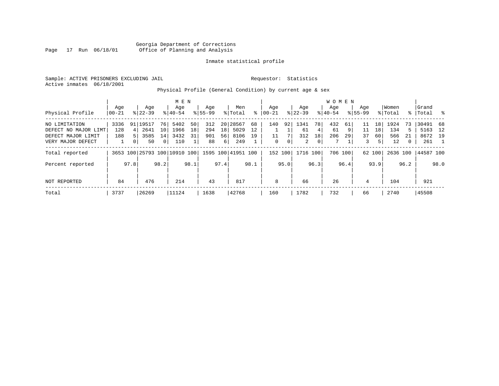Sample: ACTIVE PRISONERS EXCLUDING JAIL **Requestor:** Statistics Active inmates 06/18/2001

Physical Profile (General Condition) by current age & sex

|                      |       |                |            |                 | M E N                        |      |             |                 |                    |      |           |      |           |      | W O M E N |         |             |                 |          |              |           |      |
|----------------------|-------|----------------|------------|-----------------|------------------------------|------|-------------|-----------------|--------------------|------|-----------|------|-----------|------|-----------|---------|-------------|-----------------|----------|--------------|-----------|------|
|                      | Age   |                | Age        |                 | Age                          |      | Age         |                 | Men                |      | Aqe       |      | Age       |      | Aqe       |         | Age         |                 | Women    |              | Grand     |      |
| Physical Profile     | 00-21 |                | $8 22-39$  |                 | $8 40-54$                    |      | $8155 - 99$ |                 | % Total            | ⊱    | $00 - 21$ |      | $ 22-39 $ |      | $8 40-54$ |         | $8155 - 99$ |                 | % Total  | ွေ           | Total     | ိ    |
| NO LIMITATION        | 3336  |                | 91   19517 | 76              | 5402                         | 50   | 312         |                 | 20 28567           | 68   | 140       | 92   | 1341      | 78   | 432       | 61      | 11          | 18 <sup>1</sup> | 1924     | 73           | 30491 68  |      |
| DEFECT NO MAJOR LIMT | 128   | 4              | 2641       | 10 <sup>1</sup> | 1966                         | 18   | 294         | 18 <sup>1</sup> | 5029               | 12   |           |      | 61        | 4    | 61        | 9       | 11          | 18              | 134      | 5            | 5163      | 12   |
| DEFECT MAJOR LIMIT   | 188   |                | 3585       | 14              | 3432                         | 31   | 901         | 56              | 8106               | 19   |           |      | 312       | 18   | 206       | 29      | 37          | 60              | 566      | 21           | 8672 19   |      |
| VERY MAJOR DEFECT    |       | 0 <sup>1</sup> | 50         | 0 <sup>1</sup>  | 110                          |      | 88          | 6               | 249                |      | 0         | 0    | 2         | 0    | 7         |         | 3           | 51              | 12       | $\mathbf{0}$ | 261       |      |
| Total reported       |       |                |            |                 | 3653 100 25793 100 10910 100 |      |             |                 | 1595 100 41951 100 |      | 152 100   |      | 1716 100  |      |           | 706 100 |             | 62 100          | 2636 100 |              | 44587 100 |      |
| Percent reported     |       | 97.8           |            | 98.2            |                              | 98.1 |             | 97.4            |                    | 98.1 |           | 95.0 |           | 96.3 |           | 96.4    |             | 93.9            |          | 96.2         |           | 98.0 |
| NOT REPORTED         | 84    |                | 476        |                 | 214                          |      | 43          |                 | 817                |      | 8         |      | 66        |      | 26        |         | 4           |                 | 104      |              | 921       |      |
| Total                | 3737  |                | 26269      |                 | 11124                        |      | 1638        |                 | 42768              |      | 160       |      | 1782      |      | 732       |         | 66          |                 | 2740     |              | 45508     |      |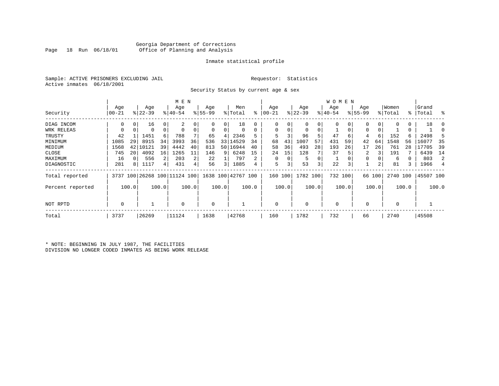#### Georgia Department of Corrections Office of Planning and Analysis

#### Inmate statistical profile

Sample: ACTIVE PRISONERS EXCLUDING JAIL **Requestor:** Statistics Active inmates 06/18/2001

Security Status by current age & sex

|                  |          |       |           |             | M E N     |       |          |       |                                                 |       |           |          |           |       | W O M E N   |         |             |        |             |       |           |       |
|------------------|----------|-------|-----------|-------------|-----------|-------|----------|-------|-------------------------------------------------|-------|-----------|----------|-----------|-------|-------------|---------|-------------|--------|-------------|-------|-----------|-------|
|                  | Age      |       | Age       |             | Age       |       | Age      |       | Men                                             |       | Age       |          | Age       |       | Age         |         | Age         |        | Women       |       | Grand     |       |
| Security         | $ 00-21$ |       | $ 22-39 $ |             | $8 40-54$ |       | $ 55-99$ |       | % Total                                         | ႜ     | $00 - 21$ |          | $ 22-39 $ |       | $ 40-54$    |         | $8155 - 99$ |        | % Total     |       | %   Total | း     |
| DIAG INCOM       | 0        | 0     | 16        | $\Omega$    | 2         |       |          | 0     | 18                                              |       | 0         |          | 0         | 0     |             |         |             | 0      | $\Omega$    | 0     | 18        |       |
| WRK RELEAS       |          |       | 0         | $\mathbf 0$ |           |       | 0        | 0     |                                                 |       | $\Omega$  |          | 0         | 0     |             |         | 0           |        |             | 0     |           |       |
| TRUSTY           | 42       |       | 1451      | 6           | 788       |       | 65       | 4     | 2346                                            |       | 5         |          | 96        | 5     | 47          | 6       | 4           | 6      | 152         | б.    | 2498      |       |
| MINIMUM          | 1085     | 29    | 8915      | 34          | 3993      | 36    | 536      | 33    | 14529                                           | 34    | 68        | 43       | 1007      | 57    | 431         | 59      | 42          | 64     | 1548        | 56    | 16077     | 35    |
| MEDIUM           | 1568     | 42    | 10121     | 39          | 4442      | 40    | 813      |       | 50 16944                                        | 40    | 58        | 36       | 493       | 28    | 193         | 26      | 17          | 26     | 761         | 28    | 17705     | 39    |
| CLOSE            | 745      | 20    | 4092      | 16          | 1265      | 11    | 146      | 9     | 6248                                            | 15    | 24        | 15       | 128       |       | 37          |         | 2           |        | 191         |       | 6439      | 14    |
| MAXIMUM          | 16       |       | 556       |             | 203       | 2     | 22       |       | 797                                             | 2     | $\Omega$  | $\Omega$ | 5         | 0     |             |         |             |        | 6           |       | 803       | 2     |
| DIAGNOSTIC       | 281      | 8     | 1117      | 4           | 431       |       | 56       | 3     | 1885                                            | 4     | 5         |          | 53        | 3     | 22          | 3       |             | 2      | 81          |       | 1966      | 4     |
| Total reported   |          |       |           |             |           |       |          |       | 3737 100 26268 100 11124 100 1638 100 42767 100 |       | 160       | 100      | 1782 100  |       |             | 732 100 |             | 66 100 | 2740 100    |       | 45507 100 |       |
| Percent reported |          | 100.0 |           | 100.0       |           | 100.0 |          | 100.0 |                                                 | 100.0 |           | 100.0    |           | 100.0 |             | 100.0   |             | 100.0  |             | 100.0 |           | 100.0 |
| NOT RPTD         | 0        |       |           |             | $\Omega$  |       | 0        |       |                                                 |       | $\Omega$  |          | $\Omega$  |       | $\mathbf 0$ |         |             |        | $\mathbf 0$ |       |           |       |
| Total            | 3737     |       | 26269     |             | 11124     |       | 1638     |       | 42768                                           |       | 160       |          | 1782      |       | 732         |         | 66          |        | 2740        |       | 45508     |       |

\* NOTE: BEGINNING IN JULY 1987, THE FACILITIES DIVISION NO LONGER CODED INMATES AS BEING WORK RELEASE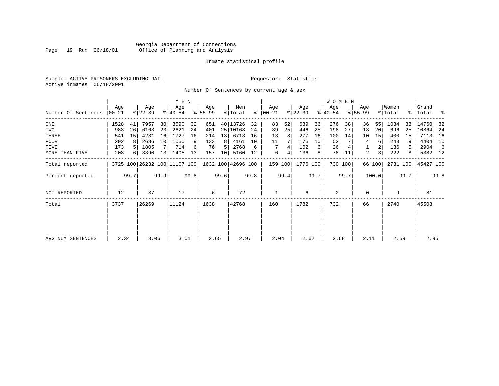#### Georgia Department of Corrections Page 19 Run 06/18/01 Office of Planning and Analysis

#### Inmate statistical profile

Sample: ACTIVE PRISONERS EXCLUDING JAIL **Requestor:** Statistics Active inmates 06/18/2001

Number Of Sentences by current age & sex

|                     |                  |      |                  |      | M E N                        |      |                  |      |                    |      |                      |      |                  |      | W O M E N        |         |                    |        |                  |      |                    |      |
|---------------------|------------------|------|------------------|------|------------------------------|------|------------------|------|--------------------|------|----------------------|------|------------------|------|------------------|---------|--------------------|--------|------------------|------|--------------------|------|
| Number Of Sentences | Age<br>$ 00-21 $ |      | Age<br>$ 22-39 $ |      | Age<br>$8 40-54$             |      | Age<br>$8 55-99$ |      | Men<br>% Total     |      | Age<br>$8   00 - 21$ |      | Age<br>$ 22-39 $ |      | Age<br>$ 40-54 $ |         | Age<br>$8155 - 99$ |        | Women<br>% Total |      | Grand<br>%   Total | ႜ    |
|                     |                  |      |                  |      |                              |      |                  |      |                    |      |                      |      |                  |      |                  |         |                    |        |                  |      |                    |      |
| ONE                 | 1528             | 41   | 7957             | 30   | 3590                         | 32   | 651              |      | 40 13726           | 32   | 83                   | 52   | 639              | 36   | 276              | 38      | 36                 | 55     | 1034             | 38   | 14760              | -32  |
| TWO                 | 983              | 26   | 6163             | 23   | 2621                         | 24   | 401              |      | 25 10168           | 24   | 39                   | 25   | 446              | 25   | 198              | 27      | 13                 | 20     | 696              | 25   | 10864              | -24  |
| THREE               | 541              | 15   | 4231             | 16   | 1727                         | 16   | 214              | 13   | 6713               | 16   | 13                   | 8    | 277              | 16   | 100              | 14      | 10                 | 15     | 400              | 15   | 7113               | 16   |
| <b>FOUR</b>         | 292              | 8    | 2686             | 10   | 1050                         |      | 133              | 8    | 4161               | 10   | 11                   |      | 176              | 10   | 52               |         | 4                  | 6      | 243              |      | 4404               | 10   |
| FIVE                | 173              |      | 1805             |      | 714                          |      | 76               | 5    | 2768               | 6    |                      | 4    | 102              | 6    | 26               |         |                    |        | 136              | 5.   | 2904               | -6   |
| MORE THAN FIVE      | 208              |      | 3390             | 13   | 1405                         | 13   | 157              | 10   | 5160               | 12   | 6                    | 4    | 136              | 8    | 78               | 11      | 2                  | 3      | 222              | 8    | 5382 12            |      |
| Total reported      |                  |      |                  |      | 3725 100 26232 100 11107 100 |      |                  |      | 1632 100 42696 100 |      | 159 100              |      | 1776 100         |      |                  | 730 100 |                    | 66 100 | 2731 100         |      | 45427 100          |      |
| Percent reported    |                  | 99.7 |                  | 99.9 |                              | 99.8 |                  | 99.6 |                    | 99.8 |                      | 99.4 |                  | 99.7 |                  | 99.7    |                    | 100.0  |                  | 99.7 |                    | 99.8 |
| NOT REPORTED        | 12               |      | 37               |      | 17                           |      | 6                |      | 72                 |      |                      |      | 6                |      | 2                |         | $\Omega$           |        | 9                |      | 81                 |      |
| Total               | 3737             |      | 26269            |      | 11124                        |      | 1638             |      | 42768              |      | 160                  |      | 1782             |      | 732              |         | 66                 |        | 2740             |      | 45508              |      |
|                     |                  |      |                  |      |                              |      |                  |      |                    |      |                      |      |                  |      |                  |         |                    |        |                  |      |                    |      |
|                     |                  |      |                  |      |                              |      |                  |      |                    |      |                      |      |                  |      |                  |         |                    |        |                  |      |                    |      |
| AVG NUM SENTENCES   | 2.34             |      | 3.06             |      | 3.01                         |      | 2.65             |      | 2.97               |      | 2.04                 |      | 2.62             |      | 2.68             |         | 2.11               |        | 2.59             |      | 2.95               |      |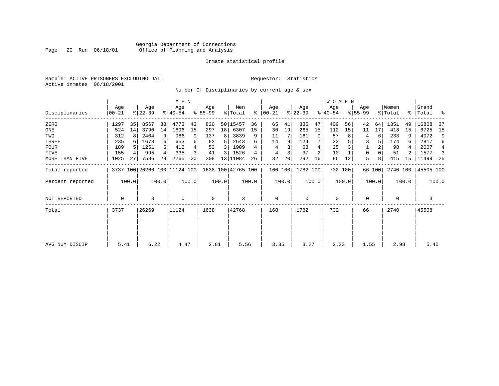#### Georgia Department of Corrections Page 20 Run 06/18/01 Office of Planning and Analysis

#### Inmate statistical profile

Sample: ACTIVE PRISONERS EXCLUDING JAIL **Requestor:** Statistics Active inmates 06/18/2001

Number Of Disciplinaries by current age & sex

|                  |                |       |                  |       | M E N            |                 |                 |       |                                                 |       |                 |       |                  |                | WOMEN            |         |                  |        |                  |       |                      |       |
|------------------|----------------|-------|------------------|-------|------------------|-----------------|-----------------|-------|-------------------------------------------------|-------|-----------------|-------|------------------|----------------|------------------|---------|------------------|--------|------------------|-------|----------------------|-------|
| Disciplinaries   | Age<br>  00-21 |       | Age<br>$ 22-39 $ |       | Age<br>$8 40-54$ |                 | Age<br>$ 55-99$ |       | Men<br>% Total                                  | ∻     | Age<br>$ 00-21$ |       | Age<br>$ 22-39 $ |                | Age<br>$ 40-54 $ |         | Age<br>$8 55-99$ |        | Women<br>% Total |       | Grand<br>%   Total % |       |
| ZERO             | 1297           | 35    | 8567             | 33    | 4773             | 43              | 820             | 50    | 15457                                           | 36    | 65              | 41    | 835              | 47             | 409              | 56      | 42               | 64     | 1351             | 49    | 16808                | -37   |
| ONE              | 524            | 14    | 3790             | 14    | 1696             | 15              | 297             | 18    | 6307                                            | 15    | 30              | 19    | 265              | 15             | 112              | 15      | 11               | 17     | 418              | 15    | 6725                 | 15    |
| TWO              | 312            | 8     | 2404             | 9     | 986              |                 | 137             | 8     | 3839                                            | 9     | 11              |       | 161              | 9              | 57               | 8       | 4                | 6      | 233              | 9     | 4072                 | 9     |
| THREE            | 235            | 6     | 1673             | 6     | 653              |                 | 82              | 5.    | 2643                                            | 6     | 14              |       | 124              |                | 33               |         | 3                |        | 174              | 6     | 2817                 | 6     |
| <b>FOUR</b>      | 189            |       | 1251             | 5     | 416              |                 | 53              | 3     | 1909                                            |       |                 |       | 68               |                | 25               |         |                  |        | 98               |       | 2007                 | 4     |
| <b>FIVE</b>      | 155            | 4     | 995              | 4     | 335              |                 | 41              | 3     | 1526                                            | 4     | 4               |       | 37               | $\overline{a}$ | 10               |         | 0                |        | 51               |       | 1577                 | 3     |
| MORE THAN FIVE   | 1025           | 27    | 7586             | 29    | 2265             | 20 <sup>1</sup> | 208             | 13    | 11084                                           | 26    | 32              | 20    | 292              | 16             | 86               | 12      | 5                | 8      | 415              | 15    | 11499                | -25   |
| Total reported   |                |       |                  |       |                  |                 |                 |       | 3737 100 26266 100 11124 100 1638 100 42765 100 |       | 160 100         |       | 1782 100         |                |                  | 732 100 |                  | 66 100 | 2740 100         |       | 45505 100            |       |
| Percent reported |                | 100.0 |                  | 100.0 |                  | 100.0           |                 | 100.0 |                                                 | 100.0 |                 | 100.0 |                  | 100.0          |                  | 100.0   |                  | 100.0  |                  | 100.0 |                      | 100.0 |
| NOT REPORTED     | 0              |       | 3                |       | $\Omega$         |                 | 0               |       | 3                                               |       | 0               |       | $\mathbf 0$      |                | 0                |         | 0                |        | 0                |       | 3                    |       |
| Total            | 3737           |       | 26269            |       | 11124            |                 | 1638            |       | 42768                                           |       | 160             |       | 1782             |                | 732              |         | 66               |        | 2740             |       | 45508                |       |
|                  |                |       |                  |       |                  |                 |                 |       |                                                 |       |                 |       |                  |                |                  |         |                  |        |                  |       |                      |       |
|                  |                |       |                  |       |                  |                 |                 |       |                                                 |       |                 |       |                  |                |                  |         |                  |        |                  |       |                      |       |
| AVG NUM DISCIP   | 5.41           |       | 6.22             |       | 4.47             |                 | 2.81            |       | 5.56                                            |       | 3.35            |       | 3.27             |                | 2.33             |         | 1.55             |        | 2.98             |       | 5.40                 |       |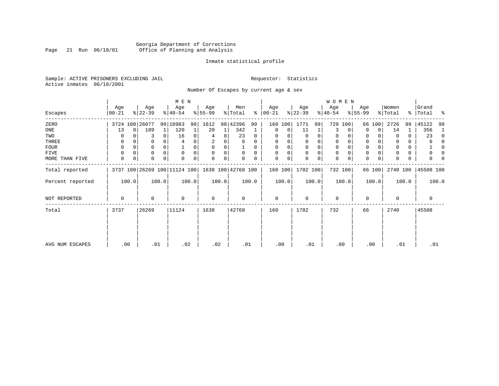### Georgia Department of Corrections<br>Page 21 Run 06/18/01 Office of Planning and Analysis Page 21 Run 06/18/01 Office of Planning and Analysis

#### Inmate statistical profile

Sample: ACTIVE PRISONERS EXCLUDING JAIL **Requestor:** Statistics Active inmates 06/18/2001

Number Of Escapes by current age & sex

|                  |                   |                  | M E N                        |                 |                           |                  |                  | WOMEN            |                  |                  |                         |
|------------------|-------------------|------------------|------------------------------|-----------------|---------------------------|------------------|------------------|------------------|------------------|------------------|-------------------------|
| Escapes          | Age<br>$ 00 - 21$ | Age<br>$ 22-39 $ | Age<br>$8 40-54$             | Age<br>$ 55-99$ | Men<br>% Total<br>ွေ      | Age<br>$ 00-21 $ | Age<br>$ 22-39 $ | Age<br>$ 40-54 $ | Age<br>$8 55-99$ | Women<br>% Total | Grand<br>%   Total<br>ႜ |
| ZERO             | 3724 100 26077    |                  | 99 10983<br>99               | 1612            | 98 42396<br>99            | 160 100          | 1771<br>99       | 729<br>100       | 66 100           | 2726<br>99       | 45122<br>-99            |
| ONE              | 13                | 189<br>0         | 120<br>1                     | 20              | 342<br>$\mathbf{1}$       | 0<br>$\Omega$    | 11               | 3<br>0           | 0<br>$\Omega$    | 14<br>1          | 356<br>1                |
| TWO              | 0                 |                  | 16<br>$\Omega$               | 0<br>4          | 23<br>0<br>$\Omega$       |                  | 0<br>0           | 0                | $\Omega$         | 0<br>0           | 23<br>$\Omega$          |
| THREE            | 0                 |                  | 0<br>4                       | 2               | 6<br>0                    | $\Omega$         | $\mathbf 0$<br>0 | 0                | 0                | 0<br>0           | 0                       |
| <b>FOUR</b>      | 0                 |                  | $\Omega$                     | $\Omega$        |                           |                  | 0<br>$\Omega$    | 0                | $\Omega$         | 0                | n                       |
| FIVE             | 0                 | 0                | 0<br>$\Omega$                | $\Omega$        | $\Omega$<br>0<br>$\Omega$ | $\Omega$         | 0<br>$\mathbf 0$ | 0<br>$\Omega$    | 0                | 0                | 0<br>O                  |
| MORE THAN FIVE   | 0                 | 0<br>0           | 0<br>$\Omega$                | 0               | 0<br>0                    | 0<br>0           | 0<br>$\Omega$    | 0<br>0           | $\mathbf 0$<br>0 | $\Omega$<br>0    | 0                       |
| Total reported   |                   |                  | 3737 100 26269 100 11124 100 |                 | 1638 100 42768 100        | 160 100          | 1782 100         | 732 100          | 66 100           | 2740 100         | 45508 100               |
| Percent reported | 100.0             | 100.0            | 100.0                        | 100.0           | 100.0                     | 100.0            | 100.0            | 100.0            | 100.0            | 100.0            | 100.0                   |
| NOT REPORTED     | 0                 | $\Omega$         | 0                            | 0               | $\Omega$                  | $\Omega$         | 0                | $\mathbf 0$      | 0                | $\Omega$         | 0                       |
| Total            | 3737              | 26269            | 11124                        | 1638            | 42768                     | 160              | 1782             | 732              | 66               | 2740             | 45508                   |
|                  |                   |                  |                              |                 |                           |                  |                  |                  |                  |                  |                         |
|                  |                   |                  |                              |                 |                           |                  |                  |                  |                  |                  |                         |
| AVG NUM ESCAPES  | .00               | .01              | .02                          | .02             | .01                       | .00              | .01              | .00              | .00              | .01              | .01                     |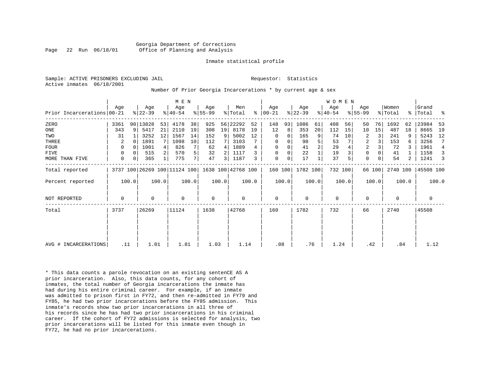Sample: ACTIVE PRISONERS EXCLUDING JAIL **Requestor:** Statistics Active inmates 06/18/2001

#### Number Of Prior Georgia Incarcerations \* by current age & sex

|                            |      |             |                  |       | M E N                        |       |                    |       |                    |       |                    |       |                  |                | W O M E N        |       |                    |        |                  |                |                 |       |
|----------------------------|------|-------------|------------------|-------|------------------------------|-------|--------------------|-------|--------------------|-------|--------------------|-------|------------------|----------------|------------------|-------|--------------------|--------|------------------|----------------|-----------------|-------|
| Prior Incarcerations 00-21 | Age  |             | Age<br>$ 22-39 $ |       | Age<br>$8 40-54$             |       | Age<br>$8155 - 99$ |       | Men<br>% Total     | ႜ     | Age<br>$ 00 - 21 $ |       | Age<br>$ 22-39 $ |                | Age<br>$ 40-54 $ |       | Age<br>$8155 - 99$ |        | Women<br>% Total | နု $\vert$     | Grand<br>'Total | း     |
|                            |      |             |                  |       |                              |       |                    |       |                    |       |                    |       |                  |                |                  |       |                    |        |                  |                |                 |       |
| ZERO                       | 3361 |             | 90 13828         | 53    | 4178                         | 38    | 925                | 56    | 22292              | 52    | 148                | 93    | 1086             | 61             | 408              | 56    | 50                 | 76     | 1692             | 62             | 23984           | 53    |
| ONE                        | 343  | 9           | 5417             | 21    | 2110                         | 19    | 308                | 19    | 8178               | 19    | 12                 | 8     | 353              | 20             | 112              | 15    | 10                 | 15     | 487              | 18             | 8665            | 19    |
| TWO                        | 31   |             | 3252             | 12    | 1567                         | 14    | 152                | 9     | 5002               | 12    | 0                  | 0     | 165              | 9              | 74               | 10    | 2                  |        | 241              |                | 5243            | 12    |
| THREE                      | 2    |             | 1891             | 7     | 1098                         | 10    | 112                |       | 3103               |       | 0                  | 0     | 98               | 5              | 53               |       | $\overline{2}$     |        | 153              |                | 3256            | 7     |
| <b>FOUR</b>                | 0    | $\Omega$    | 1001             |       | 826                          |       | 62                 | 4     | 1889               |       | $\mathbf 0$        |       | 41               | $\overline{c}$ | 29               |       | 2                  |        | 72               |                | 1961            | 4     |
| <b>FIVE</b>                | 0    | $\Omega$    | 515              |       | 570                          | 5     | 32                 |       | 1117               |       | $\mathbf 0$        | 0     | 22               |                | 19               |       | $\mathbf 0$        |        | 41               |                | 1158            | 3     |
| MORE THAN FIVE             | 0    | $\mathbf 0$ | 365              |       | 775                          | 7     | 47                 | 3     | 1187               | 3     | $\mathbf 0$        | 0     | 17               |                | 37               | 5     | $\mathbf 0$        |        | 54               | $\overline{2}$ | 1241            | 3     |
| Total reported             |      |             |                  |       | 3737 100 26269 100 11124 100 |       |                    |       | 1638 100 42768 100 |       | 160 100            |       | 1782 100         |                | 732 100          |       |                    | 66 100 | 2740 100         |                | 45508 100       |       |
| Percent reported           |      | 100.0       |                  | 100.0 |                              | 100.0 |                    | 100.0 |                    | 100.0 |                    | 100.0 |                  | 100.0          |                  | 100.0 |                    | 100.0  |                  | 100.0          |                 | 100.0 |
| <b>NOT REPORTED</b>        | 0    |             | 0                |       | $\mathbf{0}$                 |       | $\mathbf 0$        |       | 0                  |       | 0                  |       | $\mathbf 0$      |                | $\mathbf 0$      |       | 0                  |        | 0                |                | 0               |       |
| Total                      | 3737 |             | 26269            |       | 11124                        |       | 1638               |       | 42768              |       | 160                |       | 1782             |                | 732              |       | 66                 |        | 2740             |                | 45508           |       |
|                            |      |             |                  |       |                              |       |                    |       |                    |       |                    |       |                  |                |                  |       |                    |        |                  |                |                 |       |
|                            |      |             |                  |       |                              |       |                    |       |                    |       |                    |       |                  |                |                  |       |                    |        |                  |                |                 |       |
| AVG # INCARCERATIONS       | .11  |             | 1.01             |       | 1.81                         |       | 1.03               |       | 1.14               |       | .08                |       | .76              |                | 1.24             |       | .42                |        | .84              |                | 1.12            |       |

\* This data counts a parole revocation on an existing sentenCE AS A prior incarceration. Also, this data counts, for any cohort of inmates, the total number of Georgia incarcerations the inmate has had during his entire criminal career. For example, if an inmate was admitted to prison first in FY72, and then re-admitted in FY79 and FY85, he had two prior incarcerations before the FY85 admission. This inmate's records show two prior incarcerations in all three of his records since he has had two prior incarcerations in his criminal career. If the cohort of FY72 admissions is selected for analysis, two prior incarcerations will be listed for this inmate even though in FY72, he had no prior incarcerations.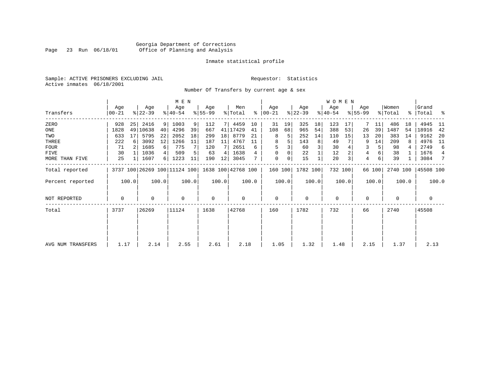### Georgia Department of Corrections<br>Page 23 Run 06/18/01 Office of Planning and Analysis Page 23 Run 06/18/01 Office of Planning and Analysis

#### Inmate statistical profile

Sample: ACTIVE PRISONERS EXCLUDING JAIL **Requestor:** Statistics Active inmates 06/18/2001

Number Of Transfers by current age & sex

|                   |                |       |                  |       | M E N            |       |                                                 |       |                |       |                  |       |                  |       | WOMEN            |       |                  |        |                  |       |                      |                |
|-------------------|----------------|-------|------------------|-------|------------------|-------|-------------------------------------------------|-------|----------------|-------|------------------|-------|------------------|-------|------------------|-------|------------------|--------|------------------|-------|----------------------|----------------|
| Transfers         | Age<br>  00-21 |       | Age<br>$ 22-39 $ |       | Age<br>$ 40-54 $ |       | Age<br>$ 55-99 $                                |       | Men<br>% Total | ∻     | Age<br>$ 00-21 $ |       | Age<br>$ 22-39 $ |       | Age<br>$ 40-54 $ |       | Age<br>$ 55-99 $ |        | Women<br>% Total |       | Grand<br>%   Total % |                |
| ZERO              | 928            | 25    | 2416             | 9     | 1003             | 9     | 112                                             |       | 4459           | 10    | 31               | 19    | 325              | 18    | 123              | 17    |                  | 11     | 486              | 18    | 4945                 | - 11           |
| ONE               | 1828           |       | 49 10638         | 40    | 4296             | 39    | 667                                             | 41    | 17429          | 41    | 108              | 68    | 965              | 54    | 388              | 53    | 26               | 39     | 1487             | 54    | 18916                | -42            |
| TWO               | 633            | 17    | 5795             | 22    | 2052             | 18    | 299                                             | 18    | 8779           | 21    | 8                | 5     | 252              | 14    | 110              | 15    | 13               | 20     | 383              | 14    | 9162                 | -20            |
| THREE             | 222            | 6     | 3092             | 12    | 1266             | 11    | 187                                             | 11    | 4767           | 11    | 8                |       | 143              | 8     | 49               |       | 9                | 14     | 209              | 8     | 4976                 | 11             |
| FOUR              | 71             |       | 1685             | 6     | 775              |       | 120                                             |       | 2651           | 6     |                  |       | 60               | 3     | 30               |       | 3                |        | 98               |       | 2749                 | 6              |
| FIVE              | 30             |       | 1036             | 4     | 509              |       | 63                                              | 4     | 1638           |       | $\Omega$         |       | 22               |       | 12               |       | 4                |        | 38               |       | 1676                 | $\overline{4}$ |
| MORE THAN FIVE    | 25             |       | 1607             | 6     | 1223             | 11    | 190                                             | 12    | 3045           |       | 0                | 0     | 15               |       | 20               |       | 4                | 6      | 39               |       | 3084                 | 7              |
| Total reported    |                |       |                  |       |                  |       | 3737 100 26269 100 11124 100 1638 100 42768 100 |       |                |       | 160 100          |       | 1782 100         |       | 732 100          |       |                  | 66 100 | 2740 100         |       | 45508 100            |                |
| Percent reported  |                | 100.0 |                  | 100.0 |                  | 100.0 |                                                 | 100.0 |                | 100.0 |                  | 100.0 |                  | 100.0 |                  | 100.0 |                  | 100.0  |                  | 100.0 |                      | 100.0          |
| NOT REPORTED      | 0              |       | 0                |       | $\mathbf 0$      |       | $\mathbf 0$                                     |       | $\mathbf 0$    |       | $\mathbf 0$      |       | $\mathbf 0$      |       | $\mathbf 0$      |       | 0                |        | 0                |       | 0                    |                |
| Total             | 3737           |       | 26269            |       | 11124            |       | 1638                                            |       | 42768          |       | 160              |       | 1782             |       | 732              |       | 66               |        | 2740             |       | 45508                |                |
|                   |                |       |                  |       |                  |       |                                                 |       |                |       |                  |       |                  |       |                  |       |                  |        |                  |       |                      |                |
|                   |                |       |                  |       |                  |       |                                                 |       |                |       |                  |       |                  |       |                  |       |                  |        |                  |       |                      |                |
| AVG NUM TRANSFERS | 1.17           |       | 2.14             |       | 2.55             |       | 2.61                                            |       | 2.18           |       | 1.05             |       | 1.32             |       | 1.48             |       | 2.15             |        | 1.37             |       | 2.13                 |                |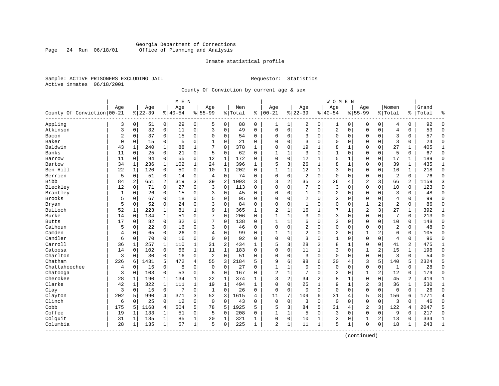#### Georgia Department of Corrections Page 24 Run 06/18/01 Office of Planning and Analysis

#### Inmate statistical profile

Sample: ACTIVE PRISONERS EXCLUDING JAIL **Requestor:** Statistics Active inmates 06/18/2001

County Of Conviction by current age & sex

|                            |     |                |           |                | M E N     |                |                |              |           |              |                |              |                |                | <b>WOMEN</b>   |                |                |                |                |              |       |                |
|----------------------------|-----|----------------|-----------|----------------|-----------|----------------|----------------|--------------|-----------|--------------|----------------|--------------|----------------|----------------|----------------|----------------|----------------|----------------|----------------|--------------|-------|----------------|
|                            | Age |                | Age       |                | Age       |                | Age            |              | Men       |              | Age            |              | Age            |                | Age            |                | Aqe            |                | Women          |              | Grand |                |
| County Of Conviction 00-21 |     |                | $8 22-39$ |                | $8 40-54$ |                | $8155 - 99$    |              | %   Total | ి            | $ 00-21$       |              | $8 22-39$      |                | $8140 - 54$    |                | $8155 - 99$    |                | % Total        | %            | Total | န္             |
| Appling                    | 3   | $\overline{0}$ | 51        | $\overline{0}$ | 29        | $\overline{0}$ | 5              | 0            | 88        | 0            | 1              | 1            | 2              | 0              | 1              | 0              | 0              | $\mathbf 0$    | 4              | 0            | 92    | $\Omega$       |
| Atkinson                   | 3   | 0              | 32        | $\mathsf{O}$   | 11        | 0              | 3              | 0            | 49        | 0            | $\Omega$       | 0            | $\overline{2}$ | 0              | $\overline{2}$ | $\mathbf 0$    | $\Omega$       | $\mathbf 0$    | $\overline{4}$ | 0            | 53    | $\Omega$       |
| Bacon                      | 2   | 0              | 37        | 0              | 15        | 0              | $\Omega$       | 0            | 54        | 0            | 0              | 0            | 3              | 0              | 0              | 0              | $\Omega$       | 0              | 3              | 0            | 57    | $\Omega$       |
| Baker                      | 0   | 0              | 15        | 0              | 5         | 0              | $\mathbf{1}$   | 0            | 21        | 0            | $\Omega$       | 0            | 3              | $\Omega$       | 0              | $\mathbf 0$    | $\Omega$       | $\Omega$       | 3              | $\mathbf 0$  | 24    | $\Omega$       |
| Baldwin                    | 43  | 1              | 240       | 1              | 88        | 1              | 7              | 0            | 378       | 1            | $\Omega$       | 0            | 19             | 1              | 8              | 1              | $\Omega$       | 0              | 27             | 1            | 405   | 1              |
| Banks                      | 11  | $\Omega$       | 25        | $\Omega$       | 21        | $\Omega$       | 5              | $\Omega$     | 62        | $\Omega$     | $\mathbf{1}$   | $\mathbf{1}$ | 3              | $\Omega$       | $\mathbf{1}$   | $\Omega$       | $\Omega$       | $\Omega$       | 5              | $\Omega$     | 67    | $\Omega$       |
| Barrow                     | 11  | $\Omega$       | 94        | $\Omega$       | 55        | 0              | 12             | $\mathbf 1$  | 172       | $\Omega$     | $\mathbf{0}$   | $\Omega$     | 12             | 1              | 5              | $\mathbf 1$    | $\Omega$       | $\Omega$       | 17             | 1            | 189   | $\Omega$       |
| Bartow                     | 34  | $\mathbf{1}$   | 236       | $\mathbf{1}$   | 102       | $\mathbf{1}$   | 24             | $\mathbf 1$  | 396       | 1            | 5              | 3            | 26             | 1              | 8              | $\mathbf{1}$   | $\Omega$       | $\mathbf 0$    | 39             | $\mathbf{1}$ | 435   | $\mathbf{1}$   |
| Ben Hill                   | 22  | $\mathbf{1}$   | 120       | $\mathbf 0$    | 50        | 0              | 10             | $\mathbf{1}$ | 202       | $\Omega$     | $\mathbf{1}$   | 1            | 12             | 1              | 3              | $\mathbf 0$    | $\Omega$       | 0              | 16             | $\mathbf{1}$ | 218   | $\Omega$       |
| Berrien                    | 5   | 0              | 51        | 0              | 14        | 0              | $\overline{4}$ | $\mathbf 0$  | 74        | $\Omega$     | $\Omega$       | 0            | $\overline{2}$ | $\mathbf 0$    | $\mathbf{0}$   | $\mathbf 0$    | $\Omega$       | 0              | $\overline{2}$ | 0            | 76    | $\Omega$       |
| Bibb                       | 84  | 2              | 651       | 2              | 319       | 3              | 39             | 2            | 1093      | 3            | 3              | 2            | 35             | 2              | 26             | $\overline{4}$ | $\overline{2}$ | 3              | 66             | 2            | 1159  | 3              |
| Bleckley                   | 12  | 0              | 71        | $\Omega$       | 27        | 0              | 3              | $\Omega$     | 113       | $\Omega$     | $\Omega$       | 0            | 7              | $\Omega$       | 3              | $\mathbf 0$    | $\Omega$       | $\Omega$       | 10             | $\Omega$     | 123   | $\Omega$       |
| Brantley                   | 1   | 0              | 26        | 0              | 15        | 0              | 3              | $\mathbf 0$  | 45        | 0            | 0              | 0            | 1              | 0              | 2              | $\mathbf 0$    | 0              | $\Omega$       | $\overline{3}$ | 0            | 48    | $\Omega$       |
| <b>Brooks</b>              | 5   | 0              | 67        | $\mathbf 0$    | 18        | 0              | 5              | $\mathbf 0$  | 95        | 0            | $\mathbf 0$    | 0            | $\overline{2}$ | 0              | $\overline{2}$ | 0              | 0              | 0              | $\overline{4}$ | 0            | 99    | $\Omega$       |
| Bryan                      | 5   | 0              | 52        | $\mathbf 0$    | 24        | 0              | 3              | $\Omega$     | 84        | $\Omega$     | $\Omega$       | 0            | $\mathbf{1}$   | $\Omega$       | 0              | $\Omega$       | $\mathbf{1}$   | $\overline{a}$ | $\overline{2}$ | $\Omega$     | 86    | $\Omega$       |
| Bulloch                    | 52  | 1              | 223       | 1              | 81        | 1              | 9              | $\mathbf{1}$ | 365       | 1            | $\overline{c}$ | 1            | 16             | 1              | 7              | $\mathbf{1}$   | $\overline{2}$ | 3              | 27             | 1            | 392   | 1              |
| Burke                      | 14  | 0              | 134       | 1              | 51        | 0              | 7              | $\Omega$     | 206       | $\Omega$     | $\mathbf{1}$   | 1            | 3              | $\Omega$       | 3              | $\Omega$       | $\Omega$       | $\Omega$       | 7              | $\Omega$     | 213   | $\Omega$       |
| <b>Butts</b>               | 17  | 0              | 82        | $\Omega$       | 32        | 0              | 7              | $\Omega$     | 138       | $\Omega$     | $\mathbf{1}$   | 1            | 6              | $\Omega$       | 3              | $\Omega$       | $\Omega$       | $\Omega$       | 10             | $\Omega$     | 148   | $\Omega$       |
| Calhoun                    | 5   | 0              | 22        | $\Omega$       | 16        | 0              | 3              | $\Omega$     | 46        | $\Omega$     | $\mathbf 0$    | 0            | 2              | 0              | 0              | $\mathbf 0$    | 0              | 0              | $\overline{2}$ | 0            | 48    | $\Omega$       |
| Camden                     | 4   | 0              | 65        | $\mathbf 0$    | 26        | 0              | 4              | 0            | 99        | $\Omega$     | $\mathbf{1}$   | 1            | 2              | 0              | 2              | 0              | 1              | 2              | 6              | 0            | 105   | $\Omega$       |
| Candler                    | 6   | 0              | 70        | 0              | 16        | 0              | $\Omega$       | 0            | 92        | 0            | $\Omega$       | 0            | 3              | 0              | 1              | $\mathbf 0$    | $\mathbf 0$    | 0              | $\overline{4}$ | 0            | 96    | $\Omega$       |
| Carroll                    | 36  | 1              | 257       | 1              | 110       | $\mathbf 1$    | 31             | 2            | 434       | $\mathbf{1}$ | 5              | 3            | 28             | 2              | 8              | 1              | $\Omega$       | $\Omega$       | 41             | 2            | 475   | 1              |
| Catoosa                    | 14  | 0              | 102       | $\Omega$       | 56        | $\mathbf{1}$   | 11             | $\mathbf{1}$ | 183       | $\Omega$     | $\Omega$       | $\Omega$     | 11             | $\mathbf{1}$   | 3              | $\mathbf 0$    | $\mathbf{1}$   | 2              | 15             | $\mathbf{1}$ | 198   | $\Omega$       |
| Charlton                   | 3   | $\Omega$       | 30        | $\mathbf 0$    | 16        | 0              | 2              | $\Omega$     | 51        | $\Omega$     | $\Omega$       | $\Omega$     | $\overline{3}$ | $\Omega$       | $\Omega$       | $\Omega$       | $\Omega$       | $\Omega$       | 3              | $\Omega$     | 54    | $\Omega$       |
| Chatham                    | 226 | 6              | 1431      | 5              | 472       | 4              | 55             | 3            | 2184      | 5            | 9              | б.           | 98             | 6              | 30             | $\overline{4}$ | 3              | 5              | 140            | 5            | 2324  | 5              |
| Chattahoochee              | 4   | 0              | 15        | 0              | 8         | 0              | $\mathbf 0$    | $\mathbf 0$  | 27        | $\Omega$     | $\mathbf{1}$   | 1            | $\mathbf{0}$   | $\Omega$       | $\Omega$       | $\Omega$       | $\Omega$       | 0              | 1              | 0            | 28    | $\Omega$       |
| Chatooga                   | 3   | 0              | 103       | $\mathbf 0$    | 53        | 0              | 8              | 0            | 167       | $\Omega$     | $\overline{c}$ | $\mathbf{1}$ | 7              | $\Omega$       | 2              | $\mathbf 0$    | 1              | 2              | 12             | 0            | 179   | $\Omega$       |
| Cherokee                   | 28  | 1              | 190       | 1              | 134       | 1              | 22             | 1            | 374       | 1            | 3              | 2            | 34             | $\overline{2}$ | 8              | 1              | 0              | 0              | 45             | 2            | 419   | 1              |
| Clarke                     | 42  | $\mathbf{1}$   | 322       | $\mathbf{1}$   | 111       | $\mathbf{1}$   | 19             | $\mathbf 1$  | 494       | 1            | $\Omega$       | 0            | 25             | 1              | 9              | $\mathbf{1}$   | $\overline{2}$ | 3              | 36             | $\mathbf 1$  | 530   | $\mathbf{1}$   |
| Clay                       | 3   | $\Omega$       | 15        | $\mathbf 0$    | 7         | $\Omega$       | $\mathbf{1}$   | $\Omega$     | 26        | $\Omega$     | $\Omega$       | $\Omega$     | $\Omega$       | $\Omega$       | $\Omega$       | $\Omega$       | $\Omega$       | $\Omega$       | $\Omega$       | $\Omega$     | 26    | $\Omega$       |
| Clayton                    | 202 | 5              | 990       | 4              | 371       | 3 <sup>1</sup> | 52             | 3            | 1615      | 4            | 11             | 7            | 109            | 6              | 31             | $\overline{4}$ | 5              | 8              | 156            | 6            | 1771  | $\overline{4}$ |
| Clinch                     | 6   | $\Omega$       | 25        | $\mathbf 0$    | 12        | 0              | $\Omega$       | $\Omega$     | 43        | $\Omega$     | $\mathbf 0$    | 0            | 3              | $\Omega$       | $\mathbf 0$    | $\Omega$       | $\mathbf 0$    | $\mathbf 0$    | 3              | $\Omega$     | 46    | $\Omega$       |
| Cobb                       | 175 | 5              | 1168      | $\overline{4}$ | 504       | 5              | 78             | 5            | 1925      | 5            | 5              | 3            | 84             | 5              | 31             | $\overline{4}$ | $\overline{2}$ | 3              | 122            | 4            | 2047  | 5              |
| Coffee                     | 19  | 1              | 133       | 1              | 51        | 0              | .5             | 0            | 208       | $\Omega$     | $\mathbf{1}$   | 1            | 5              | 0              | 3              | 0              | 0              | $\Omega$       | 9              | 0            | 217   | $\Omega$       |
| Colquit                    | 31  | 1              | 185       | 1              | 85        | $\mathbf 1$    | 20             | 1            | 321       | 1            | $\Omega$       | 0            | 10             | 1              | 2              | 0              | 1              | 2              | 13             | 0            | 334   | 1              |
| Columbia                   | 28  | 1              | 135       | 1              | 57        | 1              | 5              | 0            | 225       | 1            | 2              | 1            | 11             | $\mathbf{1}$   | 5              | 1              | $\mathbf 0$    | $\mathbf 0$    | 18             | $\mathbf{1}$ | 243   | $\mathbf{1}$   |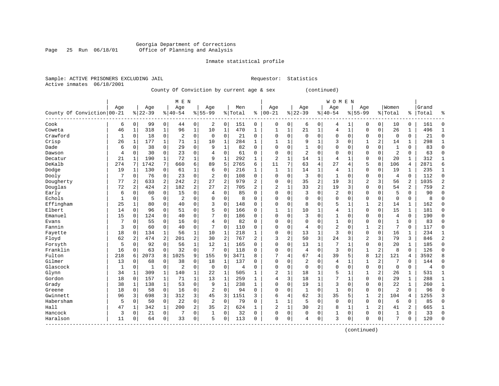#### Georgia Department of Corrections Page 25 Run 06/18/01 Office of Planning and Analysis

#### Inmate statistical profile

Sample: ACTIVE PRISONERS EXCLUDING JAIL **Requestor:** Statistics Active inmates 06/18/2001

### County Of Conviction by current age & sex (continued)

|                            |              |                |           |                | M E N          |              |                |                |                |                |                |              |                |                | WOMEN          |                |              |                |                |                |       |                |
|----------------------------|--------------|----------------|-----------|----------------|----------------|--------------|----------------|----------------|----------------|----------------|----------------|--------------|----------------|----------------|----------------|----------------|--------------|----------------|----------------|----------------|-------|----------------|
|                            | Age          |                | Age       |                | Age            |              | Age            |                | Men            |                | Age            |              | Age            |                | Age            |                | Aqe          |                | Women          |                | Grand |                |
| County Of Conviction 00-21 |              |                | $8 22-39$ |                | $8 40-54$      |              | $8155 - 99$    |                | % Total        | နွ             | $00 - 21$      |              | $ 22-39$       |                | $8 40-54$      |                | $8155 - 99$  |                | % Total        | ိ              | Total | ిక             |
| Cook                       | 6            | $\mathbf 0$    | 99        | $\mathbf 0$    | 44             | 0            | 2              | 0              | 151            | 0              | $\mathbf 0$    | 0            | 6              | 0              | 4              | 1              | $\Omega$     | $\mathbf 0$    | 10             | $\Omega$       | 161   | 0              |
| Coweta                     | 46           | 1              | 318       | 1              | 96             | $\mathbf{1}$ | 10             | 1              | 470            | $\mathbf{1}$   | $\mathbf{1}$   | 1            | 21             | 1              | 4              | $\mathbf{1}$   | 0            | $\mathbf 0$    | 26             | 1              | 496   | $\mathbf{1}$   |
| Crawford                   | 1            | $\mathbf 0$    | 18        | 0              | $\overline{2}$ | 0            | $\mathbf 0$    | $\mathbf 0$    | 21             | 0              | $\Omega$       | $\Omega$     | $\mathbf 0$    | 0              | $\Omega$       | $\Omega$       | 0            | $\mathbf 0$    | $\mathbf 0$    | $\Omega$       | 21    | $\mathbf 0$    |
| Crisp                      | 26           | 1              | 177       | $\mathbf{1}$   | 71             | $\mathbf{1}$ | 10             | $\mathbf{1}$   | 284            | 1              |                |              | 9              | $\mathbf{1}$   | 3              | $\mathbf 0$    |              | $\overline{a}$ | 14             | 1              | 298   | $\mathbf{1}$   |
| Dade                       | 6            | $\mathbf 0$    | 38        | 0              | 29             | 0            | 9              | $\mathbf 1$    | 82             | $\mathbf 0$    | $\Omega$       | $\Omega$     | $\mathbf{1}$   | 0              |                | $\mathbf 0$    | $\Omega$     | $\mathbf 0$    | $\mathbf{1}$   | $\mathbf 0$    | 83    | $\mathbf 0$    |
| Dawson                     | 4            | $\mathbf 0$    | 30        | 0              | 23             | 0            | 4              | 0              | 61             | 0              | $\Omega$       | $\Omega$     | $\overline{2}$ | $\Omega$       | $\Omega$       | $\Omega$       | 0            | 0              | $\overline{2}$ | $\Omega$       | 63    | $\mathbf 0$    |
| Decatur                    | 21           | 1              | 190       | 1              | 72             | $\mathbf 1$  | 9              | $\mathbf 1$    | 292            | 1              | $\overline{2}$ | $\mathbf{1}$ | 14             | $\mathbf{1}$   | 4              | 1              | $\Omega$     | $\mathbf 0$    | 20             | 1              | 312   | $\mathbf{1}$   |
| DeKalb                     | 274          | 7              | 1742      | 7              | 660            | б.           | 89             | 5              | 2765           | 6              | 11             | 7            | 63             | 4              | 27             | 4              | 5            | 8              | 106            | 4              | 2871  | 6              |
| Dodge                      | 19           | 1              | 130       | 0              | 61             | 1            | 6              | $\mathbf 0$    | 216            | 1              | $\mathbf{1}$   | $\mathbf{1}$ | 14             | 1              | 4              | 1              | 0            | 0              | 19             |                | 235   | $\mathbf{1}$   |
| Dooly                      | 7            | $\mathbf 0$    | 76        | 0              | 23             | 0            | $\overline{2}$ | $\mathbf 0$    | 108            | $\mathbf 0$    | $\Omega$       | $\Omega$     | 3              | 0              | $\mathbf{1}$   | $\Omega$       | 0            | $\Omega$       | $\overline{4}$ | $\Omega$       | 112   | $\mathbf 0$    |
| Dougherty                  | 77           | $\overline{c}$ | 633       | $\overline{a}$ | 242            | 2            | 27             | $\overline{2}$ | 979            | $\overline{a}$ | $\Omega$       | $\Omega$     | 35             | $\overline{2}$ | 19             | 3              | 2            | 3              | 56             | $\overline{a}$ | 1035  | $\overline{2}$ |
| Douglas                    | 72           | $\overline{2}$ | 424       | $\overline{a}$ | 182            | 2            | 27             | $\overline{2}$ | 705            | 2              | $\overline{2}$ |              | 33             | $\overline{a}$ | 19             | $\overline{3}$ | 0            | $\mathbf 0$    | 54             | $\overline{2}$ | 759   | $\overline{2}$ |
| Early                      | 6            | $\mathbf 0$    | 60        | 0              | 15             | 0            | 4              | $\mathbf 0$    | 85             | 0              | $\Omega$       | $\Omega$     | 3              | 0              | 2              | $\mathbf 0$    | 0            | $\mathbf 0$    | 5              | $\mathbf 0$    | 90    | 0              |
| Echols                     | $\mathbf{1}$ | 0              | 5         | 0              | $\overline{2}$ | 0            | 0              | 0              | 8              | $\Omega$       | $\Omega$       | $\Omega$     | $\mathbf 0$    | 0              | $\Omega$       | 0              | 0            | $\mathbf 0$    | $\Omega$       | $\Omega$       | 8     | $\Omega$       |
| Effingham                  | 25           | 1              | 80        | 0              | 40             | 0            | 3              | $\mathbf 0$    | 148            | $\Omega$       | $\Omega$       | $\Omega$     | 8              | $\Omega$       | 5              | 1              | 1            | 2              | 14             | 1              | 162   | $\mathbf 0$    |
| Elbert                     | 14           | $\mathbf 0$    | 96        | 0              | 51             | 0            | 5              | $\mathbf 0$    | 166            | 0              | $\mathbf{1}$   | $\mathbf{1}$ | 10             | 1              | 4              | 1              | $\Omega$     | $\mathbf 0$    | 15             | 1              | 181   | $\mathbf 0$    |
| Emanuel                    | 15           | 0              | 124       | 0              | 40             | 0            |                | $\mathbf 0$    | 186            | 0              | $\Omega$       | $\Omega$     | 3              | 0              |                | 0              | 0            | $\Omega$       | 4              | 0              | 190   | $\mathbf 0$    |
| Evans                      |              | 0              | 55        | 0              | 16             | 0            | 4              | $\mathbf 0$    | 82             | 0              | $\Omega$       | $\Omega$     | $\mathbf 0$    | 0              | 1              | $\Omega$       | $\Omega$     | 0              | 1              | $\Omega$       | 83    | $\mathbf 0$    |
| Fannin                     | 3            | $\mathbf 0$    | 60        | 0              | 40             | 0            | 7              | $\mathbf 0$    | 110            | 0              | $\Omega$       | $\Omega$     | 4              | $\Omega$       | $\overline{2}$ | $\Omega$       | $\mathbf{1}$ | 2              | 7              | $\Omega$       | 117   | $\mathbf 0$    |
| Fayette                    | 18           | 0              | 134       | 1              | 56             | $\mathbf{1}$ | 10             | $\mathbf{1}$   | 218            | 1              | $\Omega$       | $\Omega$     | 13             | $\mathbf{1}$   | 3              | $\mathbf 0$    | 0            | $\mathbf 0$    | 16             | 1              | 234   | 1              |
| Floyd                      | 62           | 2              | 474       | 2              | 201            | 2            | 30             | 2              | 767            | $\overline{a}$ | 3              | 2            | 50             | 3              | 24             | 3              | 2            | 3              | 79             | 3              | 846   | $\overline{2}$ |
| Forsyth                    | 5            | $\mathbf 0$    | 92        | 0              | 56             | 1            | 12             | $\mathbf 1$    | 165            | 0              | 0              | 0            | 13             | $\mathbf 1$    |                | $\mathbf{1}$   | 0            | $\mathbf 0$    | 20             |                | 185   | $\mathbf 0$    |
| Franklin                   | 16           | $\mathbf 0$    | 63        | 0              | 32             | $\mathbf 0$  | 7              | $\mathbf 0$    | 118            | 0              | $\Omega$       | $\Omega$     | 4              | 0              | 3              | $\mathbf 0$    | 1            | 2              | 8              | $\mathbf 0$    | 126   | $\mathbf 0$    |
| Fulton                     | 218          | 6              | 2073      | 8              | 1025           | 9            | 155            | 9              | 3471           | 8              | 7              | 4            | 67             | 4              | 39             | 5              | 8            | 12             | 121            | 4              | 3592  | 8              |
| Gilmer                     | 13           | $\mathbf 0$    | 68        | 0              | 38             | 0            | 18             | 1              | 137            | 0              | $\Omega$       | O            | $\overline{2}$ | 0              | 4              | 1              | 1            | $\overline{a}$ | 7              | $\Omega$       | 144   | $\mathbf 0$    |
| Glascock                   | 1            | $\mathbf 0$    | 1         | 0              | $\overline{2}$ | 0            | $\mathbf 0$    | $\mathbf 0$    | $\overline{4}$ | $\Omega$       | $\Omega$       | $\Omega$     | $\mathbf 0$    | 0              | $\Omega$       | $\Omega$       | 0            | $\mathbf 0$    | $\Omega$       | $\mathbf 0$    | 4     | $\mathbf 0$    |
| Glynn                      | 34           | $\mathbf{1}$   | 309       | $\mathbf 1$    | 140            | 1            | 22             | 1              | 505            | 1              | $\overline{2}$ | $\mathbf{1}$ | 18             | 1              | 5              | 1              | 1            | $\overline{a}$ | 26             | 1              | 531   | $\mathbf{1}$   |
| Gordon                     | 18           | $\Omega$       | 157       | 1              | 71             | 1            | 13             | 1              | 259            | 1              | $\overline{4}$ | 3            | 18             | $\mathbf{1}$   | 7              | 1              | 0            | $\Omega$       | 29             | 1              | 288   | 1              |
| Grady                      | 38           | 1              | 138       | 1              | 53             | 0            | 9              | $\mathbf{1}$   | 238            | 1              | $\Omega$       | $\Omega$     | 19             | $\mathbf{1}$   | 3              | $\Omega$       | 0            | $\mathbf 0$    | 22             | 1              | 260   | $\mathbf{1}$   |
| Greene                     | 18           | $\mathbf 0$    | 58        | $\mathbf 0$    | 16             | 0            | 2              | $\mathbf 0$    | 94             | 0              | $\Omega$       | $\Omega$     | $\mathbf{1}$   | 0              | 1              | 0              | 0            | $\mathbf 0$    | $\overline{2}$ | $\Omega$       | 96    | $\mathbf 0$    |
| Gwinnett                   | 96           | 3              | 698       | 3              | 312            | 3            | 45             | 3              | 1151           | 3              | 6              | 4            | 62             | 3              | 35             | 5              |              | $\overline{a}$ | 104            | 4              | 1255  | 3              |
| Habersham                  | 5            | $\mathbf 0$    | 50        | 0              | 22             | 0            | $\overline{2}$ | $\mathbf 0$    | 79             | 0              | $\mathbf{1}$   | 1            | 5              | 0              | $\Omega$       | $\mathbf 0$    | 0            | 0              | 6              | $\Omega$       | 85    | $\mathbf 0$    |
| Hall                       | 47           | 1              | 342       | $\mathbf{1}$   | 200            | 2            | 35             | 2              | 624            | 1              | $\overline{2}$ | 1            | 30             | 2              | 8              | 1              | 1            | 2              | 41             | 2              | 665   | 1              |
| Hancock                    | 3            | $\Omega$       | 21        | $\Omega$       | 7              | 0            | 1              | 0              | 32             | 0              | $\Omega$       | 0            | 0              | 0              | 1              | 0              | 0            | 0              | 1              | $\Omega$       | 33    | $\mathbf 0$    |
| Haralson                   | 11           | 0              | 64        | $\Omega$       | 33             | 0            | 5              | 0              | 113            | $\Omega$       | $\Omega$       | 0            | 4              | 0              | 3              | 0              | $\Omega$     | 0              | 7              | $\Omega$       | 120   | $\Omega$       |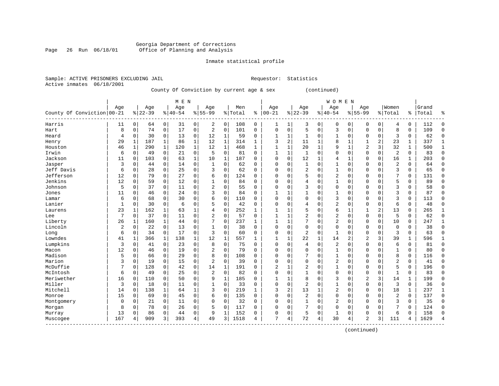#### Georgia Department of Corrections Page 26 Run 06/18/01 Office of Planning and Analysis

#### Inmate statistical profile

Sample: ACTIVE PRISONERS EXCLUDING JAIL **Requestor:** Statistics Active inmates 06/18/2001

County Of Conviction by current age & sex (continued)

|                            |              |              |           |              | M E N     |              |                |              |         | WOMEN        |              |              |                |              |                |             |                |                |                |               |       |              |
|----------------------------|--------------|--------------|-----------|--------------|-----------|--------------|----------------|--------------|---------|--------------|--------------|--------------|----------------|--------------|----------------|-------------|----------------|----------------|----------------|---------------|-------|--------------|
|                            | Age          |              | Age       |              | Age       |              | Age            |              | Men     |              | Age          |              | Age            |              | Age            |             | Age            |                | Women          |               | Grand |              |
| County Of Conviction 00-21 |              |              | $8 22-39$ |              | $8 40-54$ |              | $8155 - 99$    |              | % Total | ႜ            | $ 00-21$     |              | $ 22-39$       |              | $8 40-54$      |             | $8155 - 99$    |                | % Total        | $\frac{1}{6}$ | Total | န္           |
| Harris                     | 11           | 0            | 64        | 0            | 31        | 0            | 2              | 0            | 108     | 0            | 1            | 1            | 3              | 0            | 0              | 0           | $\Omega$       | $\mathbf 0$    | 4              | 0             | 112   | U            |
| Hart                       | 8            | $\Omega$     | 74        | $\mathbf 0$  | 17        | 0            | 2              | $\mathbf 0$  | 101     | $\Omega$     | $\Omega$     | 0            | 5              | 0            | 3              | $\mathbf 0$ | $\Omega$       | $\mathbf 0$    | 8              | 0             | 109   | $\Omega$     |
| Heard                      | 4            | 0            | 30        | $\mathbf 0$  | 13        | 0            | 12             | 1            | 59      | 0            | 1            | 1            | 1              | $\Omega$     | 1              | $\mathbf 0$ | $\Omega$       | $\mathbf 0$    | 3              | 0             | 62    | $\Omega$     |
| Henry                      | 29           | 1            | 187       | 1            | 86        | $\mathbf{1}$ | 12             | $\mathbf 1$  | 314     | $\mathbf{1}$ | 3            | 2            | 11             | 1            | 8              | 1           | 1              | 2              | 23             | 1             | 337   | 1            |
| Houston                    | 46           | $\mathbf{1}$ | 290       | $\mathbf{1}$ | 120       | $\mathbf 1$  | 12             | $\mathbf 1$  | 468     | 1            | $\mathbf{1}$ | $\mathbf{1}$ | 20             | $\mathbf{1}$ | 9              | $\mathbf 1$ | $\overline{2}$ | 3              | 32             | $\mathbf 1$   | 500   | $\mathbf{1}$ |
| Irwin                      | 6            | 0            | 49        | $\mathbf 0$  | 21        | 0            | 5              | $\Omega$     | 81      | $\Omega$     | $\mathbf{1}$ | 1            | $\mathbf{1}$   | $\Omega$     | $\Omega$       | $\Omega$    | $\Omega$       | 0              | $\overline{2}$ | $\Omega$      | 83    | $\Omega$     |
| Jackson                    | 11           | 0            | 103       | $\mathbf 0$  | 63        | $\mathbf 1$  | 10             | 1            | 187     | $\Omega$     | $\Omega$     | 0            | 12             | 1            | 4              | 1           | $\Omega$       | 0              | 16             | 1             | 203   | $\Omega$     |
| Jasper                     | 3            | 0            | 44        | 0            | 14        | 0            | 1              | 0            | 62      | 0            | $\Omega$     | 0            | 1              | $\Omega$     | 1              | 0           | 0              | 0              | $\overline{c}$ | 0             | 64    | $\Omega$     |
| Jeff Davis                 | 6            | 0            | 28        | 0            | 25        | 0            | 3              | 0            | 62      | 0            | $\Omega$     | 0            | $\overline{2}$ | $\Omega$     | 1              | 0           | 0              | 0              | 3              | 0             | 65    | $\Omega$     |
| Jefferson                  | 12           | $\Omega$     | 79        | 0            | 27        | 0            | 6              | $\Omega$     | 124     | $\Omega$     | $\Omega$     | O            | 5              | $\Omega$     | $\overline{2}$ | $\Omega$    | $\Omega$       | $\cap$         | 7              | 0             | 131   | $\Omega$     |
| Jenkins                    | 12           | 0            | 59        | $\Omega$     | 12        | 0            | 1              | $\Omega$     | 84      | $\Omega$     | $\Omega$     | O            | 4              | $\Omega$     | $\mathbf{1}$   | $\Omega$    | $\Omega$       | $\Omega$       | 5              | $\Omega$      | 89    |              |
| Johnson                    | 5            | 0            | 37        | $\Omega$     | 11        | 0            | $\overline{2}$ | $\Omega$     | 55      | $\Omega$     | $\Omega$     | $\Omega$     | 3              | $\Omega$     | 0              | $\Omega$    | $\Omega$       | $\Omega$       | 3              | 0             | 58    | ∩            |
| Jones                      | 11           | 0            | 46        | $\mathbf 0$  | 24        | 0            | 3              | $\mathbf 0$  | 84      | $\Omega$     | $\mathbf{1}$ | 1            | $\mathbf{1}$   | $\Omega$     | 1              | $\Omega$    | $\Omega$       | 0              | 3              | $\Omega$      | 87    | $\Omega$     |
| Lamar                      | 6            | 0            | 68        | $\Omega$     | 30        | 0            | 6              | $\mathbf 0$  | 110     | $\Omega$     | $\Omega$     | $\Omega$     | $\Omega$       | $\Omega$     | 3              | 0           | $\Omega$       | $\Omega$       | 3              | $\Omega$      | 113   | $\Omega$     |
| Lanier                     | $\mathbf{1}$ | 0            | 30        | $\mathbf 0$  | 6         | 0            | 5              | $\mathbf 0$  | 42      | $\Omega$     | $\Omega$     | 0            | 4              | $\Omega$     | 2              | $\Omega$    | $\Omega$       | 0              | 6              | 0             | 48    | $\Omega$     |
| Laurens                    | 23           | 1            | 162       | 1            | 63        | $\mathbf 1$  | 4              | 0            | 252     | 1            | -1           | 1            | 5              | $\Omega$     | б              | 1           | 1              | $\overline{a}$ | 13             | 0             | 265   | $\mathbf{1}$ |
| Lee                        | 7            | 0            | 37        | $\mathbf 0$  | 11        | 0            | 2              | $\mathbf 0$  | 57      | $\Omega$     |              | 1            | 2              | $\Omega$     | $\overline{2}$ | $\mathbf 0$ | 0              | 0              | 5              | 0             | 62    | $\Omega$     |
| Liberty                    | 26           | 1            | 160       | 1            | 44        | 0            |                | $\mathbf 0$  | 237     | 1            | $\mathbf{1}$ | 1            |                | $\Omega$     | $\overline{2}$ | $\Omega$    | $\Omega$       | 0              | 10             | 0             | 247   | 1            |
| Lincoln                    | 2            | $\Omega$     | 22        | $\Omega$     | 13        | 0            | $\mathbf{1}$   | $\Omega$     | 38      | $\Omega$     | $\Omega$     | O            | $\mathbf 0$    | $\Omega$     | $\Omega$       | $\Omega$    | $\Omega$       | $\Omega$       | $\Omega$       | O             | 38    | ∩            |
| Long                       | 6            | 0            | 34        | $\mathbf 0$  | 17        | 0            | 3              | $\Omega$     | 60      | 0            | $\Omega$     | 0            | $\overline{2}$ | 0            | $\mathbf{1}$   | $\Omega$    | $\Omega$       | $\Omega$       | 3              | 0             | 63    | $\Omega$     |
| Lowndes                    | 41           | 1            | 366       | $\mathbf 1$  | 138       | 1            | 12             | $\mathbf 1$  | 557     | $\mathbf{1}$ | 1            | 1            | 22             | $\mathbf{1}$ | 14             | 2           | 2              | 3              | 39             | 1             | 596   |              |
| Lumpkins                   | 3            | 0            | 41        | $\mathbf 0$  | 23        | 0            | 8              | $\mathbf 0$  | 75      | 0            | 0            | 0            | 4              | 0            | 2              | 0           | 0              | 0              | 6              | 0             | 81    | $\Omega$     |
| Macon                      | 12           | 0            | 46        | $\mathbf 0$  | 19        | 0            | $\overline{2}$ | $\mathbf 0$  | 79      | $\Omega$     | $\Omega$     | 0            | $\Omega$       | $\Omega$     | $\mathbf{1}$   | $\Omega$    | $\Omega$       | $\Omega$       | $\mathbf{1}$   | 0             | 80    | $\Omega$     |
| Madison                    | 5            | 0            | 66        | $\mathbf 0$  | 29        | 0            | 8              | 0            | 108     | $\Omega$     | $\Omega$     | 0            | 7              | $\Omega$     | $\mathbf{1}$   | $\Omega$    | $\Omega$       | $\Omega$       | 8              | 0             | 116   | $\Omega$     |
| Marion                     | 3            | 0            | 19        | 0            | 15        | 0            | $\overline{2}$ | 0            | 39      | $\Omega$     | $\Omega$     | 0            | $\mathbf 0$    | $\Omega$     | $\overline{2}$ | $\Omega$    | $\Omega$       | $\Omega$       | 2              | 0             | 41    | $\Omega$     |
| McDuffie                   | 7            | 0            | 128       | 0            | 42        | 0            | 14             | $\mathbf{1}$ | 191     | U            | 2            |              | $\overline{2}$ | $\Omega$     | 1              | $\Omega$    | 0              | $\Omega$       | 5              | 0             | 196   | $\Omega$     |
| McIntosh                   | 6            | 0            | 49        | 0            | 25        | 0            | $\overline{2}$ | $\Omega$     | 82      | O            | $\Omega$     | 0            | $\mathbf{1}$   | $\Omega$     | 0              | $\Omega$    | $\Omega$       | $\Omega$       | $\mathbf{1}$   | 0             | 83    | ∩            |
| Meriwether                 | 16           | 0            | 110       | $\Omega$     | 50        | $\Omega$     | 9              | $\mathbf{1}$ | 185     | 0            | 1            | 1            | 8              | $\Omega$     | 3              | $\Omega$    | $\overline{2}$ | 3              | 14             | 1             | 199   | ∩            |
| Miller                     | 3            | 0            | 18        | $\mathbf 0$  | 11        | 0            | 1              | $\mathbf 0$  | 33      | $\Omega$     | $\Omega$     | 0            | $\overline{2}$ | $\Omega$     | $\mathbf{1}$   | $\Omega$    | $\Omega$       | $\mathbf 0$    | 3              | 0             | 36    | ∩            |
| Mitchell                   | 14           | 0            | 138       | $\mathbf{1}$ | 64        | $\mathbf 1$  | 3              | $\mathbf 0$  | 219     | 1            | 3            | 2            | 13             | 1            | 2              | $\mathbf 0$ | 0              | $\mathbf 0$    | 18             | 1             | 237   | 1            |
| Monroe                     | 15           | 0            | 69        | $\mathbf 0$  | 45        | 0            | 6              | $\mathbf 0$  | 135     | 0            | $\Omega$     | 0            | $\overline{2}$ | 0            | 0              | 0           | $\Omega$       | 0              | $\overline{2}$ | 0             | 137   | $\Omega$     |
| Montgomery                 | 0            | 0            | 21        | $\mathbf 0$  | 11        | 0            | $\Omega$       | 0            | 32      | $\Omega$     | $\Omega$     | 0            | $\mathbf{1}$   | $\Omega$     | 2              | 0           | $\Omega$       | $\Omega$       | 3              | 0             | 35    | $\Omega$     |
| Morgan                     | 8            | 0            | 78        | $\Omega$     | 26        | 0            |                | $\Omega$     | 117     | 0            | $\Omega$     | 0            | 7              | 0            | $\Omega$       | $\Omega$    | $\Omega$       | 0              | 7              | 0             | 124   | $\Omega$     |
| Murray                     | 13           | 0            | 86        | 0            | 44        | 0            | q              | $\mathbf{1}$ | 152     | 0            | 0            | 0            | 5              | $\Omega$     | 1              | $\Omega$    | $\Omega$       | 0              | 6              | 0             | 158   | ∩            |
| Muscogee                   | 167          | 4            | 909       | 3            | 393       | 4            | 49             | 3            | 1518    | 4            | 7            | 4            | 72             | 4            | 30             | 4           | $\overline{c}$ | 3              | 111            | 4             | 1629  |              |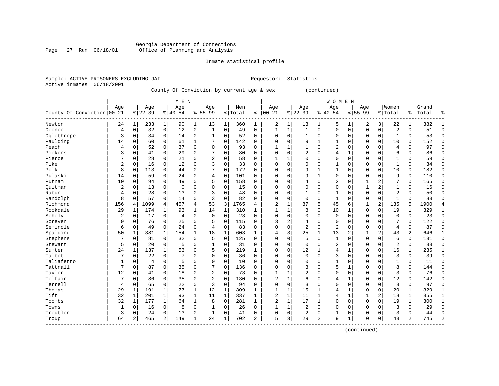#### Georgia Department of Corrections<br>Page 27 Run 06/18/01 office of Planning and Analysis Page 27 Run 06/18/01 Office of Planning and Analysis

#### Inmate statistical profile

Sample: ACTIVE PRISONERS EXCLUDING JAIL **Requestor:** Statistics Active inmates 06/18/2001

### County Of Conviction by current age & sex (continued)

|                            | M E N          |              |           |                |                |              |                |              |           |              |                |              |                |              | <b>WOMEN</b>   |                |             |                |                |              |       |                |
|----------------------------|----------------|--------------|-----------|----------------|----------------|--------------|----------------|--------------|-----------|--------------|----------------|--------------|----------------|--------------|----------------|----------------|-------------|----------------|----------------|--------------|-------|----------------|
|                            | Age            |              | Age       |                | Age            |              | Age            |              | Men       |              | Age            |              | Age            |              | Age            |                | Age         |                | Women          |              | Grand |                |
| County Of Conviction 00-21 |                |              | $8 22-39$ |                | $8 40-54$      |              | $8155 - 99$    |              | %   Total | ៖            | $00 - 21$      |              | $8 22-39$      |              | $8140 - 54$    |                | $8155 - 99$ |                | % Total        | ွေ           | Total | ႜ              |
| Newton                     | 24             | 1            | 233       | $\mathbf{1}$   | 90             | 1            | 13             | 1            | 360       | 1            | 2              |              | 13             | 1            | 5              |                | 2           | 3              | 22             |              | 382   | $\mathbf{1}$   |
| Oconee                     | $\overline{4}$ | $\mathbf 0$  | 32        | 0              | 12             | 0            | $\mathbf{1}$   | $\mathbf 0$  | 49        | $\mathbf 0$  | $\mathbf{1}$   | $\mathbf{1}$ | $\mathbf{1}$   | 0            | $\Omega$       | $\mathbf 0$    | $\Omega$    | $\mathbf 0$    | $\overline{2}$ | $\Omega$     | 51    | $\mathbf 0$    |
| Oglethrope                 | 3              | $\mathbf 0$  | 34        | $\mathbf 0$    | 14             | $\mathbf 0$  | 1              | $\mathbf 0$  | 52        | $\mathbf 0$  | $\Omega$       | $\Omega$     | $\mathbf{1}$   | 0            | $\Omega$       | $\Omega$       | $\Omega$    | $\Omega$       | 1              | $\Omega$     | 53    | $\mathbf 0$    |
| Paulding                   | 14             | $\mathbf 0$  | 60        | $\mathbf 0$    | 61             | $\mathbf{1}$ | 7              | $\mathbf 0$  | 142       | $\mathbf 0$  | $\Omega$       | $\Omega$     | 9              | $\mathbf{1}$ |                | $\mathbf 0$    | $\Omega$    | $\Omega$       | 10             | $\Omega$     | 152   | $\mathbf 0$    |
| Peach                      | 4              | $\mathbf 0$  | 52        | $\mathbf 0$    | 37             | $\mathbf 0$  | 0              | 0            | 93        | $\mathbf 0$  |                |              | $\mathbf{1}$   | 0            | 2              | $\mathsf 0$    | $\Omega$    | $\mathbf 0$    | $\overline{4}$ | $\mathbf 0$  | 97    | $\mathbf 0$    |
| Pickens                    | 3              | $\mathbf 0$  | 41        | 0              | 29             | 0            | 7              | 0            | 80        | $\mathbf 0$  | $\Omega$       | $\Omega$     | 2              | $\Omega$     | 4              | $\mathbf{1}$   | 0           | 0              | 6              | 0            | 86    | $\mathbf 0$    |
| Pierce                     | 7              | $\mathbf 0$  | 28        | $\mathbf 0$    | 21             | 0            | $\overline{2}$ | $\mathsf 0$  | 58        | $\mathbf 0$  | 1              |              | $\Omega$       | $\Omega$     | $\Omega$       | $\mathbf 0$    | $\Omega$    | $\mathbf 0$    | $\mathbf{1}$   | $\Omega$     | 59    | $\mathbf 0$    |
| Pike                       | $\overline{2}$ | 0            | 16        | $\mathbf 0$    | 12             | $\mathbf 0$  | 3              | $\mathbf 0$  | 33        | $\mathbf 0$  | $\Omega$       | $\Omega$     | $\Omega$       | $\Omega$     | 1              | 0              | $\Omega$    | $\mathbf 0$    | 1              | $\Omega$     | 34    | $\mathbf 0$    |
| Polk                       | 8              | 0            | 113       | 0              | 44             | 0            | 7              | $\mathbf 0$  | 172       | $\mathbf 0$  | $\Omega$       | $\Omega$     | 9              |              |                | $\Omega$       | 0           | 0              | 10             | $\Omega$     | 182   | 0              |
| Pulaski                    | 14             | $\mathbf 0$  | 59        | 0              | 24             | $\mathsf 0$  | 4              | $\mathsf 0$  | 101       | 0            | $\Omega$       |              | 9              | 1            | $\Omega$       | $\Omega$       | $\Omega$    | $\Omega$       | 9              | $\Omega$     | 110   | 0              |
| Putnam                     | 10             | $\mathbf 0$  | 94        | $\mathbf 0$    | 49             | $\mathbf 0$  | 5              | $\mathbf 0$  | 158       | $\Omega$     | $\Omega$       | ∩            | 4              | $\Omega$     | $\overline{2}$ | $\Omega$       |             | $\overline{a}$ | 7              | $\Omega$     | 165   | $\mathbf 0$    |
| Ouitman                    | $\overline{2}$ | 0            | 13        | $\mathbf 0$    | $\overline{0}$ | $\mathbf 0$  | 0              | $\mathbf 0$  | 15        | $\mathbf 0$  | $\Omega$       | $\Omega$     | $\Omega$       | $\Omega$     | $\Omega$       | $\Omega$       | 1           | $\overline{a}$ | 1              | $\Omega$     | 16    | $\Omega$       |
| Rabun                      | 4              | 0            | 28        | $\mathbf 0$    | 13             | 0            | 3              | $\mathbf 0$  | 48        | $\mathbf 0$  | $\Omega$       | $\Omega$     | $\mathbf{1}$   | $\Omega$     |                | $\Omega$       | 0           | $\Omega$       | $\overline{2}$ | $\Omega$     | 50    | $\mathbf 0$    |
| Randolph                   | 8              | $\mathbf 0$  | 57        | $\mathbf 0$    | 14             | 0            | 3              | $\mathbf 0$  | 82        | 0            | $\Omega$       | $\Omega$     | $\mathbf 0$    | 0            | $\mathbf{1}$   | 0              | $\Omega$    | $\mathbf 0$    | 1              | $\Omega$     | 83    | $\Omega$       |
| Richmond                   | 156            | 4            | 1099      | 4              | 457            | 4            | 53             | 3            | 1765      | 4            | $\overline{2}$ | 1            | 87             | 5            | 45             | 6              | 1           | $\overline{2}$ | 135            | 5            | 1900  | 4              |
| Rockdale                   | 29             | $\mathbf 1$  | 174       | $\mathbf{1}$   | 93             | $\mathbf 1$  | 14             | 1            | 310       | 1            | $\mathbf{1}$   | 1            | 8              | 0            | 10             | 1              | $\Omega$    | $\mathbf 0$    | 19             | 1            | 329   | $\mathbf{1}$   |
| Schely                     | 2              | 0            | 17        | 0              | 4              | 0            | 0              | 0            | 23        | $\mathbf 0$  | $\Omega$       | $\Omega$     | $\Omega$       | 0            | $\mathbf 0$    | 0              | 0           | $\mathbf 0$    | $\mathbf 0$    | $\Omega$     | 23    | 0              |
| Screven                    | 9              | 0            | 76        | 0              | 25             | 0            | 5              | 0            | 115       | 0            | 3              | 2            | 4              | 0            | $\Omega$       | $\Omega$       | $\Omega$    | 0              |                | $\Omega$     | 122   | 0              |
| Seminole                   | 6              | $\mathbf 0$  | 49        | $\Omega$       | 24             | $\Omega$     | 4              | 0            | 83        | $\Omega$     | $\Omega$       | $\Omega$     | 2              | $\Omega$     | 2              | $\Omega$       | $\Omega$    | $\Omega$       | $\overline{4}$ | $\Omega$     | 87    | $\Omega$       |
| Spalding                   | 50             | 1            | 381       | 1              | 154            | 1            | 18             | $\mathbf{1}$ | 603       | $\mathbf{1}$ | 4              | 3            | 25             | 1            | 13             | $\overline{2}$ | 1           | 2              | 43             | 2            | 646   | $\mathbf{1}$   |
| Stephens                   |                | $\mathbf 0$  | 81        | 0              | 32             | $\mathbf 0$  | 5              | $\mathbf 0$  | 125       | $\mathbf 0$  | $\Omega$       | $\Omega$     | 5              | $\Omega$     | 1              | $\Omega$       | $\Omega$    | $\Omega$       | 6              | $\Omega$     | 131   | $\mathbf 0$    |
| Stewart                    | 5              | 0            | 20        | $\mathbf 0$    | 5              | 0            | 1              | 0            | 31        | $\mathbf 0$  | $\Omega$       | $\Omega$     | 0              | $\Omega$     | 2              | 0              | 0           | $\mathbf 0$    | 2              | $\Omega$     | 33    | 0              |
| Sumter                     | 24             | 1            | 137       | $\mathbf{1}$   | 53             | 0            | 5              | $\mathsf 0$  | 219       | 1            | $\Omega$       | $\Omega$     | 12             |              | 4              | 1              | $\Omega$    | $\mathbf 0$    | 16             | 1            | 235   | $\mathbf{1}$   |
| Talbot                     | 7              | $\mathbf 0$  | 22        | $\mathbf 0$    | 7              | $\Omega$     | $\Omega$       | $\mathbf 0$  | 36        | $\Omega$     | $\Omega$       | $\Omega$     | $\mathbf 0$    | $\Omega$     | 3              | $\Omega$       | $\Omega$    | $\Omega$       | 3              | $\Omega$     | 39    | $\mathbf 0$    |
| Taliaferro                 | 1              | 0            | 4         | $\Omega$       | 5              | 0            | $\Omega$       | $\mathbf 0$  | 10        | $\Omega$     | $\Omega$       | $\Omega$     | $\mathbf 0$    | 0            |                | $\Omega$       | 0           | $\Omega$       | 1              | $\Omega$     | 11    | $\mathbf 0$    |
| Tattnall                   |                | $\mathbf 0$  | 87        | $\Omega$       | 35             | $\mathbf 0$  | 7              | $\mathbf 0$  | 136       | $\Omega$     | $\Omega$       |              | 3              | $\Omega$     | 5              | 1              | $\Omega$    | $\Omega$       | 8              | $\Omega$     | 144   | $\mathbf 0$    |
| Taylor                     | 12             | $\mathbf 0$  | 41        | $\Omega$       | 18             | 0            | $\overline{2}$ | $\mathbf 0$  | 73        | $\Omega$     | 1              |              | $\overline{2}$ | $\Omega$     | $\Omega$       | $\Omega$       | $\Omega$    | $\Omega$       | 3              | $\Omega$     | 76    | $\Omega$       |
| Telfair                    |                | $\Omega$     | 86        | 0              | 35             | 0            | $\overline{2}$ | 0            | 130       | $\Omega$     | $\overline{2}$ |              | 6              | $\Omega$     | 4              | $\mathbf{1}$   | $\Omega$    | $\Omega$       | 12             | $\Omega$     | 142   | $\Omega$       |
| Terrell                    | $\overline{4}$ | 0            | 65        | $\Omega$       | 22             | 0            | 3              | $\mathbf 0$  | 94        | $\Omega$     | $\Omega$       | $\Omega$     | 3              | $\Omega$     | $\Omega$       | $\Omega$       | $\Omega$    | $\Omega$       | 3              | $\Omega$     | 97    | $\Omega$       |
| Thomas                     | 29             | 1            | 191       | 1              | 77             | 1            | 12             | $\mathbf{1}$ | 309       | $\mathbf{1}$ |                | 1            | 15             | 1            | 4              | 1              | $\Omega$    | $\Omega$       | 20             | 1            | 329   | $\mathbf{1}$   |
| Tift                       | 32             | $\mathbf{1}$ | 201       | $\mathbf{1}$   | 93             | $\mathbf{1}$ | 11             | $\mathbf 1$  | 337       | $\mathbf{1}$ | 2              | $\mathbf{1}$ | 11             | 1            | 4              | $\mathbf{1}$   | 1           | 2              | 18             | 1            | 355   | $\mathbf{1}$   |
| Toombs                     | 32             | 1            | 177       | $\mathbf{1}$   | 64             | $\mathbf 1$  | 8              | $\mathbf 0$  | 281       | 1            | $\overline{2}$ | $\mathbf{1}$ | 17             | $\mathbf{1}$ | $\Omega$       | $\Omega$       | $\Omega$    | $\Omega$       | 19             | $\mathbf{1}$ | 300   | $\mathbf{1}$   |
| Towns                      | 1              | $\mathbf 0$  | 16        | 0              | 8              | 0            | 1              | $\mathbf 0$  | 26        | $\Omega$     | 1              | 1            | $\overline{c}$ | 0            | $\Omega$       | $\Omega$       | 0           | $\Omega$       | 3              | $\Omega$     | 29    | $\mathbf 0$    |
| Treutlen                   | 3              | 0            | 24        | $\Omega$       | 13             | 0            | -1             | 0            | 41        | $\mathbf 0$  | $\Omega$       | 0            | 2              | 0            |                | 0              | 0           | 0              | 3              | $\Omega$     | 44    | $\mathbf 0$    |
| Troup                      | 64             | 2            | 465       | $\overline{a}$ | 149            | 1            | 24             | 1            | 702       | 2            | 5              | 3            | 29             | 2            | 9              | 1              | 0           | 0              | 43             | 2            | 745   | $\overline{2}$ |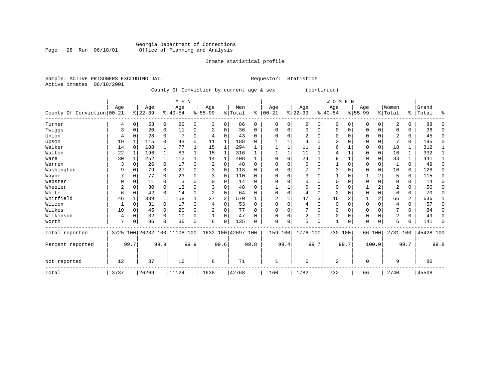### Georgia Department of Corrections Page 28 Run 06/18/01 Office of Planning and Analysis

#### Inmate statistical profile

Active inmates 06/18/2001

Sample: ACTIVE PRISONERS EXCLUDING JAIL **Requestor:** Statistics

County Of Conviction by current age & sex (continued)

|                            |      |          |                              |          | M E N     |      |                |                |                    |          | <b>WOMEN</b>   |             |                |      |                |              |             |                |                |          |           |          |
|----------------------------|------|----------|------------------------------|----------|-----------|------|----------------|----------------|--------------------|----------|----------------|-------------|----------------|------|----------------|--------------|-------------|----------------|----------------|----------|-----------|----------|
|                            | Age  |          | Age                          |          | Age       |      | Age            |                | Men                |          | Age            |             | Age            |      | Aqe            |              | Age         |                | Women          |          | Grand     |          |
| County Of Conviction 00-21 |      |          | $8 22-39$                    |          | $8 40-54$ |      | $8155 - 99$    |                | % Total            | ి        | $00 - 21$      |             | $ 22-39$       |      | $8 40-54$      |              | $8155 - 99$ |                | % Total        | ွေ       | Total     | ៖        |
| Turner                     | 4    | $\Omega$ | 53                           | 0        | 26        | 0    | 3              | 0              | 86                 | 0        | $\mathbf 0$    | 0           | 2              | 0    | $\mathbf 0$    | $\mathbf{0}$ | 0           | 0              | 2              | $\Omega$ | 88        | $\Omega$ |
| Twiggs                     | 3    | $\Omega$ | 20                           | 0        | 11        | 0    | 2              | 0              | 36                 | 0        | $\Omega$       | 0           | $\Omega$       | 0    | $\Omega$       | $\Omega$     | 0           | 0              | $\Omega$       | 0        | 36        | $\Omega$ |
| Union                      | 4    | $\Omega$ | 28                           | $\Omega$ |           | 0    | $\overline{4}$ | $\Omega$       | 43                 | $\Omega$ | ∩              |             | $\overline{2}$ | O    | $\Omega$       | $\Omega$     | U           | 0              | $\overline{c}$ | 0        | 45        | $\Omega$ |
| Upson                      | 19   |          | 115                          | $\Omega$ | 43        | 0    | 11             |                | 188                | U        |                |             | 4              | O    | $\overline{2}$ | $\Omega$     |             | 0              |                | 0        | 195       | $\Omega$ |
| Walker                     | 14   | $\Omega$ | 188                          |          | 77        |      | 15             |                | 294                |          |                |             | 11             |      | 6              |              | U           | $\mathbf 0$    | 18             |          | 312       |          |
| Walton                     | 22   |          | 196                          |          | 83        |      | 15             | 1              | 316                |          |                |             | 11             |      |                |              |             | 0              | 16             | 1        | 332       | 1        |
| Ware                       | 30   |          | 252                          |          | 112       |      | 14             |                | 408                |          | <sup>0</sup>   | $\Omega$    | 24             | 1    | 9              |              | U           | $\Omega$       | 33             |          | 441       |          |
| Warren                     | 3    | $\Omega$ | 26                           | $\Omega$ | 17        | 0    | 2              | $\Omega$       | 48                 | $\Omega$ | <sup>0</sup>   |             | $\Omega$       | O    |                | $\Omega$     | U           | 0              |                | $\Omega$ | 49        | $\Omega$ |
| Washington                 | 9    | $\Omega$ | 79                           | $\Omega$ | 27        | 0    | 3              | $\Omega$       | 118                | 0        |                | 0           |                | O    | 3              | $\Omega$     |             | $\Omega$       | 10             | $\Omega$ | 128       | $\Omega$ |
| Wayne                      |      | $\Omega$ | 77                           | $\Omega$ | 23        | 0    | 3              | $\Omega$       | 110                | $\Omega$ | <sup>0</sup>   | $\Omega$    | 3              | O    |                | $\Omega$     |             | 2              | 5              | $\Omega$ | 115       | $\Omega$ |
| Webster                    |      | $\Omega$ | 11                           | $\Omega$ | 3         | 0    |                | $\Omega$       | 14                 | 0        |                |             | $\Omega$       | 0    | $\Omega$       | $\Omega$     |             | 0              | 0              | $\Omega$ | 14        | $\Omega$ |
| Wheeler                    | 2    | $\Omega$ | 30                           | $\Omega$ | 13        | 0    |                | 0              | 48                 | 0        |                |             | $\Omega$       | O    | $\Omega$       | ∩            |             | 2              | $\overline{2}$ | U        | 50        | $\Omega$ |
| White                      | 6    | $\Omega$ | 42                           | $\Omega$ | 14        | 0    | $\overline{2}$ | $\Omega$       | 64                 | U        | $\Omega$       | $\mathbf 0$ | 4              | 0    | $\overline{2}$ | ∩            | U           | $\mathbf 0$    | 6              | 0        | 70        | $\Omega$ |
| Whitfield                  | 46   |          | 339                          |          | 158       | 1    | 27             | $\overline{2}$ | 570                |          | $\overline{2}$ | 1           | 47             | 3    | 16             | 2            |             | $\overline{a}$ | 66             | 2        | 636       |          |
| Wilcox                     |      | $\Omega$ | 31                           | $\Omega$ | 17        | 0    | 4              | $\Omega$       | 53                 | $\Omega$ | $\Omega$       | $\Omega$    | 4              | 0    | $\Omega$       | $\Omega$     | O           | $\Omega$       | 4              | $\Omega$ | 57        | $\Omega$ |
| Wilkes                     | 10   | $\Omega$ | 45                           | 0        | 20        | 0    | $\overline{2}$ | 0              | 77                 | 0        | $\Omega$       | 0           |                | 0    | $\mathbf 0$    | $\Omega$     | 0           | 0              |                | 0        | 84        | $\Omega$ |
| Wilkinson                  | 4    | $\Omega$ | 32                           | $\Omega$ | 10        | 0    |                | $\Omega$       | 47                 | U        | <sup>0</sup>   | 0           | 2              | 0    | $\Omega$       | $\Omega$     | 0           | $\Omega$       | $\overline{2}$ | 0        | 49        | $\Omega$ |
| Worth                      | 7    | U        | 86                           | $\Omega$ | 36        | 0    | 6              | $\Omega$       | 135                | U        | $\Omega$       | 0           | 5              | 0    | $\mathbf{1}$   | 0            | 0           | 0              | 6              |          | 141       | ∩        |
| Total reported             |      |          | 3725 100 26232 100 11108 100 |          |           |      |                |                | 1632 100 42697 100 |          | 159            | 100         | 1776 100       |      | 730 100        |              |             | 66 100         | 2731 100       |          | 45428 100 |          |
| Percent reported           |      | 99.7     |                              | 99.9     |           | 99.9 |                | 99.6           |                    | 99.8     |                | 99.4        |                | 99.7 |                | 99.7         |             | 100.0          |                | 99.7     |           | 99.8     |
| Not reported               | 12   |          | 37                           |          | 16        |      | 6              |                | 71                 |          |                |             | 6              |      | 2              |              | 0           |                | 9              |          | 80        |          |
| Total                      | 3737 |          | 26269                        |          | 11124     |      | 1638           |                | 42768              |          | 160            |             | 1782           |      | 732            |              | 66          |                | 2740           |          | 45508     |          |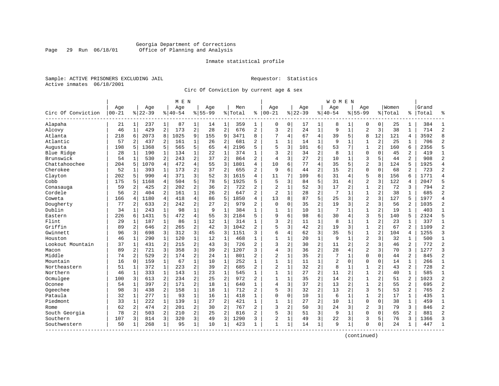#### Georgia Department of Corrections Page 29 Run 06/18/01 Office of Planning and Analysis

#### Inmate statistical profile

Sample: ACTIVE PRISONERS EXCLUDING JAIL **Requestor:** Statistics Active inmates 06/18/2001

Circ Of Conviction by current age & sex

|                    | M E N      |              |           |                         |           |                |             |                |         |                |                |                |          |                | W O M E N      |                |                |                |         |                |           |                |
|--------------------|------------|--------------|-----------|-------------------------|-----------|----------------|-------------|----------------|---------|----------------|----------------|----------------|----------|----------------|----------------|----------------|----------------|----------------|---------|----------------|-----------|----------------|
|                    | Age        |              | Age       |                         | Age       |                | Age         |                | Men     |                | Age            |                | Age      |                | Age            |                | Age            |                | Women   |                | Grand     |                |
| Circ Of Conviction | $ 00 - 21$ |              | $8 22-39$ |                         | $8 40-54$ |                | $8155 - 99$ |                | % Total | ి              | $ 00 - 21$     |                | $ 22-39$ |                | $ 40-54$       |                | $8155 - 99$    |                | % Total |                | %   Total |                |
| Alapaha            | 21         | $\mathbf{1}$ | 237       | 1                       | 87        | $\mathbf{1}$   | 14          | 1              | 359     | 1              | 0              | 0              | 17       | 1              | 8              | 1              | 0              | 0              | 25      | 1              | 384       | -1             |
| Alcovy             | 46         | $\mathbf{1}$ | 429       | $\overline{\mathbf{c}}$ | 173       | 2              | 28          | $\overline{c}$ | 676     | 2              | 3              | $\overline{a}$ | 24       | $\mathbf{1}$   | 9              | $\mathbf{1}$   | $\overline{2}$ | 3              | 38      | $\mathbf{1}$   | 714       | $\overline{c}$ |
| Atlanta            | 218        | 6            | 2073      | 8                       | 1025      | 9              | 155         | 9              | 3471    | 8              | 7              | 4              | 67       | $\overline{4}$ | 39             | 5              | 8              | 12             | 121     | 4              | 3592      | $\mathsf{R}$   |
| Atlantic           | 57         | 2            | 437       | 2                       | 161       | 1              | 26          | 2              | 681     | 2              | $\mathbf{1}$   | 1              | 14       | $\mathbf 1$    | 9              | 1              | 1              | $\overline{c}$ | 25      | 1              | 706       | $\overline{c}$ |
| Augusta            | 198        | 5            | 1368      | 5                       | 565       | 5              | 65          | 4              | 2196    | 5              | 5              | 3              | 101      | 6              | 53             |                | $\mathbf{1}$   | $\overline{2}$ | 160     | 6              | 2356      | 5              |
| Blue Ridge         | 28         | 1            | 190       | 1                       | 134       | 1              | 22          | 1              | 374     | $\mathbf{1}$   | 3              | 2              | 34       | $\overline{a}$ | 8              | 1              | $\mathbf 0$    | $\Omega$       | 45      | 2              | 419       | $\mathbf{1}$   |
| Brunswick          | 54         | 1            | 530       | 2                       | 243       | 2              | 37          | $\overline{c}$ | 864     | 2              | 4              | 3              | 27       | $\overline{c}$ | 10             | 1              | 3              | 5              | 44      | 2              | 908       | $\overline{c}$ |
| Chattahoochee      | 204        | 5            | 1070      | 4                       | 472       | $\overline{4}$ | 55          | 3              | 1801    | 4              | 10             | 6              | 77       | $\overline{4}$ | 35             | 5              | $\overline{2}$ | 3              | 124     | 5              | 1925      | $\overline{4}$ |
| Cherokee           | 52         | 1            | 393       | $\mathbf{1}$            | 173       | $\overline{2}$ | 37          | $\overline{2}$ | 655     | $\overline{2}$ | 9              | 6              | 44       | $\overline{a}$ | 15             | 2              | $\Omega$       | $\Omega$       | 68      | $\overline{a}$ | 723       | $\overline{2}$ |
| Clayton            | 202        | 5            | 990       | 4                       | 371       | 3              | 52          | 3              | 1615    | 4              | 11             | 7              | 109      | 6              | 31             | $\overline{4}$ | 5              | 8              | 156     | 6              | 1771      | $\overline{4}$ |
| Cobb               | 175        | 5            | 1168      | 4                       | 504       | 5              | 78          | 5              | 1925    | 5              | 5              | 3              | 84       | 5              | 31             | 4              | $\overline{2}$ | 3              | 122     | 4              | 2047      | 5              |
| Conasauga          | 59         | 2            | 425       | 2                       | 202       | 2              | 36          | 2              | 722     | $\overline{a}$ | $\overline{2}$ | $\mathbf{1}$   | 52       | 3              | 17             | 2              | $\mathbf 1$    | $\overline{a}$ | 72      | 3              | 794       | $\overline{2}$ |
| Cordele            | 56         | 2            | 404       | 2                       | 161       | 1              | 26          | $\overline{c}$ | 647     | 2              | $\overline{2}$ | $\mathbf 1$    | 28       | $\overline{c}$ | 7              | $\mathbf{1}$   | 1              | 2              | 38      | $\mathbf{1}$   | 685       | $\overline{2}$ |
| Coweta             | 166        | 4            | 1180      | 4                       | 418       | 4              | 86          | 5              | 1850    | 4              | 13             | 8              | 87       | 5              | 25             | 3              | $\overline{a}$ | 3              | 127     | 5              | 1977      | $\overline{4}$ |
| Dougherty          | 77         | 2            | 633       | 2                       | 242       | 2              | 27          | $\overline{2}$ | 979     | 2              | $\mathbf 0$    | 0              | 35       | $\overline{a}$ | 19             | 3              | $\overline{2}$ | 3              | 56      | 2              | 1035      | $\overline{2}$ |
| Dublin             | 34         | $\mathbf{1}$ | 243       | $\mathbf{1}$            | 98        | 1              | 9           | $\mathbf{1}$   | 384     | 1              | 1              | 1              | 10       | $\mathbf{1}$   | 7              | $\mathbf{1}$   | $\mathbf{1}$   | 2              | 19      | 1              | 403       | $\mathbf{1}$   |
| Eastern            | 226        | $\sqrt{2}$   | 1431      | 5                       | 472       | 4              | 55          | 3              | 2184    | 5              | 9              | 6              | 98       | 6              | 30             | $\overline{4}$ | 3              | 5              | 140     | 5              | 2324      | 5              |
| Flint              | 29         | 1            | 187       | 1                       | 86        | 1              | 12          | $\mathbf{1}$   | 314     | $\mathbf{1}$   | 3              | 2              | 11       | $\mathbf{1}$   | 8              | 1              | $\mathbf 1$    | $\overline{a}$ | 23      | $\mathbf{1}$   | 337       | $\mathbf{1}$   |
| Griffin            | 89         | $\mathbf{2}$ | 646       | 2                       | 265       | 2              | 42          | 3              | 1042    | $\overline{2}$ | 5              | 3              | 42       | $\sqrt{2}$     | 19             | 3              | 1              | $\overline{c}$ | 67      | 2              | 1109      | $\overline{c}$ |
| Gwinnett           | 96         | 3            | 698       | 3                       | 312       | 3              | 45          | 3              | 1151    | 3              | 6              | 4              | 62       | 3              | 35             | 5              | $\mathbf{1}$   | $\overline{c}$ | 104     | 4              | 1255      | 3              |
| Houston            | 46         | 1            | 290       | 1                       | 120       | $\mathbf{1}$   | 12          | 1              | 468     | 1              | $\mathbf{1}$   | 1              | 20       | $\mathbf{1}$   | 9              | 1              | $\overline{2}$ | 3              | 32      | 1              | 500       | $\mathbf{1}$   |
| Lookout Mountain   | 37         | 1            | 431       | 2                       | 215       | 2              | 43          | 3              | 726     | 2              | 3              | 2              | 30       | $\overline{2}$ | 11             | $\overline{2}$ | $\overline{2}$ | 3              | 46      | 2              | 772       | $\overline{c}$ |
| Macon              | 89         | 2            | 721       | 3                       | 358       | 3              | 39          | $\overline{2}$ | 1207    | 3              | $\overline{4}$ | 3              | 36       | $\overline{2}$ | 28             | $\overline{4}$ | $\overline{a}$ | 3              | 70      | 3              | 1277      | 3              |
| Middle             | 74         | 2            | 529       | 2                       | 174       | 2              | 24          | $\mathbf{1}$   | 801     | 2              | $\overline{2}$ | $\mathbf{1}$   | 35       | $\overline{2}$ | 7              | 1              | $\mathbf 0$    | $\Omega$       | 44      | 2              | 845       | $\overline{2}$ |
| Mountain           | 16         | $\mathbf 0$  | 159       | $\mathbf{1}$            | 67        | $\mathbf 1$    | 10          | $\mathbf 1$    | 252     | $\mathbf{1}$   | $\mathbf{1}$   | $\mathbf{1}$   | 11       | $\mathbf{1}$   | $\overline{a}$ | $\mathbf 0$    | $\mathbf 0$    | $\mathbf 0$    | 14      | $\mathbf{1}$   | 266       | $\mathbf{1}$   |
| Northeastern       | 51         | 1            | 372       | $\mathbf{1}$            | 223       | 2              | 39          | $\overline{c}$ | 685     | $\overline{2}$ | $\overline{2}$ | $\mathbf{1}$   | 32       | $\overline{2}$ | 8              | 1              | $\mathbf{1}$   | $\overline{c}$ | 43      | 2              | 728       | $\overline{c}$ |
| Northern           | 46         | 1            | 333       | $\mathbf{1}$            | 143       | 1              | 23          | 1              | 545     | 1              | $\mathbf{1}$   | $\mathbf{1}$   | 27       | $\overline{c}$ | 11             | $\overline{2}$ | 1              | 2              | 40      | 1              | 585       | $\mathbf{1}$   |
| Ocmulgee           | 100        | 3            | 613       | 2                       | 234       | 2              | 25          | 2              | 972     | 2              | 1              | 1              | 35       | $\overline{c}$ | 14             | $\overline{2}$ | $\mathbf{1}$   | 2              | 51      | 2              | 1023      | $\overline{c}$ |
| Oconee             | 54         | 1            | 397       | 2                       | 171       | 2              | 18          | $\mathbf{1}$   | 640     | $\mathbf{1}$   | $\overline{4}$ | 3              | 37       | $\overline{c}$ | 13             | $\overline{2}$ | $\mathbf 1$    | $\overline{a}$ | 55      | 2              | 695       | $\overline{c}$ |
| Ogeechee           | 98         | 3            | 438       | $\overline{a}$          | 158       | $\mathbf 1$    | 18          | $\mathbf{1}$   | 712     | 2              | 5              | 3              | 32       | $\overline{a}$ | 13             | $\overline{2}$ | 3              | 5              | 53      | 2              | 765       | $\overline{2}$ |
| Pataula            | 32         | 1            | 277       | $\mathbf 1$             | 93        | $\mathbf{1}$   | 16          | 1              | 418     | $\mathbf{1}$   | $\mathbf 0$    | $\mathbf 0$    | 10       | $\mathbf 1$    | 6              | $\mathbf{1}$   | $\mathbf{1}$   | 2              | 17      | $\mathbf{1}$   | 435       | $\mathbf{1}$   |
| Piedmont           | 33         | $\mathbf{1}$ | 222       | $\mathbf{1}$            | 139       | $\mathbf{1}$   | 27          | $\overline{c}$ | 421     | $\mathbf{1}$   | $\mathbf{1}$   | $\mathbf{1}$   | 27       | $\overline{a}$ | 10             | $\mathbf{1}$   | $\Omega$       | $\Omega$       | 38      | $\mathbf{1}$   | 459       | $\mathbf{1}$   |
| Rome               | 62         | 2            | 474       | $\overline{a}$          | 201       | 2              | 30          | $\overline{2}$ | 767     | 2              | ζ              | 2              | 50       | 3              | 24             | 3              | $\overline{2}$ | 3              | 79      | 3              | 846       | $\overline{2}$ |
| South Georgia      | 78         | 2            | 503       | 2                       | 210       | 2              | 25          | $\overline{c}$ | 816     | 2              | 5              | 3              | 51       | 3              | 9              | 1              | $\mathbf 0$    | $\Omega$       | 65      | 2              | 881       | $\overline{2}$ |
| Southern           | 107        | 3            | 814       | 3                       | 320       | 3              | 49          | 3              | 1290    | 3              | $\overline{2}$ | 1              | 49       | 3              | 22             | 3              | 3              | 5              | 76      | 3              | 1366      | 3              |
| Southwestern       | 50         | 1            | 268       | 1                       | 95        | $\mathbf 1$    | 10          | 1              | 423     | 1              | $\mathbf{1}$   | $\mathbf 1$    | 14       | $\mathbf{1}$   | 9              | 1              | $\Omega$       | 0              | 24      | 1              | 447       | $\mathbf{1}$   |
|                    |            |              |           |                         |           |                |             |                |         |                |                |                |          |                |                |                |                |                |         |                |           |                |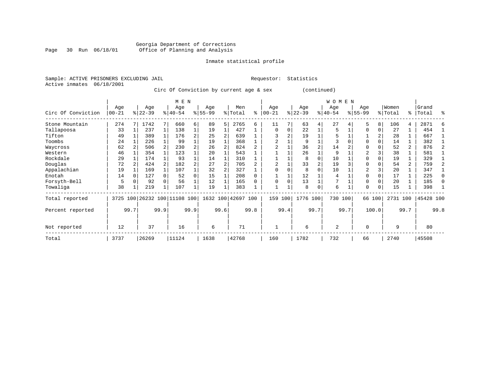### Georgia Department of Corrections Page 30 Run 06/18/01 Office of Planning and Analysis

#### Inmate statistical profile

Sample: ACTIVE PRISONERS EXCLUDING JAIL **Requestor:** Statistics Active inmates 06/18/2001

Circ Of Conviction by current age & sex (continued)

|                    |                   |      |                  |              | M E N                   |      |                  |      |                    |      |                  |      |                  |                | W O M E N        |      |                    |          |                  |                |                    |              |
|--------------------|-------------------|------|------------------|--------------|-------------------------|------|------------------|------|--------------------|------|------------------|------|------------------|----------------|------------------|------|--------------------|----------|------------------|----------------|--------------------|--------------|
| Circ Of Conviction | Age<br>$ 00 - 21$ |      | Age<br>$8 22-39$ |              | Age<br>$8 40-54$        |      | Age<br>$8 55-99$ |      | Men<br>% Total     | ి    | Age<br>$00 - 21$ |      | Age<br>$ 22-39 $ |                | Age<br>$8 40-54$ |      | Age<br>$8155 - 99$ |          | Women<br>% Total |                | Grand<br>%   Total | ႜ            |
| Stone Mountain     | 274               |      | 1742             |              | 660                     | 6    | 89               | 5    | 2765               | 6    | 11               |      | 63               | 4              | 27               |      | 5                  | 8        | 106              | 4              | 2871               |              |
| Tallapoosa         | 33                |      | 237              | $\mathbf{1}$ | 138                     |      | 19               |      | 427                |      | $\mathbf 0$      | 0    | 22               |                | 5                |      | $\Omega$           | $\Omega$ | 27               |                | 454                |              |
| Tifton             | 49                |      | 389              |              | 176                     | 2    | 25               |      | 639                |      |                  |      | 19               |                | 5                |      |                    |          | 28               |                | 667                |              |
| Toombs             | 24                |      | 226              |              | 99                      |      | 19               |      | 368                |      | $\overline{a}$   |      | 9                |                | 3                |      | $\Omega$           |          | 14               |                | 382                |              |
| Waycross           | 62                |      | 506              |              | 230                     | 2    | 26               |      | 824                |      |                  |      | 36               | $\overline{2}$ | 14               |      | $\Omega$           |          | 52               | $\overline{a}$ | 876                |              |
| Western            | 46                |      | 354              |              | 123                     |      | 20               |      | 543                |      |                  |      | 26               |                | 9                |      | $\overline{c}$     |          | 38               |                | 581                |              |
| Rockdale           | 29                |      | 174              |              | 93                      |      | 14               |      | 310                |      |                  |      | 8                | $\Omega$       | 10               |      | $\Omega$           |          | 19               |                | 329                |              |
| Douglas            | 72                |      | 424              |              | 182                     |      | 27               |      | 705                |      |                  |      | 33               |                | 19               |      | $\Omega$           |          | 54               | $\overline{a}$ | 759                |              |
| Appalachian        | 19                |      | 169              |              | 107                     |      | 32               |      | 327                |      |                  |      | 8                | $\Omega$       | 10               |      | $\overline{c}$     |          | 20               |                | 347                |              |
| Enotah             | 14                |      | 127              |              | 52                      |      | 15               |      | 208                | U    |                  |      | 12               |                | $\overline{4}$   |      | $\Omega$           |          | 17               |                | 225                | $\Omega$     |
| Forsyth-Bell       | 5                 |      | 92               |              | 56                      |      | 12               |      | 165                | 0    | $\Omega$         |      | 13               |                |                  |      | $\Omega$           |          | 20               |                | 185                | <sup>0</sup> |
| Towaliga           | 38                |      | 219              |              | 107                     |      | 19               |      | 383                |      |                  |      | 8                | 0              | 6                |      | $\Omega$           | $\Omega$ | 15               |                | 398                |              |
| Total reported     | 3725              |      |                  |              | 100 26232 100 11108 100 |      |                  |      | 1632 100 42697 100 |      | 159              | 100  | 1776 100         |                | 730 100          |      |                    | 66 100   | 2731 100         |                | 45428 100          |              |
| Percent reported   |                   | 99.7 |                  | 99.9         |                         | 99.9 |                  | 99.6 |                    | 99.8 |                  | 99.4 |                  | 99.7           |                  | 99.7 |                    | 100.0    |                  | 99.7           |                    | 99.8         |
| Not reported       | 12                |      | 37               |              | 16                      |      | 6                |      | 71                 |      |                  |      | 6                |                | 2                |      | $\Omega$           |          | 9                |                | 80                 |              |
| Total              | 3737              |      | 26269            |              | 11124                   |      | 1638             |      | 42768              |      | 160              |      | 1782             |                | 732              |      | 66                 |          | 2740             |                | 45508              |              |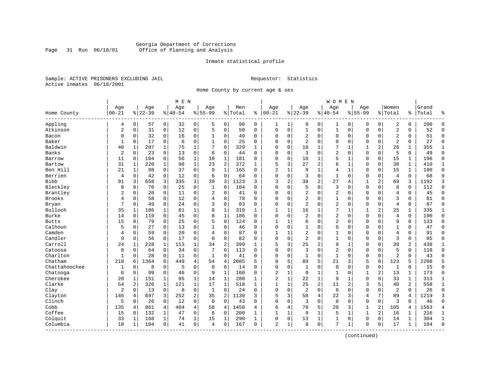#### Georgia Department of Corrections Page 31 Run 06/18/01 Office of Planning and Analysis

#### Inmate statistical profile

Sample: ACTIVE PRISONERS EXCLUDING JAIL **Requestor:** Statistics Active inmates 06/18/2001

Home County by current age & sex

|               |                |              | M E N     |                |           |                |                |                |           |              | <b>WOMEN</b>   |              |                |                |                |                |                |                |                |                |       |                |
|---------------|----------------|--------------|-----------|----------------|-----------|----------------|----------------|----------------|-----------|--------------|----------------|--------------|----------------|----------------|----------------|----------------|----------------|----------------|----------------|----------------|-------|----------------|
|               | Age            |              | Age       |                | Age       |                | Age            |                | Men       |              | Age            |              | Age            |                | Age            |                | Age            |                | Women          |                | Grand |                |
| Home County   | $00 - 21$      |              | $8 22-39$ |                | $8 40-54$ |                | $8155 - 99$    |                | %   Total | ి            | $ 00-21$       |              | $8 22-39$      |                | $8140 - 54$    |                | $8155 - 99$    |                | % Total        | %              | Total | န္             |
| Appling       | 4              | 0            | 57        | $\overline{0}$ | 32        | $\overline{0}$ | 5              | 0              | 98        | 0            | 1              | 1            | 0              | 0              | 1              | 0              | 0              | $\mathbf 0$    | 2              | 0              | 100   | $\Omega$       |
| Atkinson      | 2              | 0            | 31        | 0              | 12        | 0              | 5              | 0              | 50        | 0            | $\mathbf 0$    | 0            | $\mathbf{1}$   | 0              | $\mathbf{1}$   | $\mathbf 0$    | $\Omega$       | $\mathbf 0$    | $\overline{a}$ | 0              | 52    | $\Omega$       |
| Bacon         | 0              | 0            | 32        | 0              | 16        | 0              | 1              | 0              | 49        | $\Omega$     | 0              | 0            | 2              | 0              | 0              | 0              | 0              | 0              | $\overline{2}$ | 0              | 51    | $\Omega$       |
| Baker         | $\mathbf{1}$   | 0            | 17        | 0              | 6         | 0              | 1              | 0              | 25        | 0            | $\Omega$       | 0            | $\overline{2}$ | 0              | 0              | $\mathbf 0$    | $\mathbf 0$    | 0              | $\overline{2}$ | 0              | 27    | $\Omega$       |
| Baldwin       | 40             | 1            | 207       | 1              | 75        | 1              | 7              | 0              | 329       | 1            | $\Omega$       | 0            | 18             | 1              |                | 1              | 1              | $\overline{a}$ | 26             | 1              | 355   | 1              |
| Banks         | 2              | $\Omega$     | 23        | $\Omega$       | 13        | $\Omega$       | 6              | $\Omega$       | 44        | $\Omega$     | $\Omega$       | 0            | 3              | $\Omega$       | $\overline{2}$ | $\Omega$       | $\Omega$       | $\Omega$       | 5              | $\Omega$       | 49    | $\Omega$       |
| Barrow        | 11             | $\Omega$     | 104       | $\Omega$       | 56        | 1              | 10             | $\mathbf 1$    | 181       | $\Omega$     | $\mathbf 0$    | 0            | 10             | 1              | 5              | $\mathbf 1$    | $\Omega$       | $\Omega$       | 15             | 1              | 196   | $\Omega$       |
| Bartow        | 31             | $\mathbf{1}$ | 220       | 1              | 98        | 1              | 23             | $\overline{c}$ | 372       | $\mathbf{1}$ | 5              | 3            | 27             | $\overline{c}$ | б              | $\mathbf{1}$   | $\Omega$       | $\mathbf 0$    | 38             | $\mathbf{1}$   | 410   | 1              |
| Ben Hill      | 21             | $\mathbf{1}$ | 98        | $\overline{0}$ | 37        | 0              | 9              | $\mathbf{1}$   | 165       | $\Omega$     | $\overline{2}$ | $\mathbf{1}$ | 9              | 1              | 4              | $\mathbf{1}$   | $\Omega$       | 0              | 15             | $\mathbf{1}$   | 180   | $\Omega$       |
| Berrien       | 4              | 0            | 42        | 0              | 12        | 0              | 6              | $\mathbf 0$    | 64        | $\Omega$     | $\Omega$       | 0            | 3              | 0              | $\mathbf{1}$   | $\mathbf 0$    | $\Omega$       | $\mathbf 0$    | $\overline{4}$ | 0              | 68    | $\Omega$       |
| <b>Bibb</b>   | 91             | 3            | 658       | 3              | 335       | 3              | 39             | 3              | 1123      | 3            | 3              | 2            | 38             | 2              | 27             | $\overline{4}$ | 1              | 2              | 69             | 3              | 1192  | 3              |
| Bleckley      | 8              | 0            | 70        | 0              | 25        | 0              | 1              | $\Omega$       | 104       | $\Omega$     | $\Omega$       | 0            | 5              | 0              | 3              | $\mathbf 0$    | $\Omega$       | $\Omega$       | 8              | $\mathbf 0$    | 112   | $\Omega$       |
| Brantley      | 2              | 0            | 26        | 0              | 11        | 0              | $\overline{2}$ | 0              | 41        | 0            | 0              | 0            | $\overline{2}$ | 0              | 2              | $\mathbf 0$    | 0              | $\Omega$       | $\overline{4}$ | 0              | 45    | $\Omega$       |
| <b>Brooks</b> | 4              | 0            | 58        | $\mathbf 0$    | 12        | 0              | 4              | $\mathbf 0$    | 78        | 0            | $\mathbf 0$    | 0            | $\overline{2}$ | 0              | $\mathbf{1}$   | $\mathbf 0$    | 0              | 0              | 3              | 0              | 81    | $\Omega$       |
| Bryan         | 7              | $\Omega$     | 49        | $\mathbf 0$    | 24        | 0              | 3              | $\Omega$       | 83        | $\Omega$     | $\Omega$       | 0            | $\overline{2}$ | $\Omega$       | 2              | $\Omega$       | $\mathbf 0$    | $\Omega$       | $\overline{4}$ | $\Omega$       | 87    | $\Omega$       |
| Bulloch       | 35             | 1            | 186       | 1              | 81        | 1              | 8              | 1              | 310       | 1            | $\mathbf{1}$   | 1            | 16             | 1              | 7              | 1              | 1              | 2              | 25             | 1              | 335   | 1              |
| Burke         | 14             | 0            | 119       | $\mathbf 0$    | 45        | 0              | 8              | $\mathbf{1}$   | 186       | $\Omega$     | $\Omega$       | $\Omega$     | $\overline{c}$ | $\Omega$       | $\overline{2}$ | $\mathbf 0$    | $\Omega$       | $\Omega$       | $\overline{4}$ | $\Omega$       | 190   | $\Omega$       |
| <b>Butts</b>  | 15             | 0            | 79        | 0              | 25        | 0              | 5              | $\Omega$       | 124       | $\Omega$     | 1              | 1            | 6              | $\Omega$       | 2              | $\mathbf 0$    | $\Omega$       | $\Omega$       | 9              | $\Omega$       | 133   | $\Omega$       |
| Calhoun       | 5              | 0            | 27        | $\Omega$       | 13        | 0              | 1              | $\mathbf 0$    | 46        | $\Omega$     | 0              | 0            | 1              | 0              | 0              | $\mathbf 0$    | 0              | $\Omega$       | $\mathbf{1}$   | 0              | 47    | $\Omega$       |
| Camden        | 4              | 0            | 59        | 0              | 20        | 0              | 4              | 0              | 87        | $\Omega$     | $\mathbf{1}$   | 1            | 2              | 0              | 1              | 0              | $\Omega$       | 0              | $\overline{4}$ | 0              | 91    | $\Omega$       |
| Candler       | 9              | 0            | 56        | 0              | 17        | 0              | $\Omega$       | 0              | 82        | 0            | $\Omega$       | 0            | $\overline{2}$ | 0              | 1              | $\mathbf 0$    | $\Omega$       | 0              | 3              | 0              | 85    | $\Omega$       |
| Carroll       | 24             | 1            | 228       | 1              | 113       | $\mathbf 1$    | 34             | 2              | 399       | 1            | 5              | 3            | 25             | 2              | 9              | $\mathbf{1}$   | $\Omega$       | $\Omega$       | 39             | 2              | 438   | 1              |
| Catoosa       | 8              | $\Omega$     | 64        | $\mathbf 0$    | 34        | 0              | 7              | $\Omega$       | 113       | $\Omega$     | $\Omega$       | O            | 3              | $\Omega$       | $\overline{2}$ | $\mathbf 0$    | $\Omega$       | $\Omega$       | 5              | $\Omega$       | 118   | $\Omega$       |
| Charlton      | $\mathbf{1}$   | $\Omega$     | 28        | $\mathbf 0$    | 11        | $\Omega$       | 1              | $\Omega$       | 41        | $\Omega$     | $\Omega$       | $\Omega$     | $\mathbf{1}$   | $\Omega$       | $\mathbf{1}$   | $\Omega$       | $\Omega$       | $\Omega$       | $\overline{2}$ | $\Omega$       | 43    | $\Omega$       |
| Chatham       | 218            | 6            | 1364      | 6              | 449       | 4              | 54             | $\overline{4}$ | 2085      | 5            | 8              | 5            | 89             | 5              | 21             | 3              | 5              | 8              | 123            | 5              | 2208  | 5              |
| Chattahoochee | $\mathbf 1$    | 0            | 8         | $\mathbf 0$    | 5         | 0              | $\mathbf 0$    | $\mathbf 0$    | 14        | $\Omega$     | $\mathbf 0$    | 0            | $\mathbf{1}$   | 0              | 0              | $\Omega$       | 0              | 0              | $\mathbf{1}$   | $\mathbf 0$    | 15    | $\Omega$       |
| Chatooga      | 6              | 0            | 99        | $\mathbf 0$    | 46        | 0              | 9              | $\mathbf 1$    | 160       | $\Omega$     | $\overline{c}$ | 1            | 9              | $\mathbf{1}$   | 1              | $\Omega$       | 1              | 2              | 13             | 1              | 173   | $\mathbf{0}$   |
| Cherokee      | 20             | 1            | 151       | 1              | 95        | 1              | 14             | 1              | 280       | 1            | $\overline{2}$ | 1            | 22             | 1              | 9              | 1              | 0              | $\Omega$       | 33             | 1              | 313   | 1              |
| Clarke        | 54             | 2            | 326       | $\mathbf{1}$   | 121       | $\mathbf{1}$   | 17             | $\mathbf 1$    | 518       | 1            | $\mathbf{1}$   | $\mathbf{1}$ | 25             | $\overline{2}$ | 11             | $\overline{2}$ | 3              | 5              | 40             | $\overline{a}$ | 558   | $\mathbf{1}$   |
| Clay          | $\overline{2}$ | $\Omega$     | 13        | $\mathbf 0$    | 8         | 0              | $\mathbf{1}$   | $\Omega$       | 24        | $\Omega$     | $\Omega$       | $\Omega$     | $\overline{2}$ | $\Omega$       | $\Omega$       | $\Omega$       | $\Omega$       | $\Omega$       | 2              | $\Omega$       | 26    | $\Omega$       |
| Clayton       | 146            | 4            | 697       | 3              | 252       | $\overline{a}$ | 35             | $\overline{2}$ | 1130      | 3            | 5              | 3            | 58             | 4              | 22             | 3              | $\overline{4}$ | 7              | 89             | 4              | 1219  | 3              |
| Clinch        | 5              | $\Omega$     | 26        | $\mathbf 0$    | 12        | 0              | $\Omega$       | $\Omega$       | 43        | $\Omega$     | $\Omega$       | 0            | 3              | $\Omega$       | $\mathbf 0$    | $\mathbf 0$    | $\mathbf 0$    | $\mathbf 0$    | 3              | $\Omega$       | 46    | $\Omega$       |
| Cobb          | 135            | 4            | 861       | $\overline{4}$ | 404       | 4              | 58             | 4              | 1458      | 4            | 6              | 4            | 78             | 5              | 20             | 3              | $\mathbf{1}$   | $\overline{2}$ | 105            | 4              | 1563  | $\overline{4}$ |
| Coffee        | 15             | 0            | 132       | 1              | 47        | 0              | 6              | 0              | 200       | 1            | $\mathbf{1}$   | 1            | 9              | $\mathbf{1}$   | 5              | 1              | 1              | 2              | 16             | 1              | 216   | 1              |
| Colquit       | 33             | 1            | 168       | 1              | 74        | $\mathbf 1$    | 15             | 1              | 290       | 1            | 0              | 0            | 13             | 1              |                | 0              | $\mathbf 0$    | 0              | 14             | 1              | 304   | 1              |
| Columbia      | 18             | 1            | 104       | 0              | 41        | 0              | 4              | 0              | 167       | 0            | 2              | 1            | 8              | $\mathbf 0$    | 7              | 1              | $\mathbf 0$    | $\mathbf 0$    | 17             | $\mathbf 1$    | 184   | $\Omega$       |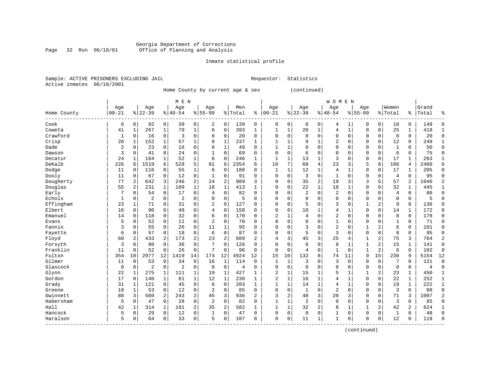#### Georgia Department of Corrections Page 32 Run 06/18/01 Office of Planning and Analysis

# Inmate statistical profile

|                | Sample: ACTIVE PRISONERS EXCLUDING JAII |  |
|----------------|-----------------------------------------|--|
| Active inmates | 06/18/2001                              |  |

L Requestor: Statistics

Home County by current age & sex (continued)

|                         | M E N     |              |                |                |                |                |                |                |         |                |                |              |                |              | <b>WOMEN</b>   |              |              |                |              |                |       |              |
|-------------------------|-----------|--------------|----------------|----------------|----------------|----------------|----------------|----------------|---------|----------------|----------------|--------------|----------------|--------------|----------------|--------------|--------------|----------------|--------------|----------------|-------|--------------|
|                         | Age       |              | Age            |                | Age            |                | Age            |                | Men     |                | Age            |              | Age            |              | Age            |              | Age          |                | Women        |                | Grand |              |
| Home County<br>-------- | $00 - 21$ |              | $8 22-39$      |                | $ 40-54$       |                | $8155 - 99$    |                | % Total | ి              | $00 - 21$      |              | $8 22-39$      |              | $8140 - 54$    |              | $8155 - 99$  |                | % Total      | ⊱              | Total | 응            |
| Cook                    | 6         | 0            | 92             | 0              | 39             | 0              | 2              | $\mathbf 0$    | 139     | 0              | 0              | 0            | 6              | 0            | 4              | 1            | 0            | $\mathbf 0$    | 10           | 0              | 149   | U            |
| Coweta                  | 41        | $\mathbf{1}$ | 267            | $\mathbf{1}$   | 79             | $\mathbf{1}$   | 6              | $\mathbf 0$    | 393     | 1              | 1              | 1            | 20             | $\mathbf{1}$ | 4              | $\mathbf{1}$ | $\Omega$     | $\Omega$       | 25           | $\mathbf 1$    | 418   |              |
| Crawford                | 1         | $\Omega$     | 16             | 0              | 3              | $\mathbf 0$    | 0              | $\mathbf 0$    | 20      | 0              | $\Omega$       | $\Omega$     | $\Omega$       | $\Omega$     | $\Omega$       | $\Omega$     | $\mathbf 0$  | 0              | $\mathbf 0$  | $\mathbf 0$    | 20    | $\cap$       |
| Crisp                   | 20        | $\mathbf{1}$ | 152            | $\mathbf{1}$   | 57             | $\mathbf 1$    | 8              | 1              | 237     | $\mathbf{1}$   |                | 1            | 9              | $\mathbf{1}$ | 2              | $\Omega$     | $\mathbf 0$  | $\mathbf 0$    | 12           | 0              | 249   |              |
| Dade                    | 2         | 0            | 23             | $\mathbf 0$    | 16             | 0              | 8              | $\mathbf{1}$   | 49      | $\Omega$       |                | 1            |                | $\Omega$     | $\Omega$       | 0            | $\mathbf 0$  | $\mathbf 0$    | $\mathbf{1}$ | 0              | 50    | U            |
| Dawson                  | 3         | 0            | 41             | 0              | 24             | 0              | 1              | $\mathbf 0$    | 69      | $\Omega$       | $\Omega$       | 0            | 6              | $\Omega$     | $\Omega$       | 0            | 0            | $\mathbf 0$    | 6            | $\mathbf 0$    | 75    | U            |
| Decatur                 | 24        | 1            | 164            | $\mathbf{1}$   | 52             | $\mathbf 1$    | 6              | $\mathbf 0$    | 246     | 1              | $\mathbf{1}$   | 1            | 13             | $\mathbf{1}$ | 3              | $\Omega$     | $\mathbf 0$  | $\mathbf 0$    | 17           | $\mathbf{1}$   | 263   |              |
| DeKalb                  | 226       | 6            | 1519           | 6              | 528            | 5              | 81             | 6              | 2354    | 6              | 10             | 7            | 68             | 4            | 23             | 3            | 5            | 8              | 106          | 4              | 2460  | б            |
| Dodge                   | 11        | 0            | 116            | $\Omega$       | 55             | $\mathbf 1$    | 6              | $\mathbf 0$    | 188     | 0              | $\mathbf{1}$   | 1            | 12             | $\mathbf{1}$ | 4              | 1            | $\mathbf 0$  | 0              | 17           | 1              | 205   | U            |
| Dooly                   | 11        | 0            | 67             | 0              | 12             | $\mathbf 0$    | 1              | $\mathbf 0$    | 91      | $\Omega$       | 0              | $\Omega$     | 3              | $\Omega$     | $\mathbf{1}$   | $\Omega$     | $\mathbf 0$  | 0              | 4            | $\Omega$       | 95    |              |
| Dougherty               | 77        |              | 642            | 3              | 246            | 2              | 24             | $\overline{c}$ | 989     | 3              | 0              | O            | 35             | 2            | 19             | 3            | 3            | 5              | 57           | $\overline{a}$ | 1046  |              |
| Douglas                 | 55        | 2            | 231            | $\mathbf{1}$   | 109            | $\mathbf{1}$   | 18             | 1              | 413     | $\mathbf{1}$   | 0              | O            | 22             | $\mathbf{1}$ | 10             | -1           | $\mathbf 0$  | $\Omega$       | 32           | $\mathbf 1$    | 445   |              |
| Early                   | 7         | $\Omega$     | 54             | $\mathbf 0$    | 17             | $\mathbf 0$    | $\overline{4}$ | 0              | 82      | $\Omega$       | U              | 0            | 2              | $\Omega$     | 2              | $\Omega$     | $\mathbf 0$  | $\Omega$       | 4            | 0              | 86    | U            |
| Echols                  | 1         | $\Omega$     | $\overline{c}$ | $\mathbf 0$    | $\overline{c}$ | 0              | $\Omega$       | $\mathbf 0$    | 5       | $\Omega$       | O              | 0            | $\Omega$       | $\Omega$     | 0              | 0            | $\mathbf 0$  | 0              | 0            | 0              | 5     |              |
| Effingham               | 23        | 1            | 71             | 0              | 31             | 0              | $\overline{2}$ | 0              | 127     | $\Omega$       | O              | $\Omega$     | 5              | $\Omega$     | 3              | 0            | $\mathbf{1}$ | 2              | 9            | $\Omega$       | 136   |              |
| Elbert                  | 16        | $\Omega$     | 90             | 0              | 48             | 0              | $\overline{4}$ | $\mathbf 0$    | 158     | $\Omega$       | $\Omega$       | 0            | 10             | 1            | 4              | 1            | $\mathbf 0$  | $\mathbf 0$    | 14           | $\mathbf 1$    | 172   | ∩            |
| Emanuel                 | 14        | 0            | 118            | 0              | 32             | $\mathbf 0$    | 6              | $\mathbf 0$    | 170     | 0              | $\overline{2}$ | 1            | 4              | $\Omega$     | $\overline{2}$ | 0            | $\mathbf 0$  | 0              | 8            | $\mathbf 0$    | 178   | $\cap$       |
| Evans                   | 5         | 0            | 52             | 0              | 11             | $\mathbf 0$    | $\overline{2}$ | $\mathbf 0$    | 70      | $\Omega$       | $\Omega$       | 0            | $\Omega$       | $\Omega$     | 1              | 0            | $\mathbf 0$  | 0              |              | 0              | 71    | ∩            |
| Fannin                  | 3         | 0            | 55             | 0              | 26             | $\mathbf 0$    | 11             | 1              | 95      | $\Omega$       | $\Omega$       | 0            | 3              | $\Omega$     | $\overline{2}$ | 0            | $\mathbf{1}$ | 2              | 6            | $\mathbf 0$    | 101   |              |
| Fayette                 | 6         | 0            | 57             | 0              | 18             | $\mathbf 0$    | 6              | $\mathbf 0$    | 87      | $\Omega$       | U              | 0            | 5              | $\Omega$     | 3              | $\Omega$     | $\mathbf 0$  | 0              | 8            | $\mathbf 0$    | 95    |              |
| Floyd                   | 60        | 2            | 433            | 2              | 173            | $\overline{2}$ | 23             | 2              | 689     | 2              | 4              | 3            | 45             | 3            | 25             | 4            | $\mathbf{1}$ | 2              | 75           | 3              | 764   |              |
| Forsyth                 | 3         | $\Omega$     | 80             | 0              | 36             | $\mathbf 0$    | 7              | $\mathbf 0$    | 126     | $\Omega$       | O              | $\Omega$     | 6              | $\Omega$     | 8              | -1           | 1            | 2              | 15           | 1              | 141   |              |
| Franklin                | 11        | $\Omega$     | 52             | $\mathbf 0$    | 26             | $\mathbf 0$    | 7              | $\mathbf 0$    | 96      | $\Omega$       | $\Omega$       | 0            | $\overline{4}$ | $\Omega$     | $\mathbf{1}$   | $\Omega$     | 1            | $\overline{c}$ | 6            | $\mathbf 0$    | 102   | $\Omega$     |
| Fulton                  | 354       | 10           | 2977           | 12             | 1419           | 14             | 174            | 12             | 4924    | 12             | 15             | 10           | 132            | 8            | 74             | 11           | 9            | 15             | 230          | 9              | 5154  | 12           |
| Gilmer                  | 11        | 0            | 53             | $\mathbf 0$    | 34             | $\mathsf 0$    | 16             | $\mathbf{1}$   | 114     | $\mathbf 0$    | $\mathbf{1}$   | $\mathbf{1}$ | 3              | $\Omega$     | 3              | 0            | $\mathbf 0$  | $\mathbf 0$    | 7            | $\Omega$       | 121   | $\Omega$     |
| Glascock                | 0         | 0            | 2              | 0              | $\overline{2}$ | 0              | $\mathbf 0$    | $\mathbf 0$    | 4       | 0              | $\Omega$       | 0            | $\mathbf 0$    | $\Omega$     | $\mathbf 0$    | 0            | $\mathbf 0$  | $\mathbf 0$    | $\mathbf 0$  | $\mathbf 0$    | 4     | $\Omega$     |
| Glynn                   | 22        | 1            | 275            | $\mathbf{1}$   | 111            | $\mathbf 1$    | 19             | 1              | 427     | 1              | $\overline{2}$ | 1            | 15             | 1            | 5              | $\mathbf{1}$ | $\mathbf{1}$ | 2              | 23           | 1              | 450   | -1           |
| Gordon                  | 17        | 0            | 140            | 1              | 61             | $\mathbf{1}$   | 12             | 1              | 230     | 1              | 2              | 1            | 16             | $\mathbf{1}$ | 4              | $\mathbf{1}$ | $\mathbf 0$  | $\mathbf 0$    | 22           | $\mathbf 1$    | 252   | -1           |
| Grady                   | 31        | 1            | 121            | $\mathbf 0$    | 45             | $\mathbf 0$    | 6              | $\mathbf 0$    | 203     | $\mathbf{1}$   | $\mathbf{1}$   | $\mathbf{1}$ | 14             | $\mathbf{1}$ | 4              | -1           | $\Omega$     | $\Omega$       | 19           | $\mathbf{1}$   | 222   | $\mathbf{1}$ |
| Greene                  | 18        | 1            | 53             | $\Omega$       | 12             | $\mathbf 0$    | $\overline{2}$ | $\Omega$       | 85      | $\Omega$       | $\Omega$       | $\Omega$     | 1              | $\Omega$     | $\overline{2}$ | $\Omega$     | $\Omega$     | $\Omega$       | 3            | $\Omega$       | 88    | $\cap$       |
| Gwinnett                | 88        | 3            | 560            | $\overline{a}$ | 243            | $\overline{2}$ | 45             | 3              | 936     | $\overline{a}$ | 3              | 2            | 48             | 3            | 20             | 3            | $\mathbf 0$  | $\mathbf 0$    | 71           | 3              | 1007  |              |
| Habersham               | 5         | $\Omega$     | 47             | $\mathbf 0$    | 28             | $\mathbf 0$    | $\overline{2}$ | $\mathbf 0$    | 82      | $\Omega$       | -1             | 1            | $\overline{2}$ | $\Omega$     | $\mathbf 0$    | $\Omega$     | $\mathbf 0$  | $\mathbf 0$    | 3            | $\Omega$       | 85    |              |
| Hall                    | 42        | 1            | 314            | $\mathbf{1}$   | 191            | 2              | 35             | 2              | 582     | $\mathbf{1}$   |                | 1            | 32             | 2            | 8              | $\mathbf{1}$ | $\mathbf{1}$ | 2              | 42           | 2              | 624   |              |
| Hancock                 | 5         | 0            | 29             | 0              | 12             | 0              | 1              | $\mathbf 0$    | 47      | $\Omega$       | $\Omega$       | 0            | $\mathbf{0}$   | $\mathbf 0$  | $\mathbf{1}$   | 0            | $\mathbf 0$  | 0              | $\mathbf{1}$ | $\mathbf 0$    | 48    | $\cap$       |
| Haralson                | 5         | 0            | 64             | 0              | 33             | 0              | 5              | $\mathbf 0$    | 107     | 0              | $\Omega$       | 0            | 11             | 1            | $\mathbf{1}$   | 0            | $\Omega$     | 0              | 12           | $\Omega$       | 119   | $\cap$       |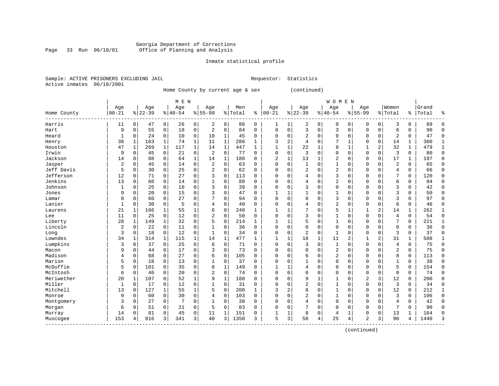#### Georgia Department of Corrections Page 33 Run 06/18/01 Office of Planning and Analysis

# Inmate statistical profile

|                | Sample: ACTIVE PRISONERS EXCLUDING JAII |  |
|----------------|-----------------------------------------|--|
| Active inmates | 06/18/2001                              |  |

L Requestor: Statistics

Home County by current age & sex (continued)

|             | M E N     |              |           |              |           |              |                |              |         |              |              |                |                |              | <b>WOMEN</b>   |              |                |             |                |              |       |              |
|-------------|-----------|--------------|-----------|--------------|-----------|--------------|----------------|--------------|---------|--------------|--------------|----------------|----------------|--------------|----------------|--------------|----------------|-------------|----------------|--------------|-------|--------------|
|             | Age       |              | Age       |              | Age       |              | Age            |              | Men     |              | Age          |                | Age            |              | Age            |              | Age            |             | Women          |              | Grand |              |
| Home County | $00 - 21$ |              | $8 22-39$ |              | $8 40-54$ | %            | $55 - 99$      |              | % Total | ి            | $00 - 21$    |                | $ 22-39$       |              | $ 40-54$       | %            | $55 - 99$      |             | % Total        | ႜ            | Total | å            |
| Harris      | 11        | 0            | 47        | 0            | 26        | 0            | 2              | 0            | 86      | 0            | 1            | 1              | 2              | 0            | 0              | 0            | 0              | 0           | 3              | 0            | 89    | ∩            |
| Hart        | 9         | $\mathbf 0$  | 55        | 0            | 18        | 0            | $\overline{2}$ | $\Omega$     | 84      | $\Omega$     | $\Omega$     | 0              | 3              | $\Omega$     | 3              | $\Omega$     | $\Omega$       | $\mathbf 0$ | 6              | $\Omega$     | 90    | <sup>0</sup> |
| Heard       | 1         | 0            | 24        | $\mathbf 0$  | 10        | 0            | 10             | 1            | 45      | 0            | $\Omega$     | 0              | $\overline{2}$ | $\Omega$     | $\Omega$       | $\Omega$     | $\Omega$       | $\Omega$    | 2              | 0            | 47    | $\Omega$     |
| Henry       | 38        | 1            | 163       | $\mathbf 1$  | 74        | 1            | 11             | $\mathbf{1}$ | 286     | $\mathbf{1}$ | 3            | 2              | 4              | $\Omega$     |                |              | $\Omega$       | $\mathbf 0$ | 14             | 1            | 300   |              |
| Houston     | 47        | $\mathbf{1}$ | 269       | $\mathbf 1$  | 117       | $\mathbf{1}$ | 14             | $\mathbf{1}$ | 447     | $\mathbf{1}$ | $\mathbf{1}$ | $\mathbf{1}$   | 22             |              | 8              | $\mathbf{1}$ |                | 2           | 32             | $\mathbf{1}$ | 479   | $\mathbf{1}$ |
| Irwin       | 9         | $\mathbf 0$  | 45        | $\mathbf 0$  | 21        | 0            | $\overline{2}$ | $\mathbf 0$  | 77      | $\Omega$     | $\Omega$     | 0              | 3              | $\Omega$     | $\Omega$       | $\mathsf{C}$ | $\Omega$       | $\mathbf 0$ | 3              | 0            | 80    | $\Omega$     |
| Jackson     | 14        | $\mathbf 0$  | 88        | $\mathbf 0$  | 64        | $\mathbf{1}$ | 14             | $\mathbf{1}$ | 180     | 0            | 2            | 1              | 13             | $\mathbf{1}$ | $\overline{2}$ | $\mathsf{C}$ | $\Omega$       | $\mathbf 0$ | 17             | 1            | 197   | $\Omega$     |
| Jasper      | 2         | $\mathbf 0$  | 45        | 0            | 14        | 0            | 2              | 0            | 63      | 0            | $\Omega$     | 0              |                | $\Omega$     | 1              | C            | 0              | $\Omega$    | $\overline{2}$ | 0            | 65    | $\Omega$     |
| Jeff Davis  | 5         | 0            | 30        | 0            | 25        | 0            | 2              | 0            | 62      | 0            | $\Omega$     | 0              | 2              | $\Omega$     | 2              | C            | 0              | 0           | 4              | 0            | 66    | $\Omega$     |
| Jefferson   | 12        | $\mathbf 0$  | 71        | $\Omega$     | 27        | 0            | 3              | $\Omega$     | 113     | O            | O            | U              | 4              | $\Omega$     | 3              | C            | $\Omega$       | O           | 7              | 0            | 120   | <sup>0</sup> |
| Jenkins     | 13        | $\Omega$     | 60        | $\Omega$     | 14        | 0            |                | $\Omega$     | 88      | $\Omega$     | $\Omega$     | O              | 4              | $\Omega$     | $\overline{2}$ | $\sqrt{ }$   | $\Omega$       | $\Omega$    | 6              | 0            | 94    | $\Omega$     |
| Johnson     | 1         | $\mathbf 0$  | 25        | $\mathbf 0$  | 10        | 0            | 3              | 0            | 39      | $\Omega$     | $\Omega$     | O              | 3              | $\Omega$     | $\Omega$       | C            | $\Omega$       | $\Omega$    | 3              | 0            | 42    | $\cap$       |
| Jones       | 9         | $\mathbf 0$  | 20        | $\mathbf 0$  | 15        | 0            | 3              | $\mathbf 0$  | 47      | $\Omega$     | 1            | 1              |                | 0            | 1              | $\Omega$     | $\Omega$       | $\Omega$    | 3              | 0            | 50    | $\cap$       |
| Lamar       | 0         | $\mathbf 0$  | 60        | 0            | 27        | 0            |                | $\mathbf 0$  | 94      | 0            | $\Omega$     | 0              | $\Omega$       | $\Omega$     | 3              | $\Omega$     | $\Omega$       | $\mathbf 0$ | 3              | 0            | 97    | $\sqrt{ }$   |
| Lanier      | 1         | $\mathbf 0$  | 30        | 0            | 5         | 0            | 4              | $\mathbf 0$  | 40      | $\Omega$     | $\Omega$     | 0              | 4              | $\Omega$     | $\overline{2}$ | $\mathsf{C}$ | $\Omega$       | $\mathbf 0$ | 6              | 0            | 46    | $\Omega$     |
| Laurens     | 21        | 1            | 166       | 1            | 55        | 1            | 6              | $\mathbf 0$  | 248     | 1            | $\mathbf{1}$ | 1              | 7              | $\Omega$     | 5              | 1            | 1              | 2           | 14             | 1            | 262   | 1            |
| Lee         | 11        | 0            | 25        | $\mathbf 0$  | 12        | 0            | 2              | 0            | 50      | $\Omega$     | $\Omega$     | 0              | 3              | $\Omega$     |                | $\Omega$     | $\Omega$       | $\Omega$    | 4              | 0            | 54    | $\Omega$     |
| Liberty     | 28        | 1            | 149       | 1            | 32        | 0            |                | 0            | 214     | 1            |              |                | 5              | $\Omega$     |                | $\mathsf{C}$ | $\Omega$       | $\Omega$    | 7              | 0            | 221   | $\mathbf{1}$ |
| Lincoln     | 2         | 0            | 22        | 0            | 11        | 0            |                | $\Omega$     | 36      | $\Omega$     | $\Omega$     | 0              | $\Omega$       | $\Omega$     | $\Omega$       | $\sqrt{ }$   | $\Omega$       | $\Omega$    | $\Omega$       | 0            | 36    | $\Omega$     |
| Long        | 3         | $\mathbf 0$  | 18        | 0            | 12        | 0            | $\mathbf{1}$   | $\Omega$     | 34      | $\Omega$     | $\Omega$     | O              | $\overline{2}$ | $\Omega$     | $\mathbf{1}$   | $\sqrt{ }$   | $\Omega$       | $\Omega$    | 3              | 0            | 37    | $\Omega$     |
| Lowndes     | 34        | 1            | 314       | $\mathbf{1}$ | 115       | 1            | 14             | $\mathbf{1}$ | 477     | -1           | 1            | 1              | 18             | $\mathbf{1}$ | 11             | 2            |                | 2           | 31             | 1            | 508   |              |
| Lumpkins    | 3         | $\mathbf 0$  | 37        | $\mathbf 0$  | 25        | 0            | 6              | $\mathbf 0$  | 71      | 0            | 0            | 0              | 3              | $\mathbf 0$  | $\mathbf{1}$   | $\Omega$     | $\Omega$       | $\Omega$    | 4              | 0            | 75    | $\Omega$     |
| Macon       | 9         | $\mathbf 0$  | 44        | $\mathbf 0$  | 17        | 0            | 3              | $\mathbf 0$  | 73      | $\Omega$     | $\Omega$     | 0              | $\Omega$       | $\Omega$     | 2              | $\Omega$     | $\Omega$       | $\Omega$    | $\overline{2}$ | 0            | 75    | $\Omega$     |
| Madison     | 4         | $\mathbf 0$  | 68        | 0            | 27        | 0            | 6              | $\mathbf 0$  | 105     | $\Omega$     | $\Omega$     | 0              | 6              | $\Omega$     | $\overline{2}$ | C            | $\Omega$       | $\Omega$    | 8              | 0            | 113   | $\sqrt{ }$   |
| Marion      | 5         | $\mathbf 0$  | 18        | 0            | 13        | 0            |                | 0            | 37      | $\Omega$     | $\Omega$     | 0              | 1              | $\Omega$     | $\Omega$       | C            | $\Omega$       | 0           | $\mathbf{1}$   | 0            | 38    | $\Omega$     |
| McDuffie    | 5         | 0            | 101       | 0            | 35        | 0            | 8              | 1            | 149     | $\Omega$     |              |                | 4              | $\Omega$     | $\Omega$       | $\sqrt{ }$   | $\Omega$       | $\Omega$    | 5              | 0            | 154   | $\Omega$     |
| McIntosh    | 6         | 0            | 46        | 0            | 20        | 0            | 2              | $\mathbf 0$  | 74      | $\Omega$     | $\Omega$     | 0              | $\Omega$       | $\Omega$     | 0              | $\Omega$     | $\Omega$       | $\Omega$    | $\Omega$       | 0            | 74    | $\Omega$     |
| Meriwether  | 20        | 1            | 107       | 0            | 52        | 1            | 9              | 1            | 188     | 0            | $\Omega$     | $\Omega$       | 9              |              | 1              | C            | $\overline{c}$ | 3           | 12             | 0            | 200   | $\Omega$     |
| Miller      | 1         | $\mathbf 0$  | 17        | 0            | 12        | 0            |                | $\mathbf 0$  | 31      | $\Omega$     | $\Omega$     | O              | $\overline{2}$ | $\Omega$     | $\mathbf{1}$   | C            | $\Omega$       | $\Omega$    | 3              | 0            | 34    | $\Omega$     |
| Mitchell    | 13        | $\mathbf 0$  | 127       | 1            | 55        | 1            | 5              | $\mathbf 0$  | 200     | 1            | 3            | $\overline{2}$ | 8              | $\Omega$     | 1              | C            | $\Omega$       | $\Omega$    | 12             | 0            | 212   |              |
| Monroe      | 9         | 0            | 60        | $\Omega$     | 30        | 0            | 4              | $\Omega$     | 103     | $\Omega$     | $\Omega$     | 0              | $\overline{2}$ | $\Omega$     | $\mathbf{1}$   | C            | $\Omega$       | $\Omega$    | 3              | 0            | 106   | $\Omega$     |
| Montgomery  | 3         | 0            | 27        | $\mathbf 0$  | 7         | 0            |                | $\mathbf 0$  | 38      | $\Omega$     | $\Omega$     | 0              | 4              | $\Omega$     | $\Omega$       | $\Omega$     | $\Omega$       | $\Omega$    | 4              | 0            | 42    | $\Omega$     |
| Morgan      | 6         | 0            | 51        | 0            | 21        | 0            | 5              | $\mathbf 0$  | 83      | $\Omega$     | C            | 0              |                | $\Omega$     | $\Omega$       | O            | $\Omega$       | $\Omega$    | 7              | 0            | 90    | U            |
| Murray      | 14        | $\mathbf 0$  | 81        | 0            | 45        | 0            | 11             | 1            | 151     | 0            |              | $\mathbf 1$    | 8              | 0            | 4              | $\mathbf{1}$ | $\Omega$       | $\mathbf 0$ | 13             | 1            | 164   | ſ            |
| Muscogee    | 153       | 4            | 816       | 3            | 341       | 3            | 40             | 3            | 1350    | 3            | 5            | 3              | 58             | 4            | 25             | 4            | $\overline{2}$ | 3           | 90             | 4            | 1440  | κ            |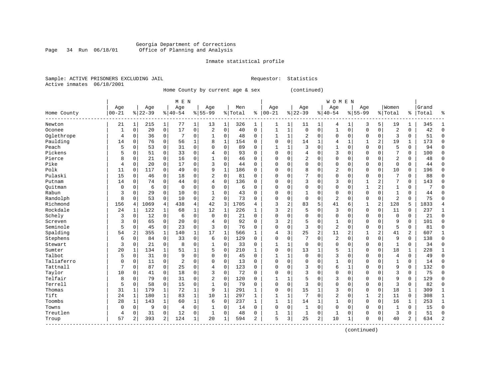#### Georgia Department of Corrections Page 34 Run 06/18/01 Office of Planning and Analysis

# Inmate statistical profile

|                | Sample: ACTIVE PRISONERS EXCLUDING JAII |  |
|----------------|-----------------------------------------|--|
| Active inmates | 06/18/2001                              |  |

IL Requestor: Statistics

Home County by current age & sex (continued)

|             |           |                |           |                | M E N          |              |                |              |         |                |              |              |                |                | <b>WOMEN</b>   |              |              |                |                |                |       |               |
|-------------|-----------|----------------|-----------|----------------|----------------|--------------|----------------|--------------|---------|----------------|--------------|--------------|----------------|----------------|----------------|--------------|--------------|----------------|----------------|----------------|-------|---------------|
|             | Age       |                | Age       |                | Age            |              | Age            |              | Men     |                | Age          |              | Age            |                | Age            |              | Age          |                | Women          |                | Grand |               |
| Home County | $00 - 21$ |                | $8 22-39$ |                | $ 40-54$       |              | $8155 - 99$    |              | % Total | နွ             | $ 00-21$     |              | $8 22-39$      |                | $ 40-54$       |              | $8155 - 99$  |                | % Total        | ႜ              | Total |               |
| Newton      | 21        | 1              | 215       | 1              | 77             | 1            | 13             | 1            | 326     | 1              | 1            | 1            | 11             | 1              | 4              | 1            | 3            | 5              | 19             | 1              | 345   |               |
| Oconee      | 1         | $\mathbf 0$    | 20        | $\mathbf 0$    | 17             | 0            | 2              | $\mathbf 0$  | 40      | 0              | 1            | $\mathbf{1}$ | $\mathbf 0$    | $\mathbf 0$    | $\mathbf{1}$   | $\mathbf 0$  | $\mathbf{0}$ | $\mathbf 0$    | $\overline{2}$ | 0              | 42    | $\Omega$      |
| Oglethrope  | 4         | 0              | 36        | $\mathbf 0$    | 7              | 0            | 1              | $\Omega$     | 48      | $\Omega$       | $\mathbf{1}$ | 1            | 2              | $\Omega$       | 0              | 0            | $\Omega$     | $\Omega$       | 3              | 0              | 51    | $\Omega$      |
| Paulding    | 14        | 0              | 76        | $\mathbf 0$    | 56             | 1            | 8              | $\mathbf 1$  | 154     | $\Omega$       | $\Omega$     | 0            | 14             | 1              | 4              | 1            |              | 2              | 19             | 1              | 173   | $\Omega$      |
| Peach       | 5         | $\mathbf 0$    | 53        | $\mathbf 0$    | 31             | $\mathbf 0$  | $\cap$         | $\Omega$     | 89      | $\Omega$       | $\mathbf{1}$ | $\mathbf{1}$ | 3              | $\Omega$       | $\mathbf{1}$   | $\Omega$     | $\Omega$     | $\Omega$       | 5              | 0              | 94    | $\cap$        |
| Pickens     | 5         | $\mathbf 0$    | 51        | $\mathbf 0$    | 33             | 0            | 4              | $\Omega$     | 93      | $\Omega$       | $\Omega$     | 0            | 4              | $\Omega$       | 3              | $\Omega$     | $\Omega$     | $\Omega$       | 7              | 0              | 100   | $\Omega$      |
| Pierce      | 8         | $\mathbf 0$    | 21        | $\mathbf 0$    | 16             | 0            |                | 0            | 46      | $\Omega$       | $\Omega$     | 0            | $\overline{2}$ | $\mathbf 0$    | 0              | 0            | $\Omega$     | $\Omega$       | $\overline{2}$ | 0              | 48    | $\Omega$      |
| Pike        | 4         | $\mathbf 0$    | 20        | $\Omega$       | 17             | 0            | 3              | $\Omega$     | 44      | 0              | $\Omega$     | 0            | $\Omega$       | $\Omega$       | 0              | 0            | $\Omega$     | $\Omega$       | 0              | 0              | 44    | $\Omega$      |
| Polk        | 11        | $\mathbf 0$    | 117       | $\Omega$       | 49             | 0            | 9              | $\mathbf{1}$ | 186     | $\Omega$       | $\Omega$     | 0            | 8              | $\Omega$       | 2              | $\Omega$     | $\Omega$     | $\Omega$       | 10             | 0              | 196   | $\Omega$      |
| Pulaski     | 15        | $\Omega$       | 46        | $\Omega$       | 18             | 0            | 2              | $\Omega$     | 81      | $\Omega$       | $\Omega$     | 0            | 7              | $\Omega$       | $\Omega$       | $\Omega$     | $\Omega$     | $\Omega$       | 7              | 0              | 88    | $\Omega$      |
| Putnam      | 14        | $\Omega$       | 74        | $\Omega$       | 44             | 0            | 4              | $\Omega$     | 136     | $\Omega$       | $\Omega$     | 0            | २              | $\Omega$       | 3              | $\Omega$     | $\mathbf{1}$ | 2              | 7              | 0              | 143   | ∩             |
| Ouitman     | 0         | $\Omega$       | 6         | $\mathbf 0$    | $\overline{0}$ | 0            | $\Omega$       | $\Omega$     | 6       | $\Omega$       | $\Omega$     | 0            | $\Omega$       | $\mathbf 0$    | 0              | O            | $\mathbf{1}$ | 2              | 1              | 0              | 7     |               |
| Rabun       | 3         | $\mathbf 0$    | 29        | $\mathbf 0$    | 10             | 0            |                | $\mathbf 0$  | 43      | O              | 0            | 0            |                | $\mathbf 0$    | $\Omega$       | $\Omega$     | $\Omega$     | $\Omega$       | $\mathbf{1}$   | 0              | 44    | ſ             |
| Randolph    | 8         | $\mathbf 0$    | 53        | $\mathbf 0$    | 10             | $\mathbf 0$  | $\overline{2}$ | $\mathbf 0$  | 73      | $\Omega$       | $\Omega$     | 0            | $\mathbf 0$    | $\mathbf 0$    | $\overline{2}$ | 0            | $\Omega$     | $\mathbf 0$    | $\overline{2}$ | 0              | 75    | ſ             |
| Richmond    | 156       | 4              | 1069      | $\overline{4}$ | 438            | 4            | 42             | 3            | 1705    | 4              | 3            | 2            | 83             | 5              | 41             | 6            | 1            | 2              | 128            | 5              | 1833  |               |
| Rockdale    | 24        | 1              | 122       | 1              | 68             | $\mathbf{1}$ | 12             | 1            | 226     | $\mathbf{1}$   | 3            | 2            | 5              | $\Omega$       | 3              | $\Omega$     | $\Omega$     | 0              | 11             | 0              | 237   | $\mathbf{1}$  |
| Schely      | 3         | $\mathbf 0$    | 12        | $\mathbf 0$    | 6              | 0            | $\Omega$       | $\mathbf 0$  | 21      | $\Omega$       | $\Omega$     | 0            | $\Omega$       | $\Omega$       | 0              | $\Omega$     | $\Omega$     | $\Omega$       | $\mathbf 0$    | 0              | 21    | $\Omega$      |
| Screven     | 3         | 0              | 65        | 0              | 20             | 0            | 4              | $\mathbf 0$  | 92      | $\Omega$       | 3            | 2            | 5              | $\Omega$       | 1              | $\Omega$     | $\Omega$     | $\Omega$       | 9              | 0              | 101   | $\Omega$      |
| Seminole    | 5         | $\mathbf 0$    | 45        | $\mathbf 0$    | 23             | 0            | 3              | $\Omega$     | 76      | $\Omega$       | $\Omega$     | O            | 3              | $\Omega$       | $\overline{2}$ | $\Omega$     | $\Omega$     | $\Omega$       | 5              | 0              | 81    | $\Omega$      |
| Spalding    | 54        | $\overline{2}$ | 355       | 1              | 140            | 1            | 17             | $\mathbf 1$  | 566     | $\mathbf{1}$   | 4            | 3            | 25             | $\overline{2}$ | 11             | 2            | $\mathbf{1}$ | 2              | 41             | $\overline{a}$ | 607   | -1            |
| Stephens    | 6         | $\Omega$       | 84        | $\Omega$       | 33             | $\Omega$     | 6              | $\Omega$     | 129     | $\Omega$       | $\Omega$     | 0            |                | $\Omega$       | 2              | O            | $\Omega$     | $\Omega$       | 9              | 0              | 138   | $\Omega$      |
| Stewart     | 3         | 0              | 21        | $\Omega$       | 8              | 0            | 1              | $\mathbf 0$  | 33      | $\Omega$       | $\mathbf{1}$ | 1            | $\Omega$       | $\Omega$       | $\Omega$       | $\Omega$     | $\Omega$     | $\Omega$       | 1              | 0              | 34    | $\Omega$      |
| Sumter      | 20        | $\mathbf{1}$   | 134       |                | 51             | $\mathbf{1}$ | 5              | $\mathbf 0$  | 210     | 1              | $\Omega$     | 0            | 13             |                | 5              | $\mathbf{1}$ | $\Omega$     | $\mathbf 0$    | 18             | 1              | 228   |               |
| Talbot      | 5         | $\mathbf 0$    | 31        | $\mathbf 0$    | 9              | 0            | $\Omega$       | $\mathbf 0$  | 45      | $\Omega$       | $\mathbf{1}$ | 1            | $\Omega$       | $\Omega$       | 3              | $\Omega$     | $\Omega$     | $\Omega$       | 4              | 0              | 49    | $\Omega$      |
| Taliaferro  | $\Omega$  | $\mathbf 0$    | 11        | $\mathbf 0$    | $\overline{2}$ | 0            | $\Omega$       | $\mathbf 0$  | 13      | $\Omega$       | $\Omega$     | 0            | $\Omega$       | $\Omega$       | 1              | O            | $\Omega$     | $\Omega$       | $\mathbf{1}$   | 0              | 14    | $\Omega$      |
| Tattnall    | 7         | $\mathbf 0$    | 87        | $\mathbf 0$    | 25             | 0            | 4              | 0            | 123     | 0              | $\Omega$     | 0            | 3              | 0              | 6              | -1           | $\Omega$     | $\Omega$       | 9              | 0              | 132   | $\mathbf 0$   |
| Taylor      | 10        | 0              | 41        | 0              | 18             | 0            | 3              | $\mathbf 0$  | 72      | U              | $\Omega$     | 0            | 3              | $\Omega$       | $\Omega$       | 0            | $\Omega$     | $\Omega$       | 3              | 0              | 75    | $\Omega$      |
| Telfair     | 8         | $\mathbf 0$    | 79        | 0              | 31             | 0            | $\overline{2}$ | $\Omega$     | 120     | O              | $\mathbf{1}$ | 1            | 5              | $\Omega$       | 3              | $\Omega$     | $\Omega$     | $\Omega$       | 9              | 0              | 129   | $\Omega$      |
| Terrell     | 5         | $\mathbf 0$    | 58        | $\mathbf 0$    | 15             | 0            | $\mathbf{1}$   | $\Omega$     | 79      | $\Omega$       | $\Omega$     | 0            | ζ              | $\Omega$       | $\Omega$       | U            | $\Omega$     | $\Omega$       | 3              | 0              | 82    | $\cap$        |
| Thomas      | 31        | $\mathbf{1}$   | 179       | 1              | 72             | $\mathbf{1}$ | 9              | $\mathbf{1}$ | 291     | $\mathbf{1}$   | $\Omega$     | 0            | 15             | 1              | 3              | $\Omega$     | $\Omega$     | $\Omega$       | 18             | $\mathbf 1$    | 309   |               |
| Tift        | 24        | $\mathbf{1}$   | 180       | 1              | 83             | $\mathbf{1}$ | 10             | $\mathbf 1$  | 297     | 1              | 1            | $\mathbf{1}$ | 7              | $\Omega$       | 2              | $\Omega$     | 1            | $\overline{a}$ | 11             | 0              | 308   |               |
| Toombs      | 28        | $\mathbf{1}$   | 143       | 1              | 60             | $\mathbf 1$  | 6              | $\Omega$     | 237     | $\mathbf{1}$   | $\mathbf{1}$ | $\mathbf 1$  | 14             |                | 1              | $\Omega$     | $\Omega$     | $\Omega$       | 16             | 1              | 253   |               |
| Towns       | $\Omega$  | 0              | 9         | $\mathbf 0$    | 4              | 0            |                | 0            | 14      | $\Omega$       | $\Omega$     | 0            |                | $\mathbf 0$    | 0              | $\Omega$     | $\Omega$     | $\Omega$       | $\mathbf{1}$   | 0              | 15    | $\Omega$      |
| Treutlen    | 4         | $\mathbf 0$    | 31        | 0              | 12             | 0            | $\mathbf{1}$   | 0            | 48      | 0              | $\mathbf{1}$ | 1            | $\mathbf{1}$   | 0              | 1              | $\Omega$     | $\Omega$     | $\Omega$       | 3              | 0              | 51    | $\sqrt{ }$    |
| Troup       | 57        | $\overline{2}$ | 393       | 2              | 124            | 1            | 20             | 1            | 594     | $\overline{2}$ | 5            | 3            | 25             | $\overline{2}$ | 10             | 1            | $\Omega$     | 0              | 40             | 2              | 634   | $\mathcal{D}$ |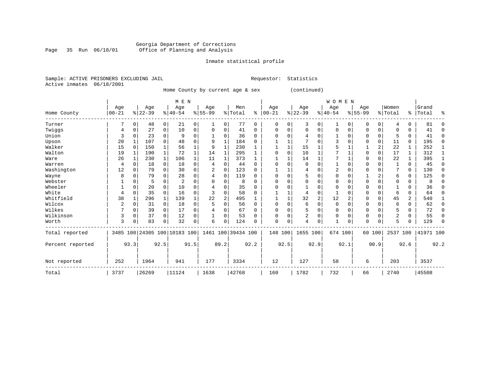#### Georgia Department of Corrections Page 35 Run 06/18/01 Office of Planning and Analysis

# Inmate statistical profile

|  | Sample: ACTIVE PRISONERS EXCLUDING JAIL |  |
|--|-----------------------------------------|--|
|  | Active inmates 06/18/2001               |  |

Requestor: Statistics

Home County by current age & sex (continued)

|                  |           |             |           |              | M E N                        |          |           |                |                    |             |            |          |                |          | <b>WOMEN</b> |                |             |             |                |              |           |          |
|------------------|-----------|-------------|-----------|--------------|------------------------------|----------|-----------|----------------|--------------------|-------------|------------|----------|----------------|----------|--------------|----------------|-------------|-------------|----------------|--------------|-----------|----------|
|                  | Age       |             | Age       |              | Age                          |          | Age       |                | Men                |             | Age        |          | Age            |          | Age          |                | Age         |             | Women          |              | Grand     |          |
| Home County      | $00 - 21$ |             | $8 22-39$ |              | $8 40-54$                    |          | $8 55-99$ |                | %   Total          | နွ          | $ 00 - 21$ |          | $ 22-39 $      |          | $8 40-54$    |                | $8155 - 99$ |             | % Total        | ွေ           | Total     | ႜ        |
| Turner           |           | $\mathbf 0$ | 48        | 0            | 21                           | 0        | 1         | 0              | 77                 | $\mathbf 0$ | 0          | 0        | 3              | 0        | 1            | 0              | 0           | $\mathbf 0$ | 4              | $\Omega$     | 81        | $\Omega$ |
| Twiggs           |           | 0           | 27        | $\Omega$     | 10                           | $\Omega$ | 0         | 0              | 41                 | $\Omega$    | O          |          | $\Omega$       | $\Omega$ | $\Omega$     | $\Omega$       | 0           | $\Omega$    | O              | <sup>0</sup> | 41        | $\Omega$ |
| Union            | 3         | $\mathbf 0$ | 23        | 0            | 9                            | 0        |           | 0              | 36                 | $\Omega$    |            |          | 4              | 0        |              | $\Omega$       | O           | 0           | 5              | $\Omega$     | 41        | 0        |
| Upson            | 20        |             | 107       | $\Omega$     | 48                           | 0        | 9         | $\mathbf{1}$   | 184                | $\Omega$    |            |          |                | O        | 3            | $\Omega$       | 0           | $\Omega$    | 11             | $\Omega$     | 195       | $\Omega$ |
| Walker           | 15        | $\Omega$    | 150       | 1            | 56                           |          | 9         |                | 230                |             |            |          | 15             |          |              |                |             | 2           | 22             |              | 252       |          |
| Walton           | 19        | 1           | 190       | $\mathbf{1}$ | 72                           |          | 14        | 1              | 295                |             |            | $\Omega$ | 10             |          |              |                | 0           | $\mathbf 0$ | 17             |              | 312       |          |
| Ware             | 26        | 1           | 230       | $\mathbf{1}$ | 106                          |          | 11        | 1              | 373                | 1           |            |          | 14             |          |              |                | 0           | $\Omega$    | 22             |              | 395       |          |
| Warren           | 4         | $\Omega$    | 18        | 0            | 18                           | 0        | 4         | 0              | 44                 | $\Omega$    | ∩          |          | 0              | $\Omega$ |              | $\Omega$       | 0           | $\Omega$    |                | $\Omega$     | 45        | $\Omega$ |
| Washington       | 12        | $\Omega$    | 79        | $\Omega$     | 30                           | 0        | 2         | $\Omega$       | 123                | $\Omega$    |            |          | 4              | O        | 2            | $\Omega$       | $\Omega$    | $\Omega$    |                | $\Omega$     | 130       | $\Omega$ |
| Wayne            | 8         | $\Omega$    | 79        | 0            | 28                           | 0        | 4         | $\Omega$       | 119                | $\Omega$    |            |          | 5              | O        | $\Omega$     | $\Omega$       |             | 2           | 6              | $\Omega$     | 125       | $\Omega$ |
| Webster          |           | $\Omega$    | 5         | 0            | $\overline{2}$               | 0        |           | 0              | 8                  | $\Omega$    |            |          | $\Omega$       | 0        |              |                | 0           | $\Omega$    | $\Omega$       | $\Omega$     | 8         | $\Omega$ |
| Wheeler          |           | $\mathbf 0$ | 20        | $\Omega$     | 10                           | O        | 4         | 0              | 35                 | $\Omega$    | ∩          |          |                | O        | $\Omega$     | $\Omega$       | $\Omega$    | $\Omega$    |                | $\Omega$     | 36        | $\Omega$ |
| White            | 4         | $\mathbf 0$ | 35        | $\Omega$     | 16                           | 0        |           | 0              | 58                 | $\Omega$    |            |          | 4              | $\Omega$ |              | $\Omega$       | O           | $\Omega$    | 6              | $\Omega$     | 64        | $\Omega$ |
| Whitfield        | 38        |             | 296       | 1            | 139                          |          | 22        | $\overline{2}$ | 495                |             |            |          | 32             | 2        | 12           | $\overline{2}$ | 0           | $\Omega$    | 45             | 2            | 540       |          |
| Wilcox           | 2         | 0           | 31        | $\Omega$     | 18                           | 0        |           | 0              | 56                 | $\Omega$    | ∩          |          | 6              | $\Omega$ | $\Omega$     | $\Omega$       | 0           | $\Omega$    | 6              | $\Omega$     | 62        | 0        |
| Wilkes           |           | 0           | 39        | 0            | 17                           | 0        |           | 0              | 67                 | $\Omega$    |            |          | 5              | 0        | $\Omega$     | $\Omega$       | 0           | $\Omega$    |                | $\Omega$     | 72        | $\Omega$ |
| Wilkinson        | 3         | 0           | 37        | $\Omega$     | 12                           | 0        |           | 0              | 53                 | $\Omega$    | $\Omega$   |          | $\overline{2}$ | 0        | 0            | $\Omega$       | $\Omega$    | 0           | $\overline{2}$ | $\Omega$     | 55        | 0        |
| Worth            | 3         | 0           | 83        | $\Omega$     | 32                           | 0        | 6         | 0              | 124                | $\Omega$    | $\Omega$   | 0        | 4              | 0        |              | $\Omega$       | $\Omega$    | $\Omega$    | 5              | U            | 129       | $\Omega$ |
| Total reported   |           |             |           |              | 3485 100 24305 100 10183 100 |          |           |                | 1461 100 39434 100 |             | 148 100    |          | 1655 100       |          | 674 100      |                |             | 60 100      | 2537 100       |              | 41971 100 |          |
| Percent reported |           | 93.3        |           | 92.5         |                              | 91.5     |           | 89.2           |                    | 92.2        |            | 92.5     |                | 92.9     |              | 92.1           |             | 90.9        |                | 92.6         |           | 92.2     |
| Not reported     | 252       |             | 1964      |              | 941                          |          | 177       |                | 3334               |             | 12         |          | 127            |          | 58           |                | 6           |             | 203            |              | 3537      |          |
| Total            | 3737      |             | 26269     |              | 11124                        |          | 1638      |                | 42768              |             | 160        |          | 1782           |          | 732          |                | 66          |             | 2740           |              | 45508     |          |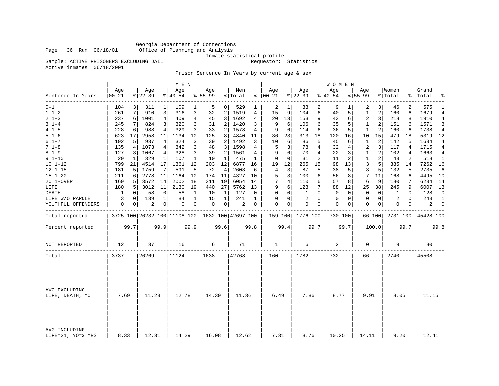Georgia Department of Corrections Office of Planning and Analysis

Inmate statistical profile<br>Requestor: Statistics

Active inmates 06/18/2001

Sample: ACTIVE PRISONERS EXCLUDING JAIL

Prison Sentence In Years by current age & sex

|                                    |                  |      |                  |              | M E N              |                |                                                 |                |                |      |                      |                |                    |                | <b>WOMEN</b>       |          |                    |             |                  |             |                    |              |
|------------------------------------|------------------|------|------------------|--------------|--------------------|----------------|-------------------------------------------------|----------------|----------------|------|----------------------|----------------|--------------------|----------------|--------------------|----------|--------------------|-------------|------------------|-------------|--------------------|--------------|
| Sentence In Years                  | Age<br>$00 - 21$ |      | Age<br>$8 22-39$ |              | Age<br>$8140 - 54$ |                | Age<br>$8155 - 99$                              |                | Men<br>% Total |      | Age<br>$8   00 - 21$ |                | Age<br>$8 22-39$   |                | Age<br>$8140 - 54$ |          | Age<br>$8155 - 99$ |             | Women<br>% Total |             | Grand<br>%   Total | ÷            |
| $0 - 1$                            | 104              |      | 311              | 1            | 109                | 1              | 5                                               | 0 <sup>1</sup> | 529            |      | 2                    | 1              | 33                 | 2              | 9                  |          | 2                  | 3           | 46               | 2           | 575                | 1            |
| $1.1 - 2$                          | 261              | 7    | 910              | 3            | 316                | 3              | 32                                              | 2              | 1519           | 4    | 15                   | 9              | 104                | 6              | 40                 | 5        | 1                  | 2           | 160              | 6           | 1679               | 4            |
| $2.1 - 3$                          | 237              | 6    | 1001             | 4            | 409                | 4              | 45                                              | 3              | 1692           | 4    | 20                   | 13             | 153                | 9              | 43                 | 6        | 2                  | 3           | 218              | 8           | 1910               | 4            |
| $3.1 - 4$                          | 245              | 7    | 824              | 3            | 320                | 3              | 31                                              | $\overline{2}$ | 1420           | 3    | 9                    | 6              | 106                | 6              | 35                 | 5        | $\mathbf{1}$       | 2           | 151              | 6           | 1571               | 3            |
| $4.1 - 5$                          | 228              | 6    | 988              | 4            | 329                | 3              | 33                                              | 2              | 1578           | 4    | 9                    | 6              | 114                | 6              | 36                 | 5        | 1                  | 2           | 160              | 6           | 1738               | 4            |
| $5.1 - 6$                          | 623              | 17   | 2958             | 11           | 1134               | 10             | 125                                             | 8              | 4840           | 11   | 36                   | 23             | 313                | 18             | 120                | 16       | 10                 | 15          | 479              | 18          | 5319               | 12           |
| $6.1 - 7$                          | 192              | 5    | 937              | 4            | 324                | 3              | 39                                              | 2              | 1492           | 3    | 10                   | 6              | 86                 | 5              | 45                 | 6        | $\mathbf{1}$       | 2           | 142              | 5           | 1634               | 4            |
| $7.1 - 8$                          | 135              | 4    | 1073             | 4            | 342                | 3              | 48                                              | 3              | 1598           | 4    | 5                    | 3              | 78                 | 4              | 32                 | 4        | 2                  | 3           | 117              | 4           | 1715               | 4            |
| $8.1 - 9$                          | 127              | 3    | 1067             | 4            | 328                | 3              | 39                                              | 2              | 1561           | 4    | 9                    | 6              | 70                 | $\overline{4}$ | 22                 | 3        | $\mathbf{1}$       | 2           | 102              | 4           | 1663               | 4            |
| $9.1 - 10$                         | 29               | 1    | 329              | 1            | 107                | $\mathbf{1}$   | 10                                              | 1              | 475            | 1    | 0                    | $\Omega$       | 31                 | 2              | 11                 | 2        | $\mathbf{1}$       | 2           | 43               | 2           | 518                | 1            |
| $10.1 - 12$                        | 799              | 21   | 4514             | 17           | 1361               | 12             | 203                                             | 12             | 6877           | 16   | 19                   | 12             | 265                | 15             | 98                 | 13       | 3                  | 5           | 385              | 14          | 7262               | 16           |
| $12.1 - 15$                        | 181              | 5    | 1759             | 7            | 591                | 5              | 72                                              | 4              | 2603           | 6    | 4                    | 3              | 87                 | 5              | 38                 | 5        | 3                  | 5           | 132              | 5           | 2735               | 6            |
| $15.1 - 20$                        | 211              | 6    | 2778             | 11           | 1164               | 10             | 174                                             | 11             | 4327           | 10   | 5                    | 3              | 100                | 6              | 56                 | 8        | 7                  | 11          | 168              | 6           | 4495               | 10           |
| 20.1-OVER                          | 169              | 5    | 3572             | 14           | 2002               | 18             | 311                                             | 19             | 6054           | 14   | 7                    | $\overline{4}$ | 110                | 6              | 57                 | 8        | 6                  | 9           | 180              | 7           | 6234               | 14           |
| LIFE                               | 180              | 5    | 3012             | 11           | 2130               | 19             | 440                                             | 27             | 5762           | 13   | 9                    | 6              | 123                | 7              | 88                 | 12       | 25                 | 38          | 245              | 9           | 6007               | 13           |
| DEATH                              | 1                | 0    | 58               | $\mathbf 0$  | 58                 | 1              | 10                                              | 1              | 127            | 0    | $\Omega$             | $\Omega$       | 1                  | $\Omega$       | $\mathbf 0$        | $\Omega$ | $\mathbf 0$        | $\Omega$    | 1                | $\Omega$    | 128                | $\mathbf 0$  |
| LIFE W/O PAROLE                    | 3                | 0    | 139              | $\mathbf{1}$ | 84                 | $\mathbf 1$    | 15                                              | 1              | 241            | 1    | 0                    | $\mathbf 0$    | 2                  | $\Omega$       | 0                  | 0        | 0                  | $\mathbf 0$ | 2                | $\mathbf 0$ | 243                | $\mathbf{1}$ |
| YOUTHFUL OFFENDERS                 | 0                | 0    | 2                | 0            | 0                  | $\overline{0}$ | 0                                               | 0              | 2              | 0    | $\Omega$             | 0              | 0                  | 0              | 0                  | 0        | 0                  | 0           | 0                | 0           | 2                  | $\mathbf{0}$ |
| Total reported                     |                  |      |                  |              |                    |                | 3725 100 26232 100 11108 100 1632 100 42697 100 |                |                |      |                      |                | 159 100   1776 100 |                | 730 100            |          |                    | 66 100      | 2731 100         |             | 45428 100          |              |
| Percent reported                   |                  | 99.7 |                  | 99.9         |                    | 99.9           |                                                 | 99.6           |                | 99.8 |                      | 99.4           |                    | 99.7           |                    | 99.7     |                    | 100.0       |                  | 99.7        |                    | 99.8         |
| NOT REPORTED                       | 12               |      | 37               |              | 16                 |                | 6                                               |                | 71             |      | $\mathbf{1}$         |                | 6                  |                | 2                  |          | $\mathbf 0$        |             | 9                |             | 80                 |              |
| Total                              | 3737             |      | 26269            |              | 11124              |                | 1638                                            |                | 42768          |      | 160                  |                | 1782               |                | 732                |          | 66                 |             | 2740             |             | 45508              |              |
|                                    |                  |      |                  |              |                    |                |                                                 |                |                |      |                      |                |                    |                |                    |          |                    |             |                  |             |                    |              |
| AVG EXCLUDING<br>LIFE, DEATH, YO   | 7.69             |      | 11.23            |              | 12.78              |                | 14.39                                           |                | 11.36          |      | 6.49                 |                | 7.86               |                | 8.77               |          | 9.91               |             | 8.05             |             | 11.15              |              |
| AVG INCLUDING<br>LIFE=21, YO=3 YRS | 8.33             |      | 12.31            |              | 14.29              |                | 16.08                                           |                | 12.62          |      | 7.31                 |                | 8.76               |                | 10.25              |          | 14.11              |             | 9.20             |             | 12.41              |              |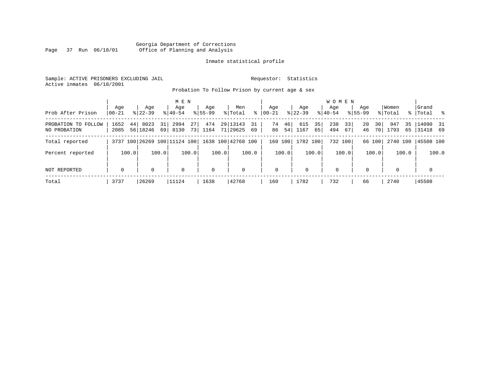#### Georgia Department of Corrections Page 37 Run 06/18/01 Office of Planning and Analysis

#### Inmate statistical profile

Sample: ACTIVE PRISONERS EXCLUDING JAIL **Requestor:** Statistics Active inmates 06/18/2001

Probation To Follow Prison by current age & sex

|                                     | Age          | Age                    | M E N<br>Age                                   | Age         | Men                           | Age                  | Age                     | <b>WOMEN</b><br>Aqe    | Age                  | Women             | Grand                     |
|-------------------------------------|--------------|------------------------|------------------------------------------------|-------------|-------------------------------|----------------------|-------------------------|------------------------|----------------------|-------------------|---------------------------|
| Prob After Prison                   | $00 - 21$    | $8122 - 39$            | $8140 - 54$                                    | $8155 - 99$ | ွေ<br>% Total                 | $ 00-21 $            | $8122 - 39$             | $8140 - 54$            | $8155 - 99$          | % Total           | %   Total %               |
| PROBATION TO FOLLOW<br>NO PROBATION | 1652<br>2085 | 44<br>8023<br>56 18246 | 27 <sup>1</sup><br>31<br>2994<br>69 8130<br>73 | 474<br>1164 | 29 13143<br>31<br>71 29625 69 | 46<br>74<br>54<br>86 | 35<br>615<br>1167<br>65 | 238<br>33<br>494<br>67 | 20<br>30<br>46<br>70 | 35<br>947<br>1793 | $14090$ 31<br>65 31418 69 |
| Total reported                      |              |                        | 3737 100 26269 100 11124 100                   |             | 1638 100 42768 100            | 160 100              | 1782 100                | 732 100                | 66 100               | 2740 100          | 45508 100                 |
| Percent reported                    | 100.0        | 100.0                  | 100.0                                          | 100.0       | 100.0                         | 100.0                | 100.0                   | 100.0                  | 100.0                | 100.0             | 100.0                     |
| NOT REPORTED                        | $\mathbf 0$  | $\Omega$               | 0                                              | $\mathbf 0$ | $\mathbf 0$                   | $\mathbf 0$          | $\Omega$                | $\mathbf 0$            | $\Omega$             | $\Omega$          | $\mathbf 0$               |
| Total                               | 3737         | 26269                  | 11124                                          | 1638        | 42768                         | 160                  | 1782                    | 732                    | 66                   | 2740              | 45508                     |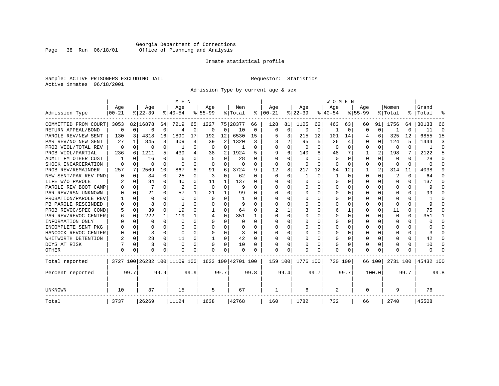### Georgia Department of Corrections Page 38 Run 06/18/01 Office of Planning and Analysis

#### Inmate statistical profile

Sample: ACTIVE PRISONERS EXCLUDING JAIL **Requestor:** Statistics Active inmates 06/18/2001

Admission Type by current age & sex

|                      |                  |          |                              |          | M E N            |          |                  |              |                    |      |                      |             |                  |          | <b>WOMEN</b>     |              |                    |          |                  |          |                    |          |
|----------------------|------------------|----------|------------------------------|----------|------------------|----------|------------------|--------------|--------------------|------|----------------------|-------------|------------------|----------|------------------|--------------|--------------------|----------|------------------|----------|--------------------|----------|
| Admission Type       | Age<br>$00 - 21$ |          | Age<br>$8 22-39$             |          | Age<br>$8 40-54$ |          | Age<br>$8 55-99$ |              | Men<br>% Total     |      | Age<br>$8   00 - 21$ |             | Age<br>$ 22-39 $ |          | Age<br>$8 40-54$ |              | Age<br>$8155 - 99$ |          | Women<br>% Total |          | Grand<br>%   Total |          |
|                      |                  |          |                              |          |                  |          |                  |              |                    |      |                      |             |                  |          |                  |              |                    |          |                  |          |                    |          |
| COMMITTED FROM COURT | 3053             |          | 82 16878                     | 64       | 7219             | 65       | 1227             |              | 75 28377           | 66   | 128                  | 81          | 1105             | 62       | 463              | 63           | 60                 | 91       | 1756             | 64       | 30133              | 66       |
| RETURN APPEAL/BOND   | 0                | $\Omega$ | 6                            | 0        | $\overline{4}$   | 0        | 0                | 0            | 10                 | 0    | $\mathbf 0$          | $\mathbf 0$ | $\Omega$         | 0        | 1                | 0            | $\Omega$           | $\Omega$ |                  | O        | 11                 | $\Omega$ |
| PAROLE REV/NEW SENT  | 130              | 3        | 4318                         | 16       | 1890             | 17       | 192              | 12           | 6530               | 15   |                      | 3           | 215              | 12       | 101              | 14           |                    | 6        | 325              | 12       | 6855               | 15       |
| PAR REV/NO NEW SENT  | 27               |          | 845                          | 3        | 409              | 4        | 39               | 2            | 1320               | 3    |                      | 2           | 95               | 5        | 26               | 4            | $\Omega$           | $\Omega$ | 124              | 5        | 1444               | 3        |
| PROB VIOL/TOTAL REV  | 0                | $\Omega$ | 0                            | 0        |                  | $\Omega$ | $\Omega$         | $\Omega$     |                    | 0    | <sup>0</sup>         | 0           | $\Omega$         | $\Omega$ | $\Omega$         | $\Omega$     | $\Omega$           | $\Omega$ | $\Omega$         | 0        |                    | $\Omega$ |
| PROB VIOL/PARTIAL    | 236              | 6        | 1211                         | 5.       | 439              | 4        | 38               | 2            | 1924               | 5    | q                    | 6           | 140              | 8        | 48               |              |                    | 2        | 198              | 7        | 2122               | 5        |
| ADMIT FM OTHER CUST  |                  | $\Omega$ | 16                           | 0        | 6                | 0        |                  | $\Omega$     | 28                 | 0    | $\Omega$             | $\Omega$    | $\Omega$         | O        | $\Omega$         | <sup>0</sup> | $\Omega$           | $\Omega$ | 0                | 0        | 28                 | ∩        |
| SHOCK INCARCERATION  | $\Omega$         | $\Omega$ | O                            | 0        | $\Omega$         | 0        | $\Omega$         | 0            | 0                  | 0    | $\Omega$             | 0           | 0                | O        | $\Omega$         | $\Omega$     | $\Omega$           | $\Omega$ | <sup>0</sup>     | 0        | U                  | ſ        |
| PROB REV/REMAINDER   | 257              | 7        | 2509                         | 10       | 867              | 8        | 91               | 6            | 3724               | 9    | 12                   | 8           | 217              | 12       | 84               | 12           |                    | 2        | 314              | 11       | 4038               |          |
| NEW SENT/PAR REV PND |                  | $\Omega$ | 34                           | 0        | 25               | 0        | 3                | 0            | 62                 | 0    | $\Omega$             | $\Omega$    | -1               | 0        | 1                | $\Omega$     | $\Omega$           | $\Omega$ | 2                | $\Omega$ | 64                 |          |
| LIFE W/O PAROLE      |                  | $\Omega$ | 84                           | 0        | 40               | 0        | 11               | 1            | 137                | U    | n                    | 0           | $\Omega$         | $\Omega$ | U                | O            | $\Omega$           | $\Omega$ | O                | 0        | 137                |          |
| PAROLE REV BOOT CAMP |                  | $\Omega$ | 7                            | $\Omega$ | 2                | $\Omega$ | $\Omega$         | 0            | q                  | U    |                      | 0           | $\Omega$         | $\Omega$ | Ω                | n            | ∩                  | $\Omega$ | O                | 0        | q                  |          |
| PAR REV/RSN UNKNOWN  |                  | $\Omega$ | 21                           | C.       | 57               | 1        | 21               | $\mathbf{1}$ | 99                 | U    | ∩                    | 0           | <sup>0</sup>     | $\Omega$ | U                | O            | ∩                  | $\Omega$ | n                | U        | 99                 |          |
| PROBATION/PAROLE REV |                  | $\Omega$ | $\Omega$                     | U        | $\Omega$         | 0        | $\Omega$         | $\Omega$     |                    | U    | ∩                    | U           | U                | $\Omega$ | U                | O            | ∩                  | U        |                  | U        |                    |          |
| PB PAROLE RESCINDED  |                  | $\Omega$ | 8                            | U        |                  | U        | U                | $\Omega$     | 9                  | U    | ∩                    | 0           | U                | $\Omega$ | U                | O            | ∩                  | $\Omega$ | n                | 0        | q                  |          |
| PROB REVOC/SPEC COND |                  | $\Omega$ | 39                           | 0        | 19               | 0        |                  | 0            | 64                 | U    |                      |             |                  | O        | 6                |              | $\Omega$           | $\Omega$ | 11               | U        | 75                 | n        |
| PAR REV/REVOC CENTER | h                | 0        | 222                          | 1        | 119              |          |                  | 0            | 351                |      | <sup>0</sup>         | 0           |                  | O        | Ω                | O            | $\Omega$           | U        | <sup>0</sup>     | 0        | 351                |          |
| INFORMATION ONLY     |                  | $\Omega$ | O                            | 0        | $\Omega$         | 0        | O                | 0            | O                  | 0    | <sup>0</sup>         | 0           | $\Omega$         | O        | U                | $\Omega$     | O                  | $\Omega$ | O                | 0        | U                  | ∩        |
| INCOMPLETE SENT PKG  |                  | $\Omega$ |                              | 0        | $\Omega$         | 0        | O                | $\Omega$     | O                  | U    | <sup>0</sup>         | $\Omega$    | O                | O        | O                | O            | O                  | $\Omega$ |                  | 0        |                    | n        |
| HANCOCK REVOC CENTER |                  | $\Omega$ | 3                            | 0        | $\Omega$         | 0        | U                | $\Omega$     | 3                  | U    | ∩                    | $\Omega$    | O                | O        | U                | $\Omega$     | $\Omega$           | $\Omega$ |                  | 0        | 3                  |          |
| WHITWORTH DETENTION  |                  | $\Omega$ | 28                           | 0        | 11               | 0        | 1                | 0            | 42                 | O    | <sup>0</sup>         | 0           | $\Omega$         | O        | 0                | $\Omega$     | $\Omega$           | $\Omega$ |                  | 0        | 42                 | ∩        |
| DCYS AT RISK         |                  | $\Omega$ | 3                            | $\Omega$ | $\Omega$         | 0        |                  | $\Omega$     | 10                 | 0    |                      | 0           | 0                | $\Omega$ | 0                | 0            | $\Omega$           | $\Omega$ |                  | 0        | 10                 | C        |
| OTHER                | $\Omega$         | 0        | O                            | U        | O                | 0        | O                | $\Omega$     | $\Omega$           | O    | $\Omega$             | O           | O                | $\Omega$ | O                | O            | $\Omega$           | $\Omega$ |                  | U        | U                  |          |
| Total reported       |                  |          | 3727 100 26232 100 11109 100 |          |                  |          |                  |              | 1633 100 42701 100 |      | 159 100              |             | 1776 100         |          | 730 100          |              |                    | 66 100   | 2731 100         |          | 45432 100          |          |
| Percent reported     |                  | 99.7     |                              | 99.9     |                  | 99.9     |                  | 99.7         |                    | 99.8 |                      | 99.4        |                  | 99.7     |                  | 99.7         |                    | 100.0    |                  | 99.7     |                    | 99.8     |
| UNKNOWN              | 10               |          | 37                           |          | 15               |          | 5                |              | 67                 |      | -1                   |             | 6                |          | 2                |              | 0                  |          | 9                |          | 76                 |          |
| Total                | 3737             |          | 26269                        |          | 11124            |          | 1638             |              | 42768              |      | 160                  |             | 1782             |          | 732              |              | 66                 |          | 2740             |          | 45508              |          |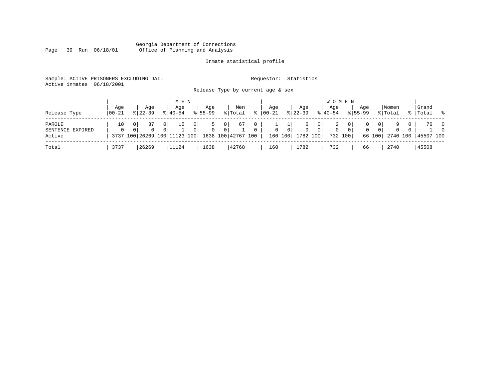#### Georgia Department of Corrections Page 39 Run 06/18/01 Office of Planning and Analysis

# Inmate statistical profile

| Sample: ACTIVE PRISONERS EXCLUDING JAIL |                                   | Requestor: Statistics |
|-----------------------------------------|-----------------------------------|-----------------------|
| Active inmates 06/18/2001               |                                   |                       |
|                                         | Release Type by current age & sex |                       |

| Release Type                         | Age<br>  00-21 | Aqe<br>$8122 - 39$ | M E N<br>Age<br>$8140 - 54$                                                        | Age<br>$8155 - 99$ | Men<br>% Total                                               | °≈                | Aqe<br>$00 - 21$ |                | Aqe<br>$8 22-39$      | W O M E N<br>Aqe<br>$8 40-54$ |                  | Aqe<br>$8155 - 99$ |                               | Women<br>% Total     | Grand<br>%   Total % |                                            |
|--------------------------------------|----------------|--------------------|------------------------------------------------------------------------------------|--------------------|--------------------------------------------------------------|-------------------|------------------|----------------|-----------------------|-------------------------------|------------------|--------------------|-------------------------------|----------------------|----------------------|--------------------------------------------|
| PAROLE<br>SENTENCE EXPIRED<br>Active | 10<br>$\Omega$ | $\Omega$           | 0 <sup>1</sup><br>15<br>$\Omega$<br>0 <sup>1</sup><br>3737 100 26269 100 11123 100 | 0 I<br>$\Omega$    | 67<br>0 <sub>1</sub><br>$\overline{0}$<br>1638 100 42767 100 | 0<br>$\mathbf{0}$ | $\mathbf{0}$     | 0 <sup>1</sup> | 0<br>160 100 1782 100 | 0 I<br>0 <sup>1</sup><br>0    | . O I<br>732 100 | $\mathbf{0}$       | 0<br>0 <sup>1</sup><br>66 100 | $\Omega$<br>2740 100 | 76<br>45507 100      | $\overline{\phantom{0}}$<br>$\overline{0}$ |
| Total                                | 3737           | 26269              | 11124                                                                              | 1638               | 42768                                                        |                   | 160              |                | 1782                  | 732                           |                  | 66                 |                               | 2740                 | 45508                |                                            |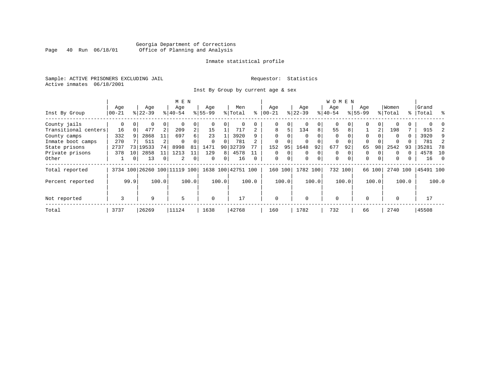### Georgia Department of Corrections<br>Page 40 Run 06/18/01 Office of Planning and Analysis Page 40 Run 06/18/01 Office of Planning and Analysis

#### Inmate statistical profile

Sample: ACTIVE PRISONERS EXCLUDING JAIL **Requestor:** Statistics Active inmates 06/18/2001

Inst By Group by current age & sex

|                      |           |      |           |                | M E N                        |                |             |          |                    |          |             |             |           |             | <b>WOMEN</b> |          |             |          |          |       |           |          |
|----------------------|-----------|------|-----------|----------------|------------------------------|----------------|-------------|----------|--------------------|----------|-------------|-------------|-----------|-------------|--------------|----------|-------------|----------|----------|-------|-----------|----------|
|                      | Age       |      | Age       |                | Age                          |                | Age         |          | Men                |          | Age         |             | Age       |             | Age          |          | Age         |          | Women    |       | Grand     |          |
| Inst By Group        | $00 - 21$ |      | $8 22-39$ |                | $8 40-54$                    |                | $8 55-99$   |          | % Total            | ႜ        | $ 00 - 21 $ |             | $ 22-39 $ |             | $ 40-54$     |          | $8155 - 99$ |          | % Total  |       | %   Total | ွေ       |
| County jails         | 0         |      | 0         | 0              |                              | 0              |             |          | 0                  |          | 0           | 0           |           | 0           | $\mathbf 0$  |          | 0           |          |          |       |           |          |
| Transitional centers | 16        |      | 477       | 2              | 209                          | $\overline{a}$ | 15          |          | 717                |          | 8           | 5           | 134       | 8           | 55           | 8        |             | 2        | 198      |       | 915       |          |
| County camps         | 332       | 9    | 2868      | 11             | 697                          | б.             | 23          |          | 3920               |          |             | U           |           | $\Omega$    | $\Omega$     |          | $\Omega$    |          | $\Omega$ | 0     | 3920      | 9        |
| Inmate boot camps    | 270       |      | 511       |                | $\Omega$                     |                | $\Omega$    | $\Omega$ | 781                |          | $\mathbf 0$ |             |           |             | 0            | $\Omega$ | $\Omega$    |          |          |       | 781       | 2        |
| State prisons        | 2737      | 73   | 19533     | 74             | 8998                         | 81             | 1471        | 90       | 32739              |          | 152         | 95          | 1648      | 92          | 677          | 92       | 65          | 98       | 2542     | 93    | 35281     | 78       |
| Private prisons      | 378       | 10   | 2858      | 11             | 1213                         | 11             | 129         | 8        | 4578               |          | $\Omega$    | $\Omega$    | $\Omega$  | $\mathbf 0$ | $\Omega$     |          | 0           |          | $\Omega$ |       | 4578      | - 10     |
| Other                |           | 0    | 13        | $\overline{0}$ | 2                            | 0              | $\Omega$    | 0        | 16                 | $\Omega$ | $\mathbf 0$ | $\mathbf 0$ | $\Omega$  | $\mathbf 0$ | $\mathbf 0$  | $\Omega$ | 0           | $\Omega$ | $\Omega$ | 0     | 16        | $\Omega$ |
| Total reported       |           |      |           |                | 3734 100 26260 100 11119 100 |                |             |          | 1638 100 42751 100 |          | 160         | 100         | 1782 100  |             | 732 100      |          |             | 66 100   | 2740 100 |       | 45491 100 |          |
| Percent reported     |           | 99.9 |           | 100.0          |                              | 100.0          |             | 100.0    |                    | 100.0    |             | 100.0       |           | 100.0       |              | 100.0    |             | 100.0    |          | 100.0 |           | 100.0    |
| Not reported         | 3         |      | 9         |                | 5                            |                | $\mathbf 0$ |          | 17                 |          | $\mathbf 0$ |             | $\Omega$  |             | $\mathbf 0$  |          | $\Omega$    |          | $\Omega$ |       | 17        |          |
| Total                | 3737      |      | 26269     |                | 11124                        |                | 1638        |          | 42768              |          | 160         |             | 1782      |             | 732          |          | 66          |          | 2740     |       | 45508     |          |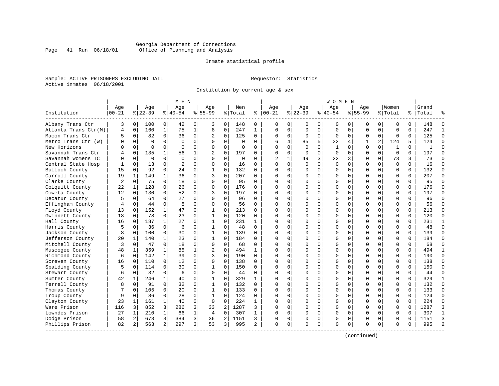#### Georgia Department of Corrections Page 41 Run 06/18/01 Office of Planning and Analysis

#### Inmate statistical profile

Sample: ACTIVE PRISONERS EXCLUDING JAIL **Requestor:** Statistics Active inmates 06/18/2001

Institution by current age & sex

|                      |           |              |           |                | M E N          |              |                |             |             |              |              |              |             |             | W O M E N   |             |             |             |             |          |           |               |
|----------------------|-----------|--------------|-----------|----------------|----------------|--------------|----------------|-------------|-------------|--------------|--------------|--------------|-------------|-------------|-------------|-------------|-------------|-------------|-------------|----------|-----------|---------------|
|                      | Age       |              | Age       |                | Age            |              | Age            |             | Men         |              | Age          |              | Age         |             | Aqe         |             | Aqe         |             | Women       |          | Grand     |               |
| Institution          | $00 - 21$ |              | $8 22-39$ |                | $8 40-54$      |              | $8 55-99$      |             | % Total     | နွ           | $ 00-21$     |              | $ 22-39$    |             | $ 40-54$    |             | $8155 - 99$ |             | % Total     |          | %   Total |               |
| Albany Trans Ctr     | 3         | 0            | 100       | 0              | 42             | 0            | 3              | 0           | 148         | 0            | 0            | $\Omega$     | 0           | 0           | 0           | 0           | 0           | 0           | 0           | $\Omega$ | 148       | n             |
| Atlanta Trans Ctr(M) | 4         | $\mathbf 0$  | 160       | $\mathbf{1}$   | 75             | $\mathbf 1$  | 8              | $\mathsf 0$ | 247         | $\mathbf{1}$ | $\Omega$     | $\Omega$     | $\mathbf 0$ | $\mathbf 0$ | $\Omega$    | $\mathbf 0$ | $\Omega$    | $\Omega$    | $\mathbf 0$ | $\Omega$ | 247       | $\mathbf{1}$  |
| Macon Trans Ctr      | 5         | 0            | 82        | $\Omega$       | 36             | 0            | 2              | $\mathbf 0$ | 125         | $\Omega$     | $\Omega$     | $\mathbf{0}$ | $\Omega$    | $\mathbf 0$ | $\Omega$    | $\mathbf 0$ | $\Omega$    | $\mathbf 0$ | $\Omega$    | $\Omega$ | 125       | $\Omega$      |
| Metro Trans Ctr (W)  | Λ         | 0            | $\Omega$  | $\Omega$       | $\mathbf 0$    | 0            | O              | 0           | $\Omega$    | $\Omega$     | 6            | 4            | 85          | 5           | 32          | 4           | 1           | 2           | 124         | 5        | 124       | $\Omega$      |
| New Horizons         |           | $\Omega$     | $\Omega$  | 0              | $\Omega$       | $\Omega$     | O              | $\Omega$    | $\Omega$    | U            | ∩            | $\Omega$     | $\Omega$    | $\Omega$    | 1           | $\Omega$    | $\Omega$    | $\Omega$    | 1           | $\Omega$ | -1        | $\cap$        |
| Savannah Trans Ctr   | 4         | $\mathbf 0$  | 135       | $\mathbf{1}$   | 56             | 1            | 2              | 0           | 197         | 0            | $\Omega$     | $\Omega$     | $\Omega$    | $\Omega$    | $\mathbf 0$ | $\mathbf 0$ | $\Omega$    | $\Omega$    | $\mathbf 0$ | 0        | 197       | $\Omega$      |
| Savannah Womens TC   | U         | $\mathbf 0$  | 0         | 0              | $\mathbf 0$    | 0            | $\Omega$       | $\mathbf 0$ | $\mathbf 0$ | 0            | 2            | 1            | 49          | 3           | 22          | 3           | $\Omega$    | 0           | 73          | 3        | 73        | $\Omega$      |
| Central State Hosp   |           | $\mathbf 0$  | 13        | $\Omega$       | $\overline{2}$ | $\Omega$     | $\Omega$       | $\mathbf 0$ | 16          | $\Omega$     | $\Omega$     | $\Omega$     | $\Omega$    | $\Omega$    | $\Omega$    | $\Omega$    | $\Omega$    | $\Omega$    | $\mathbf 0$ | $\Omega$ | 16        | $\Omega$      |
| Bulloch County       | 15        | $\Omega$     | 92        | $\Omega$       | 24             | $\Omega$     | $\mathbf{1}$   | $\Omega$    | 132         | $\Omega$     | $\Omega$     | 0            | $\Omega$    | $\Omega$    | $\Omega$    | 0           | $\Omega$    | $\Omega$    | $\Omega$    | $\Omega$ | 132       | $\Omega$      |
| Carroll County       | 19        | 1            | 149       | $\mathbf{1}$   | 36             | 0            | ζ              | $\Omega$    | 207         | 0            | $\cap$       | $\Omega$     | $\Omega$    | 0           | $\Omega$    | 0           | $\Omega$    | $\Omega$    | $\Omega$    | $\Omega$ | 207       | $\Omega$      |
| Clarke County        | 2         | $\mathbf 0$  | 75        | 0              | 18             | $\Omega$     | $\Omega$       | $\Omega$    | 95          | $\Omega$     | ∩            | $\cap$       | $\Omega$    | 0           | $\Omega$    | $\Omega$    | $\Omega$    | $\Omega$    | $\Omega$    | $\Omega$ | 95        | $\Omega$      |
| Colquitt County      | 22        | 1            | 128       | $\Omega$       | 26             | 0            | $\Omega$       | $\mathbf 0$ | 176         | $\Omega$     | ∩            | 0            | $\Omega$    | $\Omega$    | $\Omega$    | 0           | $\Omega$    | $\Omega$    | $\mathbf 0$ | $\Omega$ | 176       | $\Omega$      |
| Coweta County        | 12        | 0            | 130       | $\mathbf 0$    | 52             | $\mathbf 0$  | 3              | $\mathbf 0$ | 197         | 0            | <sup>0</sup> | $\Omega$     | 0           | $\mathbf 0$ | C           | $\mathbf 0$ | $\Omega$    | $\Omega$    | $\mathbf 0$ | $\Omega$ | 197       | $\Omega$      |
| Decatur County       | 5         | 0            | 64        | 0              | 27             | $\Omega$     | $\Omega$       | 0           | 96          | $\Omega$     | $\Omega$     | $\Omega$     | 0           | 0           | $\Omega$    | 0           | $\Omega$    | $\Omega$    | $\Omega$    | $\Omega$ | 96        | $\Omega$      |
| Effingham County     | 4         | 0            | 44        | 0              | 8              | 0            | $\Omega$       | 0           | 56          | $\Omega$     | $\Omega$     | $\Omega$     | $\Omega$    | 0           | $\Omega$    | 0           | $\Omega$    | $\Omega$    | $\mathbf 0$ | 0        | 56        | $\Omega$      |
| Floyd County         | 13        | 0            | 152       | $\mathbf{1}$   | 47             | $\Omega$     | $\mathbf{1}$   | $\Omega$    | 213         | 0            | ∩            | 0            | 0           | 0           | 0           | 0           | $\Omega$    | $\Omega$    | $\Omega$    | $\Omega$ | 213       | $\Omega$      |
| Gwinnett County      | 18        | $\Omega$     | 78        | $\Omega$       | 23             | $\Omega$     | $\mathbf{1}$   | $\Omega$    | 120         | $\Omega$     | ∩            | $\Omega$     | $\Omega$    | $\Omega$    | $\Omega$    | $\Omega$    | $\Omega$    | $\Omega$    | $\Omega$    | $\Omega$ | 120       | $\Omega$      |
| Hall County          | 16        | 0            | 187       | $\mathbf{1}$   | 27             | 0            | 1              | $\mathbf 0$ | 231         | 1            | <sup>0</sup> | $\Omega$     | $\Omega$    | 0           | $\Omega$    | $\Omega$    | $\Omega$    | $\Omega$    | $\Omega$    | $\Omega$ | 231       | -1            |
| Harris County        |           | $\mathbf 0$  | 36        | $\mathbf 0$    | 6              | 0            | 1              | $\mathbf 0$ | 48          | $\Omega$     | ∩            | $\Omega$     | 0           | 0           | U           | $\mathbf 0$ | $\Omega$    | $\Omega$    | $\mathbf 0$ | $\Omega$ | 48        | $\Omega$      |
| Jackson County       | 8         | $\mathbf 0$  | 100       | $\mathbf 0$    | 30             | $\Omega$     | $\mathbf 1$    | 0           | 139         | $\Omega$     | $\cap$       | 0            | 0           | 0           | U           | 0           | $\Omega$    | $\Omega$    | $\Omega$    | $\Omega$ | 139       | $\Omega$      |
| Jefferson County     | 20        | 1            | 140       | $\mathbf{1}$   | 23             | 0            | 1              | 0           | 184         | $\Omega$     | ∩            | 0            | $\Omega$    | 0           | $\Omega$    | 0           | $\Omega$    | $\Omega$    | $\Omega$    | $\Omega$ | 184       | ∩             |
| Mitchell County      | 3         | 0            | 47        | 0              | 18             | 0            | $\Omega$       | 0           | 68          | 0            | $\cap$       | 0            | $\Omega$    | 0           | $\Omega$    | 0           | $\Omega$    | $\Omega$    | $\Omega$    | $\Omega$ | 68        | $\Omega$      |
| Muscogee County      | 48        | $\mathbf{1}$ | 359       | $\mathbf{1}$   | 85             | $\mathbf{1}$ | $\overline{c}$ | $\Omega$    | 494         | $\mathbf{1}$ | $\cap$       | $\Omega$     | $\Omega$    | 0           | $\Omega$    | $\Omega$    | $\Omega$    | $\Omega$    | $\Omega$    | $\Omega$ | 494       | $\mathbf{1}$  |
| Richmond County      | 6         | $\Omega$     | 142       | $\mathbf{1}$   | 39             | $\Omega$     | 3              | $\Omega$    | 190         | $\Omega$     | $\Omega$     | $\Omega$     | $\Omega$    | $\Omega$    | $\Omega$    | $\Omega$    | $\Omega$    | $\Omega$    | $\Omega$    | $\Omega$ | 190       | $\Omega$      |
| Screven County       | 16        | $\mathbf 0$  | 110       | $\mathbf 0$    | 12             | $\Omega$     | $\Omega$       | $\mathbf 0$ | 138         | $\Omega$     | $\Omega$     | $\Omega$     | 0           | 0           | C           | $\mathbf 0$ | $\Omega$    | $\Omega$    | $\mathbf 0$ | $\Omega$ | 138       | $\Omega$      |
| Spalding County      | 5         | 0            | 114       | 0              | 30             | $\Omega$     | $\mathbf 1$    | $\mathbf 0$ | 150         | $\Omega$     | $\Omega$     | 0            | 0           | 0           | U           | 0           | $\Omega$    | $\Omega$    | $\Omega$    | $\Omega$ | 150       | $\Omega$      |
| Stewart County       | 6         | 0            | 32        | $\Omega$       | 6              | 0            | $\Omega$       | $\mathbf 0$ | 44          | $\Omega$     | $\cap$       | 0            | $\Omega$    | $\Omega$    | $\Omega$    | 0           | $\Omega$    | $\Omega$    | $\mathbf 0$ | $\Omega$ | 44        | $\Omega$      |
| Sumter County        | 42        | 1            | 246       | $\mathbf{1}$   | 40             | 0            | 1              | $\mathbf 0$ | 329         | 1            |              | 0            | $\Omega$    | $\Omega$    | $\Omega$    | 0           | $\Omega$    | $\Omega$    | $\Omega$    | $\Omega$ | 329       | 1             |
| Terrell County       | 8         | $\Omega$     | 91        | 0              | 32             | $\Omega$     | $\mathbf{1}$   | $\Omega$    | 132         | $\Omega$     | $\cap$       | $\cap$       | $\Omega$    | O           | $\Omega$    | $\Omega$    | $\Omega$    | $\Omega$    | $\Omega$    | $\Omega$ | 132       | $\Omega$      |
| Thomas County        |           | 0            | 105       | 0              | 20             | 0            | 1              | 0           | 133         | $\Omega$     | ∩            | 0            | $\Omega$    | 0           | $\Omega$    | 0           | $\Omega$    | $\Omega$    | $\mathbf 0$ | $\Omega$ | 133       | $\Omega$      |
| Troup County         | 9         | 0            | 86        | $\mathbf 0$    | 28             | 0            | 1              | $\mathbf 0$ | 124         | 0            |              | $\Omega$     | 0           | 0           | C           | $\mathbf 0$ | $\Omega$    | 0           | $\mathbf 0$ | $\Omega$ | 124       | $\Omega$      |
| Clayton County       | 23        | 1            | 161       | $\mathbf{1}$   | 40             | $\Omega$     | $\Omega$       | $\Omega$    | 224         | $\mathbf{1}$ | $\cap$       | $\Omega$     | 0           | $\Omega$    | $\Omega$    | 0           | $\Omega$    | $\Omega$    | $\Omega$    | $\Omega$ | 224       | $\Omega$      |
| Ware Prison          | 116       | 3            | 852       | 3              | 286            | 3            | 33             | 2           | 1287        | 3            | ∩            | $\Omega$     | $\Omega$    | 0           | $\Omega$    | 0           | $\Omega$    | $\Omega$    | $\mathbf 0$ | $\Omega$ | 1287      | 3             |
| Lowndes Prison       | 27        | 1            | 210       | $\mathbf{1}$   | 66             | $\mathbf 1$  | 4              | $\mathbf 0$ | 307         | 1            |              | $\Omega$     | $\Omega$    | $\mathbf 0$ | $\Omega$    | 0           | $\Omega$    | $\Omega$    | $\Omega$    | $\Omega$ | 307       | $\mathbf{1}$  |
| Dodge Prison         | 58        | 2            | 673       | 3              | 384            | 3            | 36             | 2           | 1151        | ς            | <sup>0</sup> | 0            | 0           | 0           | $\Omega$    | 0           | $\Omega$    | $\Omega$    | $\Omega$    | $\Omega$ | 1151      | 3             |
| Phillips Prison      | 82        | 2            | 563       | $\overline{a}$ | 297            | 3            | 53             | 3           | 995         | 2            | $\Omega$     | 0            | $\Omega$    | 0           | $\Omega$    | 0           | $\Omega$    | 0           | $\Omega$    | 0        | 995       | $\mathcal{D}$ |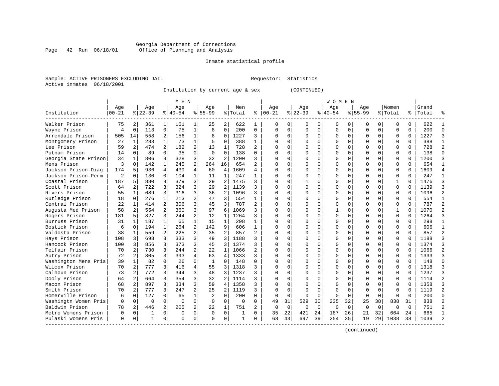#### Georgia Department of Corrections Page 42 Run 06/18/01 Office of Planning and Analysis

# Inmate statistical profile

|  | Sample: ACTIVE PRISONERS EXCLUDING JAII |  |
|--|-----------------------------------------|--|
|  | Active inmates 06/18/2001               |  |

L Bample: Active Prequestor: Statistics

Institution by current age & sex (CONTINUED)

|                      |                |                |          |                | M E N       |                |              |                |          |                |              |             |             |          | W O M E N |             |             |             |              |          |           |   |
|----------------------|----------------|----------------|----------|----------------|-------------|----------------|--------------|----------------|----------|----------------|--------------|-------------|-------------|----------|-----------|-------------|-------------|-------------|--------------|----------|-----------|---|
|                      | Age            |                | Age      |                | Age         |                | Aqe          |                | Men      |                | Age          |             | Age         |          | Aqe       |             | Aqe         |             | Women        |          | Grand     |   |
| Institution          | 00-21          |                | $ 22-39$ |                | $8 40-54$   |                | $8155 - 99$  |                | % Total  | ႜ              | $ 00-21$     |             | $ 22-39$    |          | $ 40-54$  |             | $8155 - 99$ |             | % Total      |          | %   Total |   |
| Walker Prison        | 75             | 2              | 361      | 1              | 161         |                | 25           | 2              | 622      |                | $\Omega$     | $\Omega$    | $\Omega$    | 0        | $\Omega$  | $\Omega$    | $\Omega$    | $\Omega$    | O            | 0        | 622       |   |
| Wayne Prison         | 4              | $\mathbf 0$    | 113      | 0              | 75          | 1              | 8            | 0              | 200      | 0              | 0            | 0           | 0           | 0        | 0         | $\Omega$    | $\Omega$    | $\Omega$    | 0            | $\Omega$ | 200       | ∩ |
| Arrendale Prison     | 505            | 14             | 558      | 2              | 156         | 1              | 8            | $\Omega$       | 1227     | 3              | $\Omega$     | $\Omega$    | $\Omega$    | $\Omega$ | O         | $\Omega$    | $\Omega$    | $\Omega$    | $\Omega$     | $\Omega$ | 1227      |   |
| Montgomery Prison    | 27             | 1              | 283      | $\mathbf{1}$   | 73          | $\mathbf{1}$   | 5            | $\Omega$       | 388      | $\mathbf{1}$   | <sup>0</sup> | $\Omega$    | $\Omega$    | $\Omega$ | O         | $\Omega$    | $\Omega$    | $\Omega$    | $\Omega$     | $\Omega$ | 388       |   |
| Lee Prison           | 59             | $\overline{2}$ | 474      | $\overline{a}$ | 182         | $\overline{a}$ | 13           | $\mathbf{1}$   | 728      | $\overline{a}$ | <sup>0</sup> | $\Omega$    | $\Omega$    | $\Omega$ | U         | $\Omega$    |             | $\Omega$    | $\Omega$     | $\Omega$ | 728       |   |
| Putnam Prison        | 14             | $\Omega$       | 89       | $\Omega$       | 35          | $\Omega$       | $\Omega$     | $\Omega$       | 138      | 0              | C            | $\Omega$    |             | $\Omega$ | ი         | $\Omega$    |             | $\Omega$    | $\Omega$     | $\Omega$ | 138       |   |
| Georgia State Prison | 34             | $\mathbf 1$    | 806      | 3              | 328         | 3              | 32           | 2              | 1200     | 3              | $\cap$       | $\Omega$    | $\Omega$    | $\Omega$ | O         | $\Omega$    | $\Omega$    | $\Omega$    | $\Omega$     | $\Omega$ | 1200      |   |
| Mens Prison          | ζ              | $\Omega$       | 142      | $\mathbf{1}$   | 245         | 2              | 264          | 16             | 654      | 2              | $\cap$       | $\Omega$    | O           | $\Omega$ | U         | $\Omega$    | ∩           | U           | O            | $\Omega$ | 654       |   |
| Jackson Prison-Diag  | 174            | .5             | 936      | 4              | 439         | 4              | 60           | 4              | 1609     | 4              | ∩            | $\Omega$    | U           | O        | U         | $\Omega$    | ∩           | U           | O            | 0        | 1609      |   |
| Jackson Prison-Perm  | $\overline{c}$ | $\Omega$       | 130      | $\Omega$       | 104         | 1              | 11           | 1              | 247      |                | ∩            | 0           | U           | $\Omega$ | 0         | $\Omega$    | $\Omega$    | U           | O            | 0        | 247       |   |
| Coastal Prison       | 187            | 5              | 880      | 3              | 379         | 3              | 29           | 2              | 1475     | 3              |              | U           |             | U        | Ω         | $\Omega$    |             |             | -1           | U        | 1476      |   |
| Scott Prison         | 64             | $\overline{2}$ | 722      | 3              | 324         | 3              | 29           | 2              | 1139     | 3              | n            | U           | $\cap$      | $\cap$   | U         | $\cap$      | ∩           | U           | $\cap$       | $\Omega$ | 1139      |   |
| Rivers Prison        | 55             | $\mathbf{1}$   | 689      | 3              | 316         | 3              | 36           | $\overline{2}$ | 1096     | 3              | n            | U           | ∩           | $\cap$   | U         | $\cap$      | ∩           | U           | $\cap$       | $\Omega$ | 1096      |   |
| Rutledge Prison      | 18             | $\Omega$       | 276      | $\mathbf{1}$   | 213         | 2              | 47           | 3              | 554      | $\mathbf{1}$   | <sup>0</sup> | $\Omega$    | $\Omega$    | $\Omega$ | Ω         | $\Omega$    | $\Omega$    | $\Omega$    | $\Omega$     | $\Omega$ | 554       |   |
| Central Prison       | 22             | $\mathbf 1$    | 414      | 2              | 306         | 3              | 45           | 3              | 787      | 2              |              | 0           | 0           | 0        | ი         | $\Omega$    |             | $\Omega$    | $\Omega$     | $\Omega$ | 787       |   |
| Augusta Med Prison   | 58             | 2 <sup>1</sup> | 554      | 2              | 360         | 3              | 97           | 6              | 1069     | 3              |              | 0           |             | $\Omega$ |           | 0           |             | $\cap$      | $\mathbf{1}$ | $\Omega$ | 1070      |   |
| Rogers Prison        | 181            | 5              | 827      | 3              | 244         | $\overline{a}$ | 12           | 1              | 1264     | 3              | ∩            | 0           | U           | O        | U         | $\Omega$    | ∩           | O           | U            | $\Omega$ | 1264      |   |
| Burruss Prison       | 31             | 1              | 187      | 1              | 65          | 1              | 15           | 1              | 298      | 1              | <sup>0</sup> | $\Omega$    | U           | O        | U         | $\Omega$    | ∩           | 0           | O            | 0        | 298       |   |
| Bostick Prison       | 6              | 0              | 194      | $\mathbf{1}$   | 264         | 2              | 142          | 9              | 606      | 1              | <sup>0</sup> | 0           |             | $\Omega$ | U         | $\Omega$    |             |             | O            | U        | 606       |   |
| Valdosta Prison      | 38             | 1              | 559      | 2              | 225         | 2              | 35           | 2              | 857      | 2              | n            | 0           | ∩           | $\Omega$ | Ω         | $\cap$      | ∩           | ∩           | U            | $\Omega$ | 857       |   |
| Hays Prison          | 108            | 3              | 698      | 3              | 333         | 3              | 49           | 3              | 1188     | 3              | ∩            | 0           | ∩           | $\Omega$ | U         | $\Omega$    | ∩           | 0           | U            | $\Omega$ | 1188      |   |
| Hancock Prison       | 100            | 3              | 856      | 3              | 373         | 3              | 45           | 3              | 1374     | 3              | <sup>0</sup> | 0           | U           | $\Omega$ | U         | $\Omega$    | $\Omega$    | $\Omega$    | O            | 0        | 1374      |   |
| Telfair Prison       | 70             | $\overline{2}$ | 730      | 3              | 244         | 2              | 22           | 1              | 1066     | 2              | <sup>0</sup> | $\Omega$    | U           | $\Omega$ | 0         | $\Omega$    | $\Omega$    | $\Omega$    | 0            | 0        | 1066      |   |
| Autry Prison         | 72             | $\overline{2}$ | 805      | 3              | 393         | 4              | 63           | $\overline{4}$ | 1333     | 3              | 0            | $\Omega$    |             | $\Omega$ | 0         | $\Omega$    |             | $\Omega$    | $\Omega$     | $\Omega$ | 1333      |   |
| Washington Mens Pris | 39             | $\mathbf{1}$   | 82       | 0              | 26          | $\Omega$       | $\mathbf{1}$ | $\Omega$       | 148      | O              | C            | 0           |             | O        | U         | 0           | $\Omega$    | 0           | 0            | $\Omega$ | 148       | ∩ |
| Wilcox Prison        | 70             | $\overline{2}$ | 777      | 3              | 416         | 4              | 55           | 3              | 1318     | 3              | ∩            | 0           | U           | O        | 0         | $\Omega$    | $\Omega$    | 0           | 0            | 0        | 1318      |   |
| Calhoun Prison       | 73             | 2              | 772      | 3              | 344         | 3              | 48           | 3              | 1237     | 3              | <sup>0</sup> | 0           | O           | O        | 0         | $\Omega$    | $\Omega$    | 0           | 0            | 0        | 1237      |   |
| Dooly Prison         | 64             | 2              | 664      | 3              | 354         | 3              | 32           | 2              | 1114     | 3              | <sup>0</sup> | $\Omega$    | O           | $\Omega$ | Ω         | $\Omega$    | $\Omega$    | $\Omega$    | O            | O        | 1114      |   |
| Macon Prison         | 68             | 2              | 897      | 3              | 334         | 3              | 59           | 4              | 1358     | 3              |              | O           | ∩           | $\Omega$ | Ω         | $\Omega$    |             |             | $\Omega$     | U        | 1358      |   |
| Smith Prison         | 70             | 2              | 777      | 3              | 247         | 2              | 25           | $\mathfrak{D}$ | 1119     | 3              | <sup>0</sup> | $\Omega$    | $\Omega$    | $\Omega$ | O         | $\Omega$    | $\Omega$    | $\Omega$    | $\Omega$     | U        | 1119      |   |
| Homerville Prison    | 6              | $\Omega$       | 127      | $\Omega$       | 65          | 1              | 2            | $\Omega$       | 200      | 0              | $\Omega$     | $\Omega$    | $\Omega$    | $\Omega$ | O         | $\Omega$    | $\Omega$    | $\Omega$    | O            | $\Omega$ | 200       | U |
| Washingtn Women Pris | $\Omega$       | 0              | $\Omega$ | $\Omega$       | $\Omega$    | $\Omega$       | $\Omega$     | 0              | $\Omega$ | 0              | 49           | 31          | 529         | 30       | 235       | 32          | 25          | 38          | 838          | 31       | 838       |   |
| Baldwin Prison       | 78             | 2              | 446      | $\overline{a}$ | 205         | 2              | 22           | 1              | 751      | 2              | 0            | $\mathbf 0$ | $\mathbf 0$ | 0        | $\Omega$  | $\mathbf 0$ | $\Omega$    | $\mathbf 0$ | $\Omega$     | $\Omega$ | 751       |   |
| Metro Womens Prison  | O              | 0              | 1        | 0              | $\mathbf 0$ | $\mathbf 0$    | $\Omega$     | $\mathbf 0$    | 1        | O              | 35           | 22          | 421         | 24       | 187       | 26          | 21          | 32          | 664          | 24       | 665       |   |
| Pulaski Womens Pris  | $\Omega$       | 0              | 1        | $\Omega$       | $\Omega$    | 0              | U            | 0              | 1        | 0              | 68           | 43          | 697         | 39       | 254       | 35          | 19          | 29          | 1038         | 38       | 1039      |   |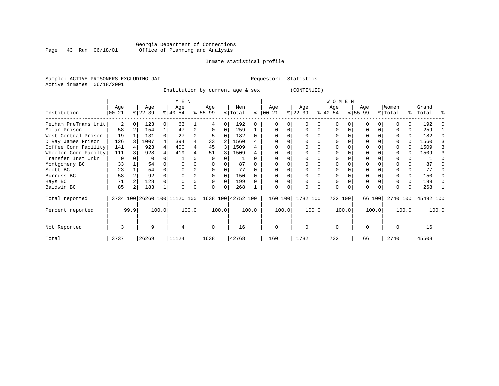### Georgia Department of Corrections<br>Page 43 Run 06/18/01 Office of Planning and Analysis Page 43 Run 06/18/01 Office of Planning and Analysis

#### Inmate statistical profile

Sample: ACTIVE PRISONERS EXCLUDING JAIL **Requestor:** Statistics Active inmates 06/18/2001

Institution by current age & sex (CONTINUED)

|                      |            |      |           |       | M E N                        |       |          |       |                    |       |           |          |              |       | W O M E N |          |             |        |          |       |           |       |
|----------------------|------------|------|-----------|-------|------------------------------|-------|----------|-------|--------------------|-------|-----------|----------|--------------|-------|-----------|----------|-------------|--------|----------|-------|-----------|-------|
|                      | Age        |      | Age       |       | Age                          |       | Age      |       | Men                |       | Age       |          | Age          |       | Age       |          | Age         |        | Women    |       | Grand     |       |
| Institution          | $ 00 - 21$ |      | $ 22-39 $ |       | $8 40-54$                    |       | $ 55-99$ |       | % Total            | ి     | $00 - 21$ |          | $ 22-39 $    |       | $ 40-54 $ |          | $8155 - 99$ |        | % Total  |       | %   Total | ႜ     |
| Pelham PreTrans Unit | 2          |      | 123       |       | 63                           |       |          | 0     | 192                |       |           |          |              |       | $\Omega$  |          |             |        |          |       | 192       |       |
| Milan Prison         | 58         |      | 154       |       | 47                           | 0     | $\Omega$ | 0     | 259                |       |           |          |              | 0     | $\Omega$  |          |             |        |          | 0     | 259       |       |
| West Central Prison  | 19         |      | 131       |       | 27                           |       |          |       | 182                | 0     |           |          |              |       | 0         |          |             |        |          | 0     | 182       |       |
| D Ray James Prison   | 126        |      | 1007      |       | 394                          |       | 33       |       | 1560               |       |           |          |              |       |           |          |             |        |          | 0     | 1560      |       |
| Coffee Corr Facility | 141        |      | 923       |       | 400                          |       | 45       | 3     | 1509               |       |           |          |              |       |           |          |             |        |          |       | 1509      |       |
| Wheeler Corr Facilty | 111        |      | 928       |       | 419                          |       | 51       |       | 1509               |       |           |          |              |       |           |          |             |        |          |       | 1509      |       |
| Transfer Inst Unkn   | 0          |      | $\Omega$  |       |                              |       |          |       |                    |       |           |          |              |       |           |          |             |        |          |       |           |       |
| Montgomery BC        | 33         |      | 54        |       |                              |       |          |       | 87                 |       |           |          |              |       |           |          |             |        |          |       | 87        |       |
| Scott BC             | 23         |      | 54        |       |                              |       |          |       | 77                 |       |           |          |              |       |           |          |             |        |          | 0     | 77        |       |
| Burruss BC           | 58         |      | 92        |       |                              |       |          |       | 150                |       |           |          |              |       |           |          |             |        |          | 0     | 150       |       |
| Hays BC              | 71         |      | 128       |       |                              |       |          | 0     | 199                |       |           |          |              |       | $\Omega$  |          | $\Omega$    |        |          | 0     | 199       |       |
| Baldwin BC           | 85         |      | 183       |       | $\Omega$                     |       | O        | 0     | 268                |       | $\Omega$  | $\Omega$ | <sup>0</sup> | 0     | $\Omega$  | $\Omega$ | $\Omega$    |        |          |       | 268       |       |
| Total reported       |            |      |           |       | 3734 100 26260 100 11120 100 |       |          |       | 1638 100 42752 100 |       | 160 100   |          | 1782 100     |       | 732 100   |          |             | 66 100 | 2740 100 |       | 45492 100 |       |
| Percent reported     |            | 99.9 |           | 100.0 |                              | 100.0 |          | 100.0 |                    | 100.0 |           | 100.0    |              | 100.0 |           | 100.0    |             | 100.0  |          | 100.0 |           | 100.0 |
| Not Reported         | 3          |      | 9         |       | 4                            |       | $\Omega$ |       | 16                 |       | $\Omega$  |          | $\Omega$     |       | $\Omega$  |          | $\Omega$    |        | $\Omega$ |       | 16        |       |
| Total                | 3737       |      | 26269     |       | 11124                        |       | 1638     |       | 42768              |       | 160       |          | 1782         |       | 732       |          | 66          |        | 2740     |       | 45508     |       |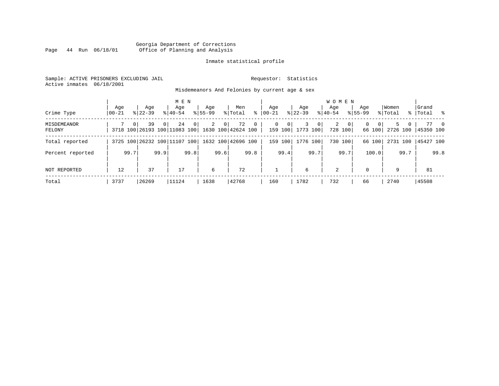#### Georgia Department of Corrections Page 44 Run 06/18/01 Office of Planning and Analysis

#### Inmate statistical profile

Sample: ACTIVE PRISONERS EXCLUDING JAIL **Requestor:** Statistics Active inmates 06/18/2001

Misdemeanors And Felonies by current age & sex

| Crime Type                   | Age<br>$00 - 21$ |          | Aqe<br>$8122 - 39$                 |                | M E N<br>Age<br>$8140 - 54$ |          | Age<br>$8155 - 99$ |                | Men<br>% Total           | ွေ             | Age<br>$ 00-21$ |                                     | Age<br>$ 22-39 $ |                | <b>WOMEN</b><br>Aqe<br>$8140 - 54$ |                           | Age<br>$8155 - 99$ |                    | Women<br>% Total |        | Grand<br>%   Total %     |                |
|------------------------------|------------------|----------|------------------------------------|----------------|-----------------------------|----------|--------------------|----------------|--------------------------|----------------|-----------------|-------------------------------------|------------------|----------------|------------------------------------|---------------------------|--------------------|--------------------|------------------|--------|--------------------------|----------------|
| <b>MISDEMEANOR</b><br>FELONY |                  | $\Omega$ | 39<br>3718 100 26193 100 11083 100 | 0 <sup>1</sup> | 24                          | $\Omega$ | $\overline{2}$     | 0 <sup>1</sup> | 72<br>1630 100 42624 100 | $\overline{0}$ |                 | $\mathbf{0}$<br>$\Omega$<br>159 100 | 3<br>1773 100    | 0 <sup>1</sup> | $\overline{2}$                     | $\overline{0}$<br>728 100 | $\Omega$           | $\Omega$<br>66 100 |                  | 5<br>0 | 77<br>2726 100 45350 100 | $\overline{0}$ |
| Total reported               |                  |          | 3725 100 26232 100 11107 100       |                |                             |          |                    |                | 1632 100 42696 100       |                | 159             | 100                                 |                  | 1776 100       |                                    | 730 100                   |                    | 66 100             | 2731 100         |        | 45427 100                |                |
| Percent reported             |                  | 99.7     |                                    | 99.9           |                             | 99.8     |                    | 99.6           |                          | 99.8           |                 | 99.4                                |                  | 99.7           |                                    | 99.7                      |                    | 100.0              |                  | 99.7   |                          | 99.8           |
| NOT REPORTED                 | 12               |          | 37                                 |                | 17                          |          | 6                  |                | 72                       |                |                 |                                     | 6                |                | 2                                  |                           | $\Omega$           |                    | 9                |        | 81                       |                |
| Total                        | 3737             |          | 26269                              |                | 11124                       |          | 1638               |                | 42768                    |                | 160             |                                     | 1782             |                | 732                                |                           | 66                 |                    | 2740             |        | 45508                    |                |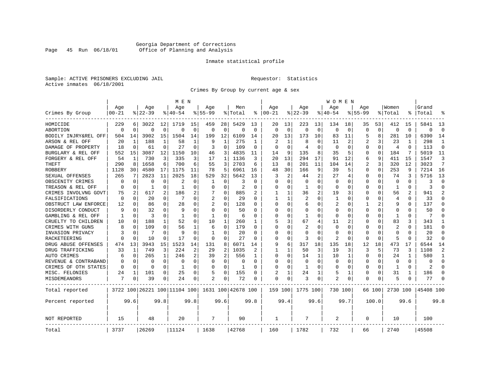### Georgia Department of Corrections<br>Page 45 Run 06/18/01 Office of Planning and Analysis Page 45 Run 06/18/01 Office of Planning and Analysis

#### Inmate statistical profile

Sample: ACTIVE PRISONERS EXCLUDING JAIL **Requestor:** Statistics Active inmates 06/18/2001

Crimes By Group by current age & sex

|                      |           |                |           |              | M E N                        |          |                |              |                    |          |          |          |                |             | W O M E N    |                |             |             |                |              |                |                |
|----------------------|-----------|----------------|-----------|--------------|------------------------------|----------|----------------|--------------|--------------------|----------|----------|----------|----------------|-------------|--------------|----------------|-------------|-------------|----------------|--------------|----------------|----------------|
|                      | Age       |                | Age       |              | Age                          |          | Aqe            |              | Men                |          | Age      |          | Age            |             | Aqe          |                | Aqe         |             | Women          |              | Grand          |                |
| Crimes By Group      | $00 - 21$ |                | $8 22-39$ |              | % 40-54                      |          | $8155 - 99$    |              | % Total            | နွ       | $ 00-21$ |          | $ 22-39$       |             | $ 40-54$     |                | $8155 - 99$ |             | % Total        |              | Total          |                |
| HOMICIDE             | 229       | 6              | 3022      | 12           | 1719                         | 15       | 459            | 28           | 5429               | 13       | 20       | 13       | 223            | 13          | 134          | 18             | 35          | 53          | 412            | 15           | 5841           | 13             |
| ABORTION             | $\Omega$  | $\Omega$       | $\Omega$  | 0            | $\Omega$                     | $\Omega$ | 0              | 0            | $\Omega$           | $\Omega$ | $\Omega$ | $\Omega$ | $\mathbf 0$    | $\mathbf 0$ | $\Omega$     | $\mathbf 0$    | $\Omega$    | $\mathbf 0$ | $\Omega$       | $\Omega$     | $\Omega$       | $\Omega$       |
| BODILY INJRY&REL OFF | 504       | 14             | 3902      | 15           | 1504                         | 14       | 199            | 12           | 6109               | 14       | 20       | 13       | 173            | 10          | 83           | 11             | 5           | 8           | 281            | 10           | 6390           | 14             |
| ARSON & REL OFF      | 20        | 1              | 188       | $\mathbf{1}$ | 58                           | 1        | 9              | $\mathbf{1}$ | 275                | -1       |          |          | 8              | O           | 11           | 2              | 2           | 3           | 23             | 1            | 298            | 1              |
| DAMAGE OF PROPERTY   | 18        | $\Omega$       | 61        | 0            | 27                           | $\Omega$ | 3              | $\Omega$     | 109                | $\Omega$ | ∩        | $\Omega$ | 4              | O           | ∩            | $\Omega$       | U           | 0           | $\overline{4}$ | <sup>0</sup> | 113            | $\Omega$       |
| BURGLARY & REL OFF   | 552       | 15             | 3087      | 12           | 1150                         | 10       | 46             | 3            | 4835               | 11       | 14       | 9        | 135            | 8           | 35           | 5              | 0           | $\Omega$    | 184            | 7            | 5019           | 11             |
| FORGERY & REL OFF    | 54        | 1              | 730       | 3            | 335                          | 3        | 17             | 1            | 1136               | 3        | 20       | 13       | 294            | 17          | 91           | 12             | 6           | 9           | 411            | 15           | 1547           | 3              |
| THEFT                | 290       | 8              | 1658      | 6            | 700                          | 6        | 55             | 3            | 2703               | 6        | 13       | 8        | 201            | 11          | 104          | 14             | 2           | 3           | 320            | 12           | 3023           | 7              |
| <b>ROBBERY</b>       | 1128      | 30             | 4580      | 17           | 1175                         | 11       | 78             | 5            | 6961               | 16       | 48       | 30       | 166            | 9           | 39           | 5              | 0           | $\Omega$    | 253            | 9            | 7214           | 16             |
| SEXUAL OFFENSES      | 265       | 7              | 2823      | 11           | 2025                         | 18       | 529            | 32           | 5642               | 13       | 3        | 2        | 44             | 2           | 27           | 4              | 0           | 0           | 74             | 3            | 5716           | 13             |
| OBSCENITY CRIMES     | O         | $\Omega$       | O         | 0            | 2                            | O        | -1             | $\Omega$     | 3                  | O        | $\Omega$ | $\Omega$ | $\Omega$       | $\Omega$    | <sup>0</sup> | $\Omega$       | U           | $\Omega$    | $\Omega$       | <sup>0</sup> | 3              | $\Omega$       |
| TREASON & REL OFF    | O         | 0              | -1        | 0            | -1                           | O        | O              | $\Omega$     | $\overline{2}$     | O        | O        | $\Omega$ | -1             | $\Omega$    | <sup>0</sup> | $\Omega$       | U           | 0           | -1             | 0            | २              | $\Omega$       |
| CRIMES INVOLVNG GOVT | 75        | $\overline{2}$ | 617       | 2            | 186                          | 2        |                | 0            | 885                |          |          |          | 36             | 2           | 19           | 3              | Ω           | O           | 56             |              | 941            | $\overline{2}$ |
| FALSIFICATIONS       | $\Omega$  | $\Omega$       | 20        | 0            | 7                            | 0        | $\overline{2}$ | 0            | 29                 | U        | 1        |          | 2              | O           | 1            | $\Omega$       | U           | 0           | $\overline{4}$ | 0            | 33             | $\Omega$       |
| OBSTRUCT LAW ENFORCE | 12        | 0              | 86        | 0            | 28                           | O        |                | 0            | 128                | U        | $\Omega$ | $\Omega$ | 6              | O           | 2            | $\Omega$       |             | 2           | q              | U            | 137            | $\Omega$       |
| DISORDERLY CONDUCT   | 9         | $\Omega$       | 32        | 0            | q                            | O        | U              | 0            | 50                 |          |          |          | $\Omega$       | N           |              | $\Omega$       | Ω           | U           | $\Omega$       |              | 50             | $\Omega$       |
| GAMBLING & REL OFF   | 1         | $\Omega$       | ζ         | 0            | -1                           | O        | $\mathbf{1}$   | $\Omega$     | 6                  | U        | $\Omega$ | $\Omega$ | $\mathbf{1}$   | $\Omega$    | <sup>0</sup> | $\Omega$       | U           | $\Omega$    | $\mathbf{1}$   | O            | 7              | $\Omega$       |
| CRUELTY TO CHILDREN  | 10        | $\Omega$       | 188       | 1            | 52                           | $\Omega$ | 10             | 1            | 260                | 1        | 5        | 3        | 67             | 4           | 11           | $\overline{c}$ | U           | $\Omega$    | 83             | 3            | 343            | 1              |
| CRIMES WITH GUNS     |           | $\Omega$       | 109       | $\Omega$     | 56                           | 1        | 6              | $\Omega$     | 179                | $\Omega$ | $\Omega$ | $\Omega$ | $\overline{2}$ | $\Omega$    | <sup>0</sup> | $\Omega$       | Ω           | $\Omega$    | $\overline{2}$ | $\Omega$     | 181            | $\Omega$       |
| INVASION PRIVACY     |           | 0              | 7         | 0            | q                            | $\Omega$ | -1             | $\Omega$     | 20                 | O        | $\Omega$ | $\Omega$ | $\Omega$       | O           | <sup>0</sup> | $\Omega$       | O           | 0           | $\Omega$       | <sup>0</sup> | 20             | $\Omega$       |
| RACKETEERING         |           | $\Omega$       | 10        | 0            | 17                           | O        | 0              | $\Omega$     | 27                 | O        | $\Omega$ | $\Omega$ | 3              | 0           | 2            | $\Omega$       | U           | 0           | 5              | O            | 32             | $\Omega$       |
| DRUG ABUSE OFFENSES  | 474       | 13             | 3943      | 15           | 1523                         | 14       | 131            | 8            | 6071               | 14       | 9        | 6        | 317            | 18          | 135          | 18             | 12          | 18          | 473            | 17           | 6544           | 14             |
| DRUG TRAFFICKING     | 33        | 1              | 749       | 3            | 224                          | 2        | 29             | 2            | 1035               |          | 1        |          | 50             | 3           | 19           | 3              | 3           | 5           | 73             | ζ            | 1108           | $\overline{2}$ |
| <b>AUTO CRIMES</b>   | 6         | 0              | 265       | 1            | 246                          | 2        | 39             | 2            | 556                | 1        | $\Omega$ | $\Omega$ | 14             | 1           | 10           | 1              | $\Omega$    | $\Omega$    | 24             | -1           | 580            | 1              |
| REVENUE & CONTRABAND |           | $\mathbf 0$    | $\Omega$  | 0            | $\Omega$                     | $\Omega$ | 0              | 0            | $\Omega$           | $\Omega$ | $\Omega$ | $\Omega$ | $\mathbf 0$    | 0           | 0            | $\Omega$       | 0           | 0           | $\Omega$       | $\Omega$     | $\Omega$       | $\Omega$       |
| CRIMES OF OTH STATES | $\Omega$  | $\Omega$       | 0         | $\Omega$     | 1                            | $\Omega$ | O              | $\Omega$     | 1                  | O        | $\Omega$ | $\Omega$ | -1             | 0           | <sup>0</sup> | $\Omega$       | 0           | 0           | -1             | $\Omega$     | $\mathfrak{D}$ | $\Omega$       |
| MISC. FELONIES       | 24        | 1              | 101       | 0            | 25                           | 0        | 5              | $\Omega$     | 155                | U        |          |          | 24             |             | 5            | 1              | 0           | 0           | 31             |              | 186            | $\Omega$       |
| MISDEMEANORS         | 7         | 0              | 39        | 0            | 24                           | 0        | 2              | 0            | 72                 | O        | $\Omega$ | 0        | 3              | 0           | 2            | 0              | 0           | 0           | 5              |              | 77             | ∩              |
| Total reported       |           |                |           |              | 3722 100 26221 100 11104 100 |          |                |              | 1631 100 42678 100 |          | 159 100  |          | 1775 100       |             | 730 100      |                |             | 66 100      | 2730 100       |              | 45408 100      |                |
| Percent reported     |           | 99.6           |           | 99.8         |                              | 99.8     |                | 99.6         |                    | 99.8     |          | 99.4     |                | 99.6        |              | 99.7           |             | 100.0       |                | 99.6         |                | 99.8           |
| NOT REPORTED         | 15        |                | 48        |              | 20                           |          | 7              |              | 90                 |          | 1        |          | 7              |             | 2            |                | 0           |             | 10             |              | 100            |                |
| Total                | 3737      |                | 26269     |              | 11124                        |          | 1638           |              | 42768              |          | 160      |          | 1782           |             | 732          |                | 66          |             | 2740           |              | 45508          |                |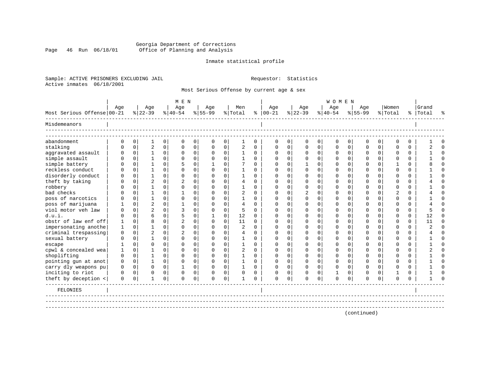### Georgia Department of Corrections<br>Page 46 Run 06/18/01 Office of Planning and Analysis Page 46 Run 06/18/01 Office of Planning and Analysis

#### Inmate statistical profile

Sample: ACTIVE PRISONERS EXCLUDING JAIL **Requestor:** Statistics Active inmates 06/18/2001

Most Serious Offense by current age & sex

|                            |          |             |                |             | M E N          |             |              |             |                |             |               |          |             |          | <b>WOMEN</b> |             |             |             |                |          |           |          |
|----------------------------|----------|-------------|----------------|-------------|----------------|-------------|--------------|-------------|----------------|-------------|---------------|----------|-------------|----------|--------------|-------------|-------------|-------------|----------------|----------|-----------|----------|
|                            | Age      |             | Age            |             | Age            |             | Age          |             | Men            |             | Age           |          | Age         |          | Age          |             | Age         |             | Women          |          | Grand     |          |
| Most Serious Offense 00-21 |          |             | $8 22-39$      |             | $ 40-54 $      |             | $ 55-99$     |             | % Total        |             | $8   00 - 21$ |          | $ 22-39 $   |          | $ 40-54 $    |             | $ 55-99$    |             | % Total        |          | %   Total | ዱ        |
| Misdemeanors               |          |             |                |             |                |             |              |             |                |             |               |          |             |          |              |             |             |             |                |          |           |          |
| abandonment                | 0        | $\mathbf 0$ | 1              | 0           | $\mathbf 0$    | 0           | 0            | 0           | 1              | $\mathbf 0$ | 0             | 0        | $\mathbf 0$ | 0        | $\mathsf 0$  | 0           | 0           | 0           | $\mathbf 0$    | 0        |           | $\Omega$ |
| stalking                   | $\Omega$ | 0           | $\overline{2}$ | 0           | $\mathbf 0$    | 0           | 0            | 0           | 2              | $\Omega$    | $\Omega$      | $\Omega$ | $\mathbf 0$ | 0        | $\Omega$     | $\mathbf 0$ | $\Omega$    | $\Omega$    | $\Omega$       | $\Omega$ |           | $\Omega$ |
| aggravated assault         | $\Omega$ | $\mathbf 0$ | $\mathbf{1}$   | $\mathbf 0$ | 0              | 0           | 0            | $\mathbf 0$ | $\mathbf{1}$   | 0           | $\Omega$      | 0        | 0           | 0        | $\Omega$     | $\mathbf 0$ | 0           | $\mathbf 0$ | $\mathbf 0$    | $\Omega$ |           | $\Omega$ |
| simple assault             | ∩        | $\mathbf 0$ | $\mathbf{1}$   | $\Omega$    | $\mathbf 0$    | 0           | 0            | $\mathbf 0$ | $\mathbf 1$    | $\Omega$    | $\Omega$      | $\Omega$ | 0           | 0        | $\Omega$     | 0           | 0           | $\Omega$    | $\Omega$       | $\Omega$ |           | $\Omega$ |
| simple battery             | U        | $\Omega$    | $\mathbf{1}$   | $\Omega$    | 5              | $\mathbf 0$ | $\mathbf{1}$ | $\mathbf 0$ | 7              | $\Omega$    | $\Omega$      | $\Omega$ | 1           | $\Omega$ | $\Omega$     | $\Omega$    | O           | $\Omega$    | 1              | $\Omega$ |           | $\Omega$ |
| reckless conduct           |          | 0           | $\mathbf{1}$   | $\Omega$    | $\Omega$       | $\mathbf 0$ | $\Omega$     | $\mathbf 0$ | 1              | $\Omega$    | $\Omega$      | $\Omega$ | $\Omega$    | $\Omega$ | $\Omega$     | $\Omega$    | O           | $\Omega$    | ∩              | $\Omega$ |           | $\Omega$ |
| disorderly conduct         |          | $\Omega$    | $\mathbf{1}$   | $\Omega$    | $\Omega$       | 0           | $\Omega$     | $\Omega$    | 1              | $\Omega$    | $\Omega$      | $\Omega$ | $\Omega$    | $\Omega$ | $\Omega$     | $\Omega$    | O           | $\Omega$    | ∩              | $\Omega$ |           | $\Omega$ |
| theft by taking            | U        | 0           | $\overline{2}$ | $\Omega$    | $\overline{c}$ | 0           | $\Omega$     | 0           | 4              | $\Omega$    | $\Omega$      | $\Omega$ | $\Omega$    | 0        | $\Omega$     | $\Omega$    | O           | $\Omega$    | ∩              | $\Omega$ |           | $\Omega$ |
| robbery                    |          | $\Omega$    | 1              | $\Omega$    | $\Omega$       | 0           | $\Omega$     | $\Omega$    | 1              | $\Omega$    | $\Omega$      | $\Omega$ | $\Omega$    | $\Omega$ | $\Omega$     | $\Omega$    | U           | $\Omega$    | ∩              | $\Omega$ |           | $\Omega$ |
| bad checks                 |          | 0           | 1              | $\Omega$    | 1              | 0           | $\Omega$     | 0           | 2              | $\Omega$    | $\Omega$      | 0        | 2           | $\Omega$ | O            | $\Omega$    | O           | $\Omega$    | $\overline{2}$ | $\Omega$ |           | $\Omega$ |
| poss of narcotics          | U        | $\Omega$    | 1              | $\Omega$    | $\Omega$       | 0           | $\Omega$     | $\Omega$    |                | $\Omega$    | $\Omega$      | 0        | $\Omega$    | $\Omega$ | $\Omega$     | $\Omega$    | O           | $\Omega$    | $\Omega$       | $\Omega$ |           | $\Omega$ |
| poss of marijuana          |          | 0           | $\overline{c}$ | $\Omega$    |                | $\mathbf 0$ | $\Omega$     | $\mathbf 0$ | $\overline{4}$ | $\Omega$    | $\Omega$      | $\Omega$ | $\Omega$    | $\Omega$ | O            | $\Omega$    | O           | $\Omega$    | $\Omega$       | $\Omega$ |           | $\Omega$ |
| viol motor yeh law         | ∩        | $\Omega$    | $\overline{c}$ | $\Omega$    | 3              | 0           | $\Omega$     | $\Omega$    | 5              | $\Omega$    | $\Omega$      |          | O           | $\Omega$ | $\Omega$     | $\Omega$    | U           | $\Omega$    | $\Omega$       | $\Omega$ |           | $\Omega$ |
| d.u.i                      | O        | $\Omega$    | 6              | $\Omega$    | 5              | $\mathbf 0$ | 1            | $\mathbf 0$ | 12             | $\Omega$    | $\Omega$      | O        | O           | $\Omega$ | O            | $\Omega$    | U           | $\Omega$    | $\Omega$       | $\Omega$ | 12        | $\Omega$ |
| obstr of law enf off       |          | 0           | 8              | $\Omega$    | $\overline{c}$ | $\mathbf 0$ | $\Omega$     | 0           | 11             | 0           | $\Omega$      |          | $\Omega$    | O        | $\Omega$     | 0           | U           | $\Omega$    | ∩              | $\Omega$ | 11        | $\Omega$ |
| impersonating anothe       | 1        | 0           |                | $\Omega$    | $\Omega$       | $\mathbf 0$ | $\Omega$     | $\mathbf 0$ | $\overline{2}$ | $\Omega$    | $\Omega$      |          | $\Omega$    | $\Omega$ | $\Omega$     | $\Omega$    | U           | $\Omega$    | $\Omega$       | $\Omega$ |           | $\Omega$ |
| criminal trespassing       | 0        | $\mathbf 0$ | $\overline{2}$ | $\Omega$    | $\overline{2}$ | $\mathbf 0$ | $\Omega$     | 0           | 4              | $\Omega$    | $\Omega$      |          | C           | 0        | $\Omega$     | $\Omega$    |             | $\Omega$    | ∩              | $\Omega$ |           | $\Omega$ |
| sexual battery             | $\Omega$ | $\Omega$    | 1              | $\Omega$    | $\Omega$       | $\Omega$    | $\Omega$     | $\Omega$    | 1              | $\Omega$    | $\Omega$      | U        | C           | $\Omega$ | $\Omega$     | $\Omega$    | U           | $\Omega$    | $\cap$         | $\Omega$ |           | $\Omega$ |
| escape                     |          | 0           | $\Omega$       | $\Omega$    | $\Omega$       | 0           | $\Omega$     | $\Omega$    |                | $\Omega$    | $\Omega$      |          | C           | 0        | $\Omega$     | 0           |             | $\Omega$    | ∩              | $\Omega$ |           | $\Omega$ |
| cpwl & concealed wea       |          | $\mathbf 0$ |                | $\Omega$    | $\Omega$       | 0           | $\Omega$     | $\Omega$    | 2              | $\Omega$    | $\Omega$      |          | C           | $\Omega$ | $\Omega$     | $\Omega$    |             | $\Omega$    | $\Omega$       | $\Omega$ |           | $\Omega$ |
| shoplifting                | $\Omega$ | $\mathbf 0$ |                | $\Omega$    | $\Omega$       | 0           | $\Omega$     | $\Omega$    |                | $\Omega$    | $\Omega$      |          | $\Omega$    | $\Omega$ | $\Omega$     | $\Omega$    | U           | $\Omega$    | ∩              | $\Omega$ |           | $\Omega$ |
| pointing gun at anot       | $\Omega$ | $\mathbf 0$ | $\mathbf{1}$   | $\Omega$    | $\Omega$       | $\mathbf 0$ | $\Omega$     | $\Omega$    | 1              | $\Omega$    | $\Omega$      | $\Omega$ | $\Omega$    | $\Omega$ | $\Omega$     | $\Omega$    | $\Omega$    | $\Omega$    | $\Omega$       | $\Omega$ |           | $\Omega$ |
| carry dly weapons pu       | $\Omega$ | $\mathbf 0$ | $\Omega$       | $\Omega$    | $\mathbf{1}$   | $\mathbf 0$ | $\Omega$     | $\Omega$    | 1              | $\Omega$    | $\Omega$      | $\Omega$ | $\Omega$    | $\Omega$ | $\Omega$     | $\Omega$    | O           | $\Omega$    | $\Omega$       | $\Omega$ |           | $\cap$   |
| inciting to riot           | $\Omega$ | $\mathbf 0$ | $\Omega$       | 0           | $\Omega$       | 0           | O            | $\mathbf 0$ | $\Omega$       | $\Omega$    | ∩             | O        | $\Omega$    | 0        |              | 0           | O           | $\Omega$    |                | $\Omega$ |           | $\cap$   |
| theft by deception <       | 0        | $\mathbf 0$ | 1              | 0           | $\Omega$       | 0           | $\Omega$     | 0           |                | $\Omega$    | $\Omega$      | 0        | ∩           | 0        | $\Omega$     | 0           | U           | 0           | $\Omega$       | $\Omega$ |           |          |
| FELONIES                   |          |             |                |             |                |             |              |             |                |             |               |          |             |          |              |             |             |             |                |          |           |          |
|                            |          |             |                |             |                |             |              |             |                |             |               |          |             |          |              |             |             |             |                |          |           |          |
|                            |          |             |                |             |                |             |              |             |                |             |               |          |             |          |              |             | (continued) |             |                |          |           |          |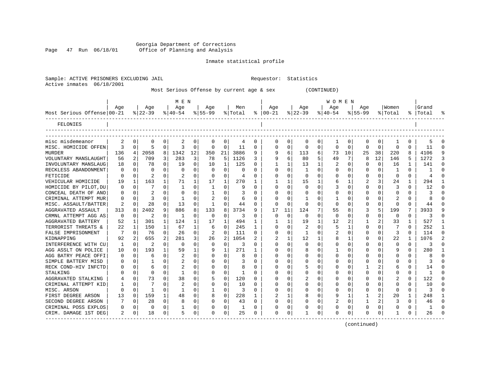Georgia Department of Corrections<br>Page 47 Run 06/18/01 office of Planning and Analysis Office of Planning and Analysis

Sample: ACTIVE PRISONERS EXCLUDING JAIL **Requestor:** Statistics

#### Inmate statistical profile

| Active inmates             | 06/18/2001  |              |                  |             |                 |              |                  |          | Most Serious Offense by current age & sex |              |                      |             |                  | (CONTINUED) |                 |             |                  |             |                  |              |                    |  |
|----------------------------|-------------|--------------|------------------|-------------|-----------------|--------------|------------------|----------|-------------------------------------------|--------------|----------------------|-------------|------------------|-------------|-----------------|-------------|------------------|-------------|------------------|--------------|--------------------|--|
|                            |             |              |                  |             | M E N           |              |                  |          |                                           |              |                      |             |                  |             | W O M E N       |             |                  |             |                  |              |                    |  |
| Most Serious Offense 00-21 | Aqe         |              | Aqe<br>$ 22-39 $ |             | Aqe<br>$ 40-54$ |              | Aqe<br>$ 55-99 $ |          | Men<br>% Total                            |              | Aqe<br>$8   00 - 21$ |             | Aqe<br>$ 22-39 $ |             | Age<br>$ 40-54$ |             | Aqe<br>$8 55-99$ |             | Women<br>% Total |              | Grand<br>%   Total |  |
| FELONIES                   |             |              |                  |             |                 |              |                  |          |                                           |              |                      |             |                  |             |                 |             |                  |             |                  |              |                    |  |
|                            |             |              |                  |             |                 |              |                  |          |                                           |              |                      |             |                  |             |                 |             |                  |             |                  |              |                    |  |
| misc misdemeanor           | 2           | 0            | 0                | $\mathbf 0$ | 2               | 0            | $\mathbf 0$      | 0        | 4                                         | 0            | 0                    | 0           | $\mathbf 0$      | $\mathbf 0$ | 1               | 0           | 0                | $\mathbf 0$ | 1                | 0            | 5                  |  |
| MISC. HOMICIDE OFFEN       | ζ           | $\Omega$     | 5                | $\mathbf 0$ | 3               | 0            | $\Omega$         | $\Omega$ | -11                                       | $\Omega$     | $\Omega$             | $\Omega$    | $\mathbf 0$      | 0           | $\Omega$        | $\Omega$    | $\mathbf 0$      | $\mathbf 0$ | $\Omega$         | $\Omega$     | 11                 |  |
| MURDER                     | 136         | 4            | 2058             | 8           | 1342            | 12           | 350              | 21       | 3886                                      | 9            | 9                    | 6           | 113              | 6           | 73              | 10          | 25               | 38          | 220              | 8            | 4106               |  |
| VOLUNTARY MANSLAUGHT       | 56          | 2            | 709              | 3           | 283             | 3            | 78               | 5        | 1126                                      | 3            | 9                    | 6           | 80               | 5           | 49              | 7           | 8                | 12          | 146              | 5            | 1272               |  |
| INVOLUNTARY MANSLAUG       | 18          | 0            | 78               | $\Omega$    | 19              | $\Omega$     | 10               | 1        | 125                                       | $\Omega$     | 1                    | 1           | 13               | 1           | 2               | 0           | $\Omega$         | $\mathbf 0$ | 16               | 1            | 141                |  |
| RECKLESS ABANDONMENT       | 0           | $\Omega$     | 0                | 0           | $\Omega$        | $\Omega$     | $\Omega$         | 0        | $\Omega$                                  | 0            | $\Omega$             | $\Omega$    | -1               | $\Omega$    | $\Omega$        | 0           | 0                | $\mathbf 0$ | 1                | 0            | -1                 |  |
| FETICIDE                   | 0           | $\mathbf 0$  | 2                | 0           | 2               | 0            | 0                | 0        | 4                                         | $\Omega$     | 0                    | 0           | 0                | 0           | 0               | 0           | 0                | 0           | $\mathbf 0$      | 0            | 4                  |  |
| VEHICULAR HOMICIDE         | 19          | 1            | 163              | 1           | 71              | $\mathbf{1}$ | 17               | 1        | 270                                       | 1            | 1                    | 1           | 15               | 1           | 6               | 1           | 2                | 3           | 24               | 1            | 294                |  |
| HOMICIDE BY PILOT, DU      | 0           | $\mathbf 0$  | 7                | $\Omega$    | 1               | $\Omega$     | 1                | $\Omega$ | 9                                         | $\Omega$     | $\Omega$             | $\Omega$    | $\Omega$         | $\mathbf 0$ | 3               | $\Omega$    | $\Omega$         | $\Omega$    | 3                | $\Omega$     | 12                 |  |
| CONCEAL DEATH OF ANO       | 0           | $\mathbf 0$  | $\overline{a}$   | $\mathbf 0$ | $\mathbf 0$     | $\Omega$     | $\mathbf{1}$     | 0        | 3                                         | $\Omega$     | $\Omega$             | $\Omega$    | $\mathbf 0$      | 0           | 0               | 0           | $\Omega$         | $\mathbf 0$ | $\Omega$         | $\Omega$     | 3                  |  |
| CRIMINAL ATTEMPT MUR       | 0           | 0            | 3                | $\mathbf 0$ | 1               | $\Omega$     | 2                | $\Omega$ | 6                                         | $\Omega$     | $\Omega$             | $\Omega$    | $\mathbf{1}$     | $\Omega$    | 1               | 0           | $\Omega$         | $\mathbf 0$ | 2                | $\Omega$     | 8                  |  |
| MISC. ASSAULT/BATTER       |             | $\Omega$     | 28               | 0           | 13              | $\Omega$     | $\mathbf{1}$     | $\Omega$ | 44                                        | 0            | $\Omega$             | $\Omega$    | $\Omega$         | $\Omega$    | $\Omega$        | $\Omega$    | $\Omega$         | $\Omega$    | $\Omega$         | $\Omega$     | 44                 |  |
| AGGRAVATED ASSAULT         | 313         | 8            | 2402             | 9           | 886             | 8            | 133              | 8        | 3734                                      | 9            | 17                   | 11          | 124              | 7           | 55              | 8           | 3                | 5           | 199              | 7            | 3933               |  |
| CRMNL ATTEMPT AGG AS       | $\mathbf 0$ | $\mathbf 0$  | 2                | 0           | 1               | 0            | 0                | 0        | 3                                         | 0            | 0                    | $\mathbf 0$ | 0                | $\mathbf 0$ | $\mathbf 0$     | $\mathbf 0$ | 0                | $\mathbf 0$ | 0                | 0            | 3                  |  |
| <b>AGGRAVATED BATTERY</b>  | 52          | 1            | 301              | 1           | 124             | 1            | 17               | 1        | 494                                       | 1            | 1                    | 1           | 19               | 1           | 12              | 2           | 1                | 2           | 33               | $\mathbf{1}$ | 527                |  |
| TERRORIST THREATS &        | 22          | $\mathbf{1}$ | 150              | 1           | 67              | 1            | 6                | $\Omega$ | 245                                       | $\mathbf{1}$ | $\Omega$             | $\Omega$    | $\overline{2}$   | $\Omega$    | 5               | 1           | $\Omega$         | $\Omega$    | 7                | $\Omega$     | 252                |  |
| FALSE IMPRISONMENT         |             | $\Omega$     | 76               | $\mathbf 0$ | 26              | 0            | $\overline{c}$   | $\Omega$ | 111                                       | $\Omega$     | $\Omega$             | $\Omega$    | 1                | 0           |                 | $\Omega$    | $\mathbf 0$      | $\mathbf 0$ | 3                | $\Omega$     | 114                |  |
| KIDNAPPING                 | 92          | 2            | 655              | 2           | 281             | 3            | 26               | 2        | 1054                                      | 2            | 2                    | 1           | 12               | 1           | 8               | 1           | 0                | $\mathbf 0$ | 22               | $\mathbf{1}$ | 1076               |  |
| INTERFERENCE WITH CU       | 1           | $\Omega$     | 2                | $\mathbf 0$ | 0               | $\Omega$     | $\Omega$         | $\Omega$ | 3                                         | $\Omega$     | $\Omega$             | $\Omega$    | $\mathbf 0$      | $\Omega$    | $\Omega$        | $\Omega$    | 0                | $\Omega$    | 0                | 0            | 3                  |  |
| AGG ASSLT ON POLICE        | 10          | $\mathbf 0$  | 193              | 1           | 59              | $\mathbf{1}$ | 9                | 1        | 271                                       | 1            | $\Omega$             | 0           | 8                | 0           | $\mathbf{1}$    | $\Omega$    | $\Omega$         | $\mathbf 0$ | 9                | $\Omega$     | 280                |  |
| AGG BATRY PEACE OFFI       | 0           | 0            | 6                | $\mathbf 0$ | 2               | $\Omega$     | $\mathbf 0$      | 0        | 8                                         | $\Omega$     | 0                    | 0           | $\mathbf 0$      | 0           | 0               | 0           | $\Omega$         | $\mathbf 0$ | $\Omega$         | $\Omega$     | 8                  |  |
| SIMPLE BATTERY MISD        | 0           | $\Omega$     |                  | 0           | 2               | 0            | $\Omega$         | $\Omega$ | 3                                         | O            | $\Omega$             | $\Omega$    | 0                | 0           | $\Omega$        | $\Omega$    | $\Omega$         | 0           | U                | 0            | 3                  |  |
| RECK COND-HIV INFCTD       | 0           | 0            | 6                | 0           | $\overline{c}$  | 0            | $\mathbf 0$      | 0        | 8                                         | 0            | $\Omega$             | 0           | 5                | 0           | 0               | 0           | 1                | 2           | 6                | 0            | 14                 |  |
| STALKING                   | 0           | $\mathbf 0$  | 0                | $\mathbf 0$ | 1               | $\Omega$     | $\Omega$         | 0        | 1                                         | $\Omega$     | $\Omega$             | 0           | $\mathbf 0$      | 0           | 0               | 0           | $\Omega$         | 0           | $\Omega$         | $\Omega$     | $\mathbf{1}$       |  |
| AGGRAVATED STALKING        | 4           | $\Omega$     | 73               | $\Omega$    | 38              | 0            | 5                | $\Omega$ | 120                                       | $\Omega$     | $\Omega$             | $\Omega$    |                  | $\Omega$    | 0               | $\Omega$    | O                | $\Omega$    |                  | $\Omega$     | 122                |  |
| CRIMINAL ATTEMPT KID       | 1           | $\Omega$     | 7                | $\Omega$    | 2               | $\Omega$     | $\mathbf 0$      | $\Omega$ | 10                                        | 0            | $\Omega$             | $\Omega$    | $\Omega$         | $\Omega$    | $\Omega$        | $\Omega$    | 0                | $\Omega$    | $\Omega$         | 0            | 10                 |  |
| MISC. ARSON                | $\Omega$    | 0            | 1                | 0           | 1               | 0            | $\mathbf{1}$     | $\Omega$ | 3                                         | $\Omega$     | 0                    | 0           | 0                | 0           | 0               | $\Omega$    | 0                | $\mathbf 0$ | $\Omega$         | 0            | 3                  |  |
| FIRST DEGREE ARSON         | 13          | $\Omega$     | 159              | 1           | 48              | 0            | 8                | 0        | 228                                       | 1            | 2                    | 1           | 8                | 0           | 9               | 1           | 1                | 2           | 20               | 1            | 248                |  |
| SECOND DEGREE ARSON        | 7           | $\Omega$     | 28               | $\Omega$    | 8               | $\Omega$     | $\Omega$         | $\Omega$ | 43                                        | $\Omega$     | $\Omega$             | $\Omega$    | $\Omega$         | 0           | 2               | $\Omega$    | 1                | 2           | 3                | $\Omega$     | 46                 |  |
| CRIMINAL POSS EXPLOS       | 0           | $\mathbf 0$  | $\Omega$         | $\mathbf 0$ | $\mathbf{1}$    | $\Omega$     | $\Omega$         | 0        | $\mathbf{1}$                              | $\Omega$     | $\Omega$             | 0           | $\mathbf 0$      | $\mathbf 0$ | 0               | $\mathbf 0$ | $\Omega$         | $\mathbf 0$ | $\Omega$         | $\Omega$     | $\mathbf{1}$       |  |
| CRIM. DAMAGE 1ST DEG       | 2           | 0            | 18               | 0           | 5               | 0            | $\Omega$         | 0        | 25                                        | 0            | $\Omega$             | 0           | $\mathbf{1}$     | 0           | $\Omega$        | 0           | $\Omega$         | $\mathbf 0$ | 1                | 0            | 26                 |  |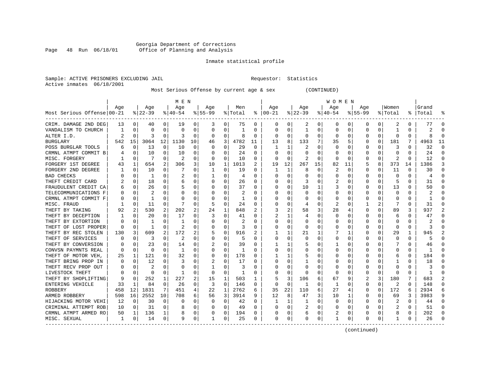#### Georgia Department of Corrections<br>Page 48 Run 06/18/01 office of Planning and Analysis Page 48 Run 06/18/01 Office of Planning and Analysis

#### Inmate statistical profile

Sample: ACTIVE PRISONERS EXCLUDING JAIL **Requestor:** Statistics Active inmates 06/18/2001

Most Serious Offense by current age & sex (CONTINUED)

|                            |     |             |          |          | M E N        |          |           |             |         |              |            |          |          |    | W O M E N    |          |             |          |          |          |           |          |
|----------------------------|-----|-------------|----------|----------|--------------|----------|-----------|-------------|---------|--------------|------------|----------|----------|----|--------------|----------|-------------|----------|----------|----------|-----------|----------|
|                            | Age |             | Age      |          | Age          |          | Age       |             | Men     |              | Age        |          | Age      |    | Age          |          | Aqe         |          | Women    |          | Grand     |          |
| Most Serious Offense 00-21 |     |             | $ 22-39$ |          | $8 40-54$    |          | $8 55-99$ |             | % Total | ៖            | $ 00 - 21$ |          | $ 22-39$ |    | $ 40-54$     |          | $8155 - 99$ |          | % Total  |          | %   Total |          |
| CRIM. DAMAGE 2ND DEG       | 13  | 0           | 40       | 0        | 19           | 0        | 3         | 0           | 75      | 0            |            | 0        | 2        | 0  | 0            | 0        | 0           | 0        | 2        | $\Omega$ | 77        |          |
| VANDALISM TO CHURCH        |     | $\Omega$    | U        | 0        | $\Omega$     | 0        | 0         | $\Omega$    | 1       | $\Omega$     | $\Omega$   | O        | -1       | 0  | Ω            | $\Omega$ | U           | U        | -1       | $\Omega$ |           |          |
| ALTER I.D.                 | 2   | $\Omega$    | ٦        | 0        | 3            | 0        | O         | 0           | 8       | $\Omega$     | $\Omega$   | O        | U        | U  | <sup>0</sup> | 0        | U           | $\Omega$ | $\Omega$ | $\Omega$ |           |          |
| <b>BURGLARY</b>            | 542 | 15          | 3064     | 12       | 1130         | 10       | 46        | 3           | 4782    | 11           | 13         | 8        | 133      | 7  | 35           | 5        | 0           | $\Omega$ | 181      | 7        | 4963      | 11       |
| POSS BURGLAR TOOLS         |     | 0           | 13       | 0        | 10           | 0        | U         | $\mathbf 0$ | 29      | 0            |            |          | 2        | U  |              | $\Omega$ |             | U        | 3        | $\Omega$ | 32        | $\Omega$ |
| CRMNL ATMPT COMMIT B       |     | $\Omega$    | 10       | U        | 10           | 0        |           | 0           | 24      | $\Omega$     |            | U        |          | U  |              | $\Omega$ | C           | U        | C        | $\Omega$ | 24        | $\Omega$ |
| MISC. FORGERY              |     | $\Omega$    | 7        | 0        | 2            | 0        | $\Omega$  | 0           | 10      | $\Omega$     | ∩          | $\Omega$ |          | U  | ∩            | $\Omega$ | U           | U        | 2        | $\Omega$ | 12        | $\Omega$ |
| FORGERY 1ST DEGREE         |     | 1           | 654      | 2        | 306          | 3        | 10        | 1           | 1013    | 2            | 19         | 12       | 267      | 15 | 82           | 11       | 5           | 8        | 373      | 14       | 1386      | 3        |
| FORGERY 2ND DEGREE         |     | $\Omega$    | 10       | 0        |              | 0        | -1        | 0           | 19      | $\Omega$     | -1         | 1        | 8        | 0  | 2            | $\Omega$ | 0           | 0        | 11       | $\Omega$ | 30        | ∩        |
| BAD CHECKS                 |     | $\Omega$    |          | 0        | 2            | 0        |           | 0           | 4       |              |            |          | C        | U  |              | 0        |             | 0        | $\Omega$ |          |           |          |
| THEFT CREDIT CARD          |     | $\Omega$    | 18       | U        | 6            | 0        |           | 0           | 26      | $\Omega$     |            |          | 3        |    |              |          | U           | U        |          | U        | 31        |          |
| FRAUDULENT CREDIT CA       |     | $\Omega$    | 26       | U        |              | 0        |           | 0           | 37      | $\Omega$     |            | O        | 10       |    |              | O        | U           | 0        | 13       | 0        | 50        |          |
| TELECOMMUNICATIONS F       |     | $\Omega$    |          | U        |              | 0        |           | O           | 2       | <sup>0</sup> |            |          | $\Omega$ | U  |              | O        |             | U        | -C       | O        |           |          |
| CRMNL ATMPT COMMIT F       |     | $\Omega$    | 1        | 0        | O            | 0        |           | 0           | 1       | O            |            |          |          | U  |              | $\Omega$ |             | U        | -C       | O        |           |          |
| MISC. FRAUD                |     | $\Omega$    | 11       | $\Omega$ |              | 0        | 5         | 0           | 24      | $\Omega$     |            |          |          | U  |              | $\Omega$ |             | 2        |          | $\Omega$ | 31        |          |
| THEFT BY TAKING            | 92  | 2           | 530      | 2        | 202          | 2        | 24        | 1           | 848     |              |            | 2        | 58       | 3  | 28           | 4        | U           | U        | 89       | 3        | 937       |          |
| THEFT BY DECEPTION         |     | $\Omega$    | 20       | 0        | 17           | 0        | 3         | 0           | 41      | 0            |            |          |          | U  | O            | 0        | O           | O        | 6        | 0        | 47        | ∩        |
| THEFT BY EXTORTION         |     | O           |          | U        |              | U        |           | 0           | 2       | O            |            | O        | O        | U  |              | $\Omega$ |             | U        | 0        | O        |           |          |
| THEFT OF LOST PROPER       |     | $\Omega$    |          | 0        | 2            | 0        |           | 0           | З       |              |            |          | 0        |    |              | 0        |             | 0        | -0       |          |           |          |
| THEFT BY REC STOLEN        | 130 | 3           | 609      |          | 172          | 2        | 5         | 0           | 916     |              |            |          | 21       |    |              | 1        |             |          | 29       | 1        | 945       |          |
| THEFT OF SERVICES          |     | $\Omega$    | 3        | U        |              | 0        |           | 0           |         | $\Omega$     | O          |          | $\Omega$ | U  |              | O        |             | U        | $\Omega$ | $\Omega$ |           |          |
| THEFT BY CONVERSION        |     | $\Omega$    | 23       | U        | 14           | 0        |           | O           | 39      | <sup>0</sup> |            |          |          | U  |              | $\Omega$ |             | U        | 7        | $\Omega$ | 46        |          |
| CONVSN PAYMNTS REAL        |     | $\Omega$    | U        | U        | -1           | $\Omega$ | U         | 0           | 1       | 0            |            | O        |          |    |              | $\Omega$ |             | 0        | $\Omega$ | 0        |           |          |
| THEFT OF MOTOR VEH,        | 25  | 1           | 121      | 0        | 32           | 0        |           | 0           | 178     | $\Omega$     |            |          |          |    |              | 0        |             | O        | 6        | $\Omega$ | 184       |          |
| THEFT BRING PROP IN        |     | $\Omega$    | 12       | U        | 3            | 0        |           | $\Omega$    | 17      | $\Omega$     |            |          |          |    |              | $\Omega$ |             |          |          | $\Omega$ | 18        |          |
| THEFT RECV PROP OUT        |     | $\Omega$    | 2        | U        | 0            | 0        |           | 0           | 3       | 0            |            |          | O        | U  |              | 0        | O           | U        | -0       | 0        |           | ∩        |
| LIVESTOCK THEFT            |     | $\Omega$    | U        | 0        | -1           | 0        | O         | 0           | 1       | 0            |            | O        | $\left($ | U  | O            | 0        | 0           | 0        | 0        | O        |           |          |
| THEFT BY SHOPLIFTING       |     | 0           | 252      | 1        | 227          | 2        | 15        | 1           | 503     | 1            |            | 3        | 106      | 6  | 67           | 9        | 2           | 3        | 180      | 7        | 683       |          |
| ENTERING VEHICLE           | 33  | 1           | 84       | 0        | 26           | 0        | 3         | $\Omega$    | 146     | $\Omega$     | $\Omega$   | $\Omega$ | -1       | U  | 1            |          | 0           | $\Omega$ | 2        | U        | 148       |          |
| <b>ROBBERY</b>             | 458 | 12          | 1831     | 7        | 451          | 4        | 22        | 1           | 2762    | 6            | 35         | 22       | 110      | 6  | 27           |          | 0           | $\Omega$ | 172      | 6        | 2934      |          |
| ARMED ROBBERY              | 598 | 16          | 2552     | 10       | 708          | 6        | 56        | 3           | 3914    | 9            | 12         | 8        | 47       | 3  | 10           | 1        | 0           | 0        | 69       | 3        | 3983      |          |
| HIJACKING MOTOR VEHI       | 12  | 0           | 30       | 0        | <sup>0</sup> | 0        | O         | 0           | 42      | $\Omega$     |            |          |          | 0  |              | $\Omega$ | U           | 0        | 2        | 0        | 44        |          |
| CRIMINAL ATTEMPT ROB       | 10  | $\mathbf 0$ | 31       | 0        |              | 0        |           | 0           | 49      | $\Omega$     |            | $\Omega$ | 2        | U  |              | 0        |             | U        | 2        | 0        | 51        |          |
| CRMNL ATMPT ARMED RO       | 50  | 1           | 136      | 1        | 8            | 0        |           | 0           | 194     | $\Omega$     |            | 0        | 6        | 0  |              | 0        | U           | 0        | 8        | 0        | 202       |          |
| MISC. SEXUAL<br>---------- | 1   | 0           | 14       | 0        | q            | 0        | -1        | 0           | 25      | 0            | $\Omega$   | 0        | U        | 0  |              | 0        | O           | 0        | -1       | 0        | 26        |          |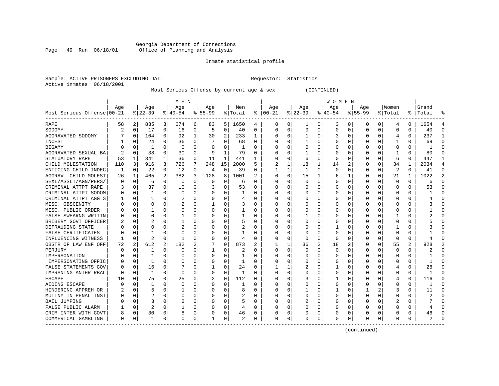#### Georgia Department of Corrections Page 49 Run 06/18/01 Office of Planning and Analysis

# Inmate statistical profile

| Sample: ACTIVE PRISONERS EXCLUDING JAIL | Requestor: Statistics |  |
|-----------------------------------------|-----------------------|--|
| Active inmates 06/18/2001               |                       |  |

# Most Serious Offense by current age & sex (CONTINUED)

|                            |          |          |                |   | M E N       |          |              |              |         |          |          |          |          |   | W O M E N    |             |             |          |             |          |           |                |
|----------------------------|----------|----------|----------------|---|-------------|----------|--------------|--------------|---------|----------|----------|----------|----------|---|--------------|-------------|-------------|----------|-------------|----------|-----------|----------------|
|                            | Age      |          | Age            |   | Age         |          | Age          |              | Men     |          | Age      |          | Age      |   | Age          |             | Age         |          | Women       |          | Grand     |                |
| Most Serious Offense 00-21 |          |          | $ 22-39$       |   | $8 40-54$   |          | $8 55-99$    |              | % Total | ႜ        | $ 00-21$ |          | $ 22-39$ |   | $ 40-54$     |             | $8155 - 99$ |          | % Total     |          | %   Total |                |
| RAPE                       | 58       | 2        | 835            | 3 | 674         | 6        | 83           | 5            | 1650    | 4        | 0        | 0        | 1        | 0 | 3            | 0           | 0           | 0        | 4           | 0        | 1654      |                |
| SODOMY                     |          | 0        | 17             | 0 | 16          | 0        | 5            | 0            | 40      | $\Omega$ | $\Omega$ | O        | $\Omega$ | 0 | U            | $\mathbf 0$ | $\Omega$    | 0        | 0           | 0        | 40        | $\cap$         |
| AGGRAVATED SODOMY          |          | $\Omega$ | 104            | 0 | 92          | 1        | 30           | 2            | 233     | 1        |          | O        |          | 0 |              | $\Omega$    | U           | 0        | 4           | $\Omega$ | 237       | -1             |
| INCEST                     |          | $\Omega$ | 24             | 0 | 36          | $\Omega$ |              | $\Omega$     | 68      | $\Omega$ |          | 0        | -1       | 0 |              | $\Omega$    | U           | $\Omega$ | -1          | $\Omega$ | 69        | ∩              |
| BIGAMY                     |          | $\Omega$ | 1              | 0 | $\mathbf 0$ | 0        | O            | 0            | 1       | 0        |          | 0        |          | U |              | 0           | 0           | 0        | $\mathbf 0$ | 0        |           | $\Omega$       |
| AGGRAVATED SEXUAL BA       |          | 0        | 38             | 0 | 30          | 0        | 9            | $\mathbf{1}$ | 79      | $\Omega$ |          | O        |          | U |              | $\mathbf 0$ | 0           | 0        | -1          | $\Omega$ | 80        | $\cap$         |
| STATUATORY RAPE            | 53       | 1        | 341            | 1 | 36          | 0        | 11           | 1            | 441     | 1        |          | 0        | 6        | 0 | <sup>0</sup> | 0           | 0           | 0        | 6           | $\Omega$ | 447       | -1             |
| CHILD MOLESTATION          | 110      | 3        | 916            | 3 | 726         | 7        | 248          | 15           | 2000    | 5        |          | 1        | 18       | 1 | 14           | 2           | 0           | 0        | 34          | 1        | 2034      | $\overline{4}$ |
| ENTICING CHILD-INDEC       | 1        | 0        | 22             | 0 | 12          | 0        | 4            | 0            | 39      | $\Omega$ |          |          | -1       | 0 | <sup>0</sup> | $\Omega$    | 0           | 0        | 2           | $\Omega$ | 41        | $\Omega$       |
| AGGRAV. CHILD MOLEST       | 26       | 1        | 465            | 2 | 382         | 3        | 128          | 8            | 1001    | 2        |          | 0        | 15       | 1 |              | 1           | C           | 0        | 21          |          | 1022      | $\overline{2}$ |
| SEXL/ASSLT/AGN/PERS/       |          | $\Omega$ | 6              | 0 | $\Omega$    | 0        | U            | 0            | 6       | ∩        |          |          | U        | U |              | $\Omega$    | U           | U        | $\Omega$    | $\Omega$ | Б         |                |
| CRIMINAL ATTPT RAPE        |          | $\Omega$ | 37             | 0 | 10          | 0        |              | 0            | 53      | $\Omega$ |          | U        | U        | U |              | $\Omega$    | U           | 0        | $\Omega$    | $\Omega$ | 53        | ∩              |
| CRIMINAL ATTPT SODOM       |          | $\Omega$ | 1              | 0 | 0           | 0        |              | 0            | 1       | 0        |          | 0        | O        | U |              | 0           | U           | $\Omega$ | 0           | 0        |           |                |
| CRIMINAL ATTPT AGG S       |          | 0        |                | 0 | 2           | 0        |              | 0            | 4       | $\Omega$ |          | $\Omega$ |          | 0 |              | $\mathbf 0$ |             | 0        | 0           | $\Omega$ |           |                |
| MISC. OBSCENITY            |          | $\Omega$ | 0              | U | 2           | 0        | 1            | 0            | 3       | $\Omega$ |          | O        |          | U |              | 0           | U           | 0        | $\Omega$    | 0        |           | $\Omega$       |
| MISC. PUBLIC ORDER         |          | $\Omega$ |                | 0 | 0           | 0        |              | $\Omega$     |         | $\Omega$ |          | O        |          | 0 |              | $\Omega$    | 0           | 0        | $\Omega$    | $\Omega$ |           | $\cap$         |
| FALSE SWEARNG WRITTN       |          | $\Omega$ | 0              | U |             | 0        | U            | 0            | 1       | $\Omega$ |          | O        |          | 0 |              | 0           | 0           | 0        |             | 0        |           | $\cap$         |
| BRIBERY GOVT OFFICER       |          | $\Omega$ | 2              | U |             | 0        | U            | 0            | 5       | $\Omega$ |          |          | 0        | 0 |              | 0           | 0           | 0        | 0           | 0        |           |                |
| DEFRAUDING STATE           |          | $\Omega$ | 0              |   |             | 0        |              | 0            | 2       | $\Omega$ |          |          | 0        | 0 |              | $\Omega$    | U           | U        |             | O        |           |                |
| FALSE CERTIFICATES         |          | ∩        |                | U | $\Omega$    | 0        | U            | 0            | 1       | $\Omega$ |          | U        | O        | U | Ω            | $\Omega$    | U           | U        | $\Omega$    | 0        |           |                |
| INFLUENCING WITNESS        |          | $\Omega$ | $\overline{2}$ | 0 | -1          | 0        | U            | $\mathbf 0$  | 4       | 0        |          | 0        | 0        | 0 | <sup>0</sup> | 0           | 0           | $\Omega$ | $\mathbf 0$ | 0        |           |                |
| OBSTR OF LAW ENF OFF       | 72       | 2        | 612            | 2 | 182         | 2        |              | 0            | 873     | 2        |          |          | 36       | 2 | 18           | 2           | 0           | 0        | 55          | 2        | 928       | 2              |
| PERJURY                    |          | $\Omega$ |                | 0 | $\Omega$    | 0        | 1            | 0            | 2       | $\Omega$ |          | $\Omega$ | 0        | 0 |              | $\mathbf 0$ | 0           | 0        | $\mathbf 0$ | 0        |           |                |
| IMPERSONATION              |          | $\Omega$ |                | U | 0           | 0        | 0            | 0            |         | $\Omega$ |          | O        | 0        | 0 |              | $\Omega$    | 0           | 0        | 0           | $\Omega$ |           | $\cap$         |
| IMPERSONATING OFFIC        |          | $\Omega$ | 1              | U | $\Omega$    | 0        | U            | $\Omega$     | 1       | $\Omega$ |          | O        | Ω        | U |              | $\Omega$    | 0           | 0        | $\Omega$    | $\Omega$ |           | ∩              |
| FALSE STATEMENTS GOV       |          | $\Omega$ | 16             | 0 | 7           | 0        | 1            | 0            | 24      | $\Omega$ |          |          |          | 0 |              | 0           | 0           | 0        | 4           | 0        | 28        | ∩              |
| IMPRSNTNG ANTHR RBAL       |          | 0        | 1              | 0 | $\Omega$    | 0        | 0            | 0            |         | $\Omega$ |          | U        | 0        | U |              | 0           | C           | U        | O           | 0        |           |                |
| <b>ESCAPE</b>              |          | $\Omega$ | 75             | O | 25          | $\Omega$ |              | 0            | 112     | $\Omega$ |          |          |          | U |              | $\mathbf 0$ | $\Omega$    | O        | 4           | $\Omega$ | 116       |                |
| AIDING ESCAPE              |          | ∩        | 1              | U | $\Omega$    | 0        | 0            | $\Omega$     |         | $\Omega$ |          | O        | 0        | 0 | Ω            | $\Omega$    | U           | U        | $\Omega$    | 0        |           |                |
| HINDERING APPREH OR        |          | $\Omega$ | 5              | 0 |             | 0        | 0            | $\Omega$     | 8       | $\Omega$ |          | 0        |          | 0 |              | $\Omega$    |             |          | 3           | 0        | 11        | ∩              |
| MUTINY IN PENAL INST       |          | $\Omega$ | 2              | 0 | $\Omega$    | 0        | 0            | $\Omega$     | 2       | $\Omega$ |          | 0        | 0        | 0 |              | $\Omega$    | 0           | 0        | 0           | 0        |           |                |
| <b>BAIL JUMPING</b>        |          | $\Omega$ | 3              | 0 | 2           | 0        |              | 0            | 5       | $\Omega$ |          | 0        |          | 0 |              | 0           | 0           | 0        | 2           | 0        |           | $\cap$         |
| FALSE PUBLIC ALARM         |          | $\Omega$ | 2              | 0 |             | 0        |              | 0            | 4       | $\Omega$ |          | $\Omega$ |          | O |              | $\mathbf 0$ | $\Omega$    | 0        | $\cap$      | $\Omega$ |           |                |
| CRIM INTER WITH GOVT       |          | 0        | 30             | 0 | 8           | 0        | U            | 0            | 46      | 0        |          | 0        |          | 0 | Ω            | 0           | U           | 0        | $\Omega$    | 0        | 46        |                |
| COMMERICAL GAMBLING        | $\Omega$ | 0        | 1              | 0 | $\Omega$    | 0        | $\mathbf{1}$ | 0            | 2       | 0        | $\Omega$ | 0        | U        | 0 | Ω            | 0           | $\Omega$    | 0        | $\Omega$    | 0        |           |                |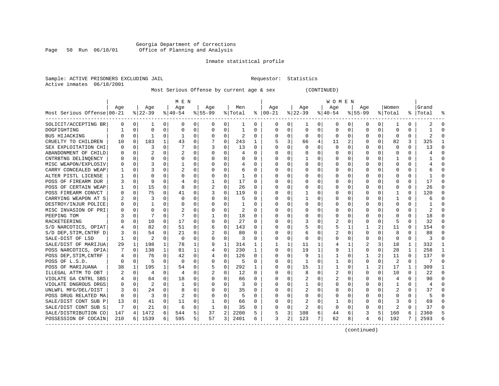### Georgia Department of Corrections<br>Page 50 Run 06/18/01 Office of Planning and Analysis Page 50 Run 06/18/01 Office of Planning and Analysis

#### Inmate statistical profile

|                           | Sample: ACTIVE PRISONERS EXCLUDING JAIL | Requestor: Statistics |  |
|---------------------------|-----------------------------------------|-----------------------|--|
| Active inmates 06/18/2001 |                                         |                       |  |

Most Serious Offense by current age & sex (CONTINUED)

|                            |              |             |           |              | M E N          |          |           |              |              |          |               |                |              |                | <b>WOMEN</b> |             |             |          |                         |          |                |          |
|----------------------------|--------------|-------------|-----------|--------------|----------------|----------|-----------|--------------|--------------|----------|---------------|----------------|--------------|----------------|--------------|-------------|-------------|----------|-------------------------|----------|----------------|----------|
|                            | Age          |             | Age       |              | Age            |          | Aqe       |              | Men          |          | Aqe           |                | Age          |                | Aqe          |             | Aqe         |          | Women                   |          | Grand          |          |
| Most Serious Offense 00-21 |              |             | $8 22-39$ |              | $ 40-54$       |          | $8 55-99$ |              | % Total      |          | $8   00 - 21$ |                | $ 22-39 $    |                | $ 40-54 $    |             | $8155 - 99$ |          | % Total                 |          | %   Total      | ႜ        |
| SOLICIT/ACCEPTING BR       | 0            | 0           | 1         | 0            | 0              | 0        | 0         | 0            | ı            | 0        | 0             | 0              | -1           | 0              | 0            | 0           | 0           | 0        | 1                       | 0        | 2              | n        |
| DOGFIGHTING                |              | $\Omega$    | $\Omega$  | $\Omega$     | $\Omega$       | 0        | $\Omega$  | 0            | 1            | U        | $\mathbf 0$   | 0              | $\Omega$     | $\mathbf 0$    | 0            | 0           | $\Omega$    | $\Omega$ | $\mathbf 0$             | $\Omega$ |                | $\Omega$ |
| BUS HIJACKING              | O            | $\Omega$    | -1        | 0            | -1             | $\Omega$ | $\Omega$  | $\Omega$     | 2            | 0        | $\Omega$      | 0              | $\Omega$     | $\Omega$       | 0            | 0           | O           | $\Omega$ | $\Omega$                | $\Omega$ | $\mathcal{P}$  |          |
| CRUELTY TO CHILDREN        | 10           | $\Omega$    | 183       | $\mathbf{1}$ | 43             | 0        |           | $\Omega$     | 243          | 1        | 5             | 3              | 66           | $\overline{4}$ | 11           | 2           | 0           | $\Omega$ | 82                      | 3        | 325            |          |
| SEX EXPLOITATION CHI       | <sup>0</sup> | $\mathbf 0$ | 3         | $\Omega$     |                | 0        | 3         | $\Omega$     | 13           | 0        | $\Omega$      | $\Omega$       | $\Omega$     | $\mathbf 0$    | $\Omega$     | 0           | $\Omega$    | $\Omega$ | $\Omega$                | $\Omega$ | 13             | $\Omega$ |
| ABANDONMENT OF CHILD       | O            | $\mathbf 0$ |           | $\Omega$     | 2              | 0        |           | 0            | 4            | O        | O             | 0              | $\Omega$     | 0              |              | $\mathbf 0$ | $\Omega$    | $\Omega$ | $\mathbf 0$             | $\Omega$ |                | $\Omega$ |
| CNTRBTNG DELINOENCY        | U            | $\Omega$    | 0         | 0            | $\Omega$       | 0        | $\Omega$  | 0            | 0            | 0        | $\cap$        | $\Omega$       | -1           | 0              | U            | $\Omega$    | 0           | 0        | -1                      | $\Omega$ |                | $\cap$   |
| MISC WEAPON/EXPLOSIV       | U            | $\Omega$    | 3         | 0            | -1             | U        | $\Omega$  | $\Omega$     | 4            | 0        | C             | $\Omega$       | $\Omega$     | $\Omega$       | $\Omega$     | $\Omega$    | O           | $\Omega$ | <sup>0</sup>            | $\Omega$ |                | ∩        |
| CARRY CONCEALED WEAP       |              | 0           | 3         | 0            |                | 0        | $\Omega$  | 0            | 6            | 0        | $\Omega$      | $\Omega$       | $\Omega$     | $\Omega$       | $\Omega$     | 0           | 0           | 0        | 0                       | 0        |                | ∩        |
| ALTER PISTL LICENSE        |              | 0           | 0         |              | 0              | 0        | $\Omega$  | 0            |              | 0        |               | 0              |              | 0              | $\Omega$     | 0           | 0           | O        | O                       | N        |                |          |
| POSS OF FIREARM DUR        | 3            | 0           |           | U            | 4              | 0        |           | $\Omega$     | 17           | 0        | C             | $\Omega$       | $\Omega$     | 0              | O            | 0           | O           | U        | $\Omega$                | 0        | 17             | $\cap$   |
| POSS OF CERTAIN WEAP       |              | 0           | 15        | 0            | 8              | 0        |           | 0            | 26           | 0        | $\Omega$      | 0              | O            | 0              | 0            | 0           | O           | 0        | $\Omega$                | 0        | 26             | ∩        |
| POSS FIREARM CONVCT        | 0            | $\mathbf 0$ | 75        | $\Omega$     | 41             | 0        | 3         | 0            | 119          | 0        | $\Omega$      | $\Omega$       | -1           | 0              | O            | 0           | O           | $\Omega$ | 1                       | $\Omega$ | 120            | ∩        |
| CARRYING WEAPON AT S       |              | 0           | 3         | $\Omega$     | $\Omega$       | 0        |           | 0            | 5            | U        | O             | $\mathbf 0$    | $\mathbf{1}$ | $\Omega$       |              | $\mathbf 0$ | 0           | 0        | $\mathbf{1}$            | 0        | 6              |          |
| DESTROY/INJUR POLICE       | U            | $\Omega$    | 1         | $\Omega$     | $\Omega$       | O        | $\Omega$  | $\Omega$     | $\mathbf{1}$ | U        | $\cap$        | $\Omega$       | $\Omega$     | $\Omega$       | $\Omega$     | $\mathbf 0$ | O           | $\Omega$ | $\Omega$                | $\Omega$ |                | $\cap$   |
| MISC INVASION OF PRI       | O            | 0           | O         | 0            | 2              | 0        | $\Omega$  | 0            | 2            | 0        | C             | 0              | $\Omega$     | 0              | $\Omega$     | 0           | O           | 0        | <sup>0</sup>            | $\Omega$ | 2              | $\cap$   |
| PEEPING TOM                |              | $\Omega$    |           | 0            |                | 0        |           | 0            | 18           | 0        | C             | 0              | 0            | $\Omega$       | 0            | 0           | O           | 0        | <sup>0</sup>            | 0        | 18             | ∩        |
| RACKETEERING               | O            | 0           | 10        | 0            | 17             | 0        | $\Omega$  | 0            | 27           | 0        | C             | 0              |              | 0              | 2            | 0           | O           | 0        | 5                       |          | 32             |          |
| S/D NARCOTICS, OPIAT       |              | $\Omega$    | 82        | 0            | 51             | 0        | 6         | $\Omega$     | 143          | 0        | C             | $\Omega$       | 5            | 0              | 5            | 1           |             |          | 11                      | 0        | 154            |          |
| S/D DEP, STIM, CNTRF D     |              | $\Omega$    | 54        | 0            | 21             | $\Omega$ | 2         | $\Omega$     | 80           | 0        | $\Omega$      | $\Omega$       | 6            | 0              |              | $\Omega$    | 0           | 0        | 8                       | 0        | 88             |          |
| SALE-DIST OF LSD           | 1            | $\Omega$    | 2         | $\Omega$     | 0              | 0        | $\Omega$  | 0            | 3            | 0        | $\Omega$      | $\mathbf 0$    | $\Omega$     | $\Omega$       | O            | 0           | 0           | $\Omega$ | $\Omega$                | $\Omega$ | 3              |          |
| SALE/DIST OF MARIJUA       | 29           | 1           | 198       | 1            | 78             | 1        | 9         | $\mathbf{1}$ | 314          | 1        |               | 1              | 11           | 1              |              | 1           | 2           | 3        | 18                      | 1        | 332            |          |
| POSS NARCOTICS, OPIA       |              | $\mathbf 0$ | 138       | 1            | 81             | 1        |           | 0            | 230          | 1        | O             | 0              | 19           | $\mathbf{1}$   | 9            | 1           | 0           | 0        | 28                      | 1        | 258            | -1       |
| POSS DEP, STIM, CNTRF      |              | 0           | 76        | $\Omega$     | 42             | 0        |           | 0            | 126          | 0        | $\Omega$      | 0              | 9            | $\mathbf{1}$   | 1            | 0           | 1           | 2        | 11                      | $\Omega$ | 137            | $\Omega$ |
| POSS OF L.S.D.             | O            | 0           | 5         | 0            | 0              | 0        | $\Omega$  | 0            | 5            | 0        | $\Omega$      | 0              | 1            | 0              | 1            | 0           | 0           | $\Omega$ | 2                       | 0        | 7              | $\Omega$ |
| POSS OF MARIJUANA          | 38           | 1           | 195       |              | 54             | 0        | 5         | 0            | 292          | 1        | C             | 0              | 15           | 1              |              | 0           | 1           | 2        | 17                      | 1        | 309            | -1       |
| ILLEGAL ATTM TO OBT        |              | $\Omega$    | 4         | 0            | $\overline{4}$ | O        |           | $\Omega$     | 12           | $\Omega$ | C             | $\Omega$       | 8            | $\Omega$       | 2            | $\Omega$    | $\Omega$    | $\Omega$ | 10                      | $\Omega$ | 22             | $\cap$   |
| VIOLATE GA CNTRL SBS       | 4            | $\Omega$    | 64        | 0            | 18             | 0        | $\Omega$  | O            | 86           | 0        | $\Omega$      | $\Omega$       |              | O              |              | $\Omega$    | O           | U        | 4                       | 0        | 90             | ∩        |
| VIOLATE DNGROUS DRGS       | O            | $\Omega$    | 2         | 0            | -1             | 0        | O         | $\Omega$     | 3            | 0        | $\Omega$      | $\Omega$       | -1           | 0              | $\Omega$     | $\Omega$    | O           | 0        | 1                       | 0        | $\overline{4}$ | ∩        |
| UNLWFL MFG/DEL/DIST        | 3            | $\Omega$    | 24        | $\Omega$     | 8              | O        | O         | $\Omega$     | 35           | 0        | C             | $\Omega$       | 2            | 0              | $\Omega$     | 0           | $\Omega$    | $\Omega$ | $\overline{\mathbf{c}}$ | $\Omega$ | 37             |          |
| POSS DRUG RELATED MA       | 0            | $\Omega$    | 3         | 0            | 2              | 0        |           | $\Omega$     | 5            | 0        | O             | 0              | $\Omega$     | 0              | $\Omega$     | 0           | 0           | 0        | 0                       | 0        |                |          |
| SALE/DIST CONT SUB P       | 13           | 0           | 41        | 0            | 11             | 0        | 1         | 0            | 66           | 0        | $\Omega$      | $\Omega$       | 2            | $\Omega$       | 1            | $\Omega$    | 0           | $\Omega$ | 3                       | $\Omega$ | 69             | ∩        |
| SALE/DIST CONT SUB S       | 7            | $\Omega$    | 21        | 0            | 6              | $\Omega$ | 1         | $\Omega$     | 35           | 0        | $\Omega$      | 0              | 2            | $\Omega$       | $\Omega$     | $\Omega$    | 0           | $\Omega$ | 2                       | $\Omega$ | 37             | ∩        |
| SALE/DISTRIBUTION CO       | 147          | 4           | 1472      | 6            | 544            | 5        | 37        | 2            | 2200         | 5.       | 5             | 3              | 108          | 6              | 44           | 6           | 3           | 5        | 160                     | 6        | 2360           |          |
| POSSESSION OF COCAIN       | 210          | 6 I         | 1539      | 6            | 595            | 5        | 57        | 3            | 2401         | 6        | 3             | $\overline{a}$ | 123          | 7              | 62           | 8           | 4           | 6        | 192                     | 7        | 2593           |          |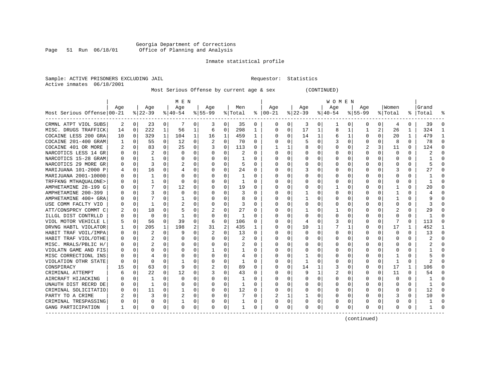#### Georgia Department of Corrections Page 51 Run 06/18/01 Office of Planning and Analysis

# Inmate statistical profile

| Sample: ACTIVE PRISONERS EXCLUDING JAIL | Requestor: Statistics |  |
|-----------------------------------------|-----------------------|--|
| Active inmates 06/18/2001               |                       |  |

Most Serious Offense by current age & sex (CONTINUED)

|                            |     |          |          |              | M E N     |          |           |          |                |              |               |          |          |   | W O M E N |                |           |                |          |          |           |          |
|----------------------------|-----|----------|----------|--------------|-----------|----------|-----------|----------|----------------|--------------|---------------|----------|----------|---|-----------|----------------|-----------|----------------|----------|----------|-----------|----------|
|                            | Aqe |          | Age      |              | Aqe       |          | Age       |          | Men            |              | Age           |          | Aqe      |   | Aqe       |                | Aqe       |                | Women    |          | Grand     |          |
| Most Serious Offense 00-21 |     |          | $ 22-39$ |              | $ 40-54 $ |          | $8 55-99$ |          | % Total        |              | $8   00 - 21$ |          | $ 22-39$ |   | $ 40-54$  |                | $8 55-99$ |                | % Total  |          | %   Total |          |
| CRMNL ATPT VIOL SUBS       | 2   | 0        | 23       | 0            | -7        | 0        | 3         | 0        | 35             | 0            | $\Omega$      | 0        | 3        | 0 |           | 0              | $\Omega$  | $\Omega$       | 4        | 0        | 39        | $\Omega$ |
| MISC. DRUGS TRAFFICK       | 14  | 0        | 222      | 1            | 56        | 1        | 6         | 0        | 298            | 1            | n             | $\Omega$ | 17       | 1 | 8         | 1              | 1         | $\overline{a}$ | 26       | 1        | 324       |          |
| COCAINE LESS 200 GRA       | 10  | $\Omega$ | 329      | $\mathbf{1}$ | 104       | 1        | 16        | 1        | 459            | $\mathbf{1}$ |               | $\Omega$ | 14       | 1 |           | 1              | U         | $\Omega$       | 20       | 1        | 479       |          |
| COCAINE 201-400 GRAM       |     | $\Omega$ | 55       | $\Omega$     | 12        | 0        |           | $\Omega$ | 70             | $\Omega$     | O             | $\Omega$ | 5        | 0 |           | $\Omega$       | $\Omega$  | $\Omega$       | 8        | $\Omega$ | 78        | $\Omega$ |
| COCAINE 401 OR MORE        |     | $\Omega$ | 83       | 0            | 25        | $\Omega$ |           | 0        | 113            | 0            |               |          |          | 0 |           | $\Omega$       |           | 3              | 11       | $\Omega$ | 124       |          |
| NARCOTICS LESS 14 GR       |     | $\Omega$ | 2        | 0            | $\Omega$  | $\Omega$ |           | $\Omega$ | 2              | $\Omega$     |               | 0        |          | 0 |           | $\Omega$       | $\Omega$  | 0              | $\Omega$ | $\Omega$ |           |          |
| NARCOTICS 15-28 GRAM       |     | $\Omega$ |          | 0            | $\Omega$  | 0        |           | $\Omega$ |                | 0            |               | $\Omega$ |          | U |           | $\Omega$       | O         | 0              | $\Omega$ | $\Omega$ |           |          |
| NARCOTICS 29 MORE GR       |     | $\Omega$ | 3        | 0            | 2         | $\Omega$ |           | $\Omega$ | 5              | $\Omega$     |               | $\Omega$ | O        | U |           | $\Omega$       | O         | 0              | 0        | $\Omega$ |           |          |
| MARIJUANA 101-2000 P       |     | 0        | 16       | 0            | 4         | 0        | O         | 0        | 24             | $\Omega$     |               | 0        | 3        | U |           | 0              | U         | 0              | 3        | 0        | 27        |          |
| MARIJUANA 2001-10000       |     | $\Omega$ |          | 0            | O         | $\Omega$ |           | 0        | 1              | 0            |               | $\Omega$ |          | U |           | 0              | O         | 0              | $\Omega$ | 0        |           |          |
| TRFFKNG MTHAOUALONE>       |     | 0        |          | 0            | $\Omega$  | 0        |           | 0        | 1              | $\Omega$     |               | $\Omega$ | 0        | U |           | 0              | 0         | 0              | 0        | 0        |           |          |
| AMPHETAMINE 28-199 G       |     | $\Omega$ |          | 0            | 12        | 0        |           | 0        | 19             | $\Omega$     |               | $\Omega$ | 0        | U |           | 0              | O         | 0              |          | 0        | 20        |          |
| AMPHETAMINE 200-399        |     | $\Omega$ | 3        | U            | $\Omega$  | 0        |           | 0        | 3              | $\Omega$     |               | 0        |          | 0 |           | 0              | 0         | 0              |          | 0        |           |          |
| AMPHETAMINE 400+ GRA       |     | $\Omega$ |          | 0            |           | 0        |           | 0        | 8              | $\Omega$     |               | $\Omega$ |          | U |           | 0              | U         | 0              |          | $\Omega$ |           |          |
| USE COMM FACLTY VIO        |     | 0        | 1        | 0            |           | 0        |           | 0        | 3              | $\Omega$     |               | 0        | 0        | 0 |           | 0              | U         | 0              | $\Omega$ | $\Omega$ |           |          |
| ATT/CONSPRCY COMMT C       |     | 0        | 18       | 0            |           | 0        |           | 0        | 27             | 0            |               | 0        |          | 0 |           | 0              | 0         | 0              | 2        | $\Omega$ | 29        |          |
| ILLGL DIST CONTRLLD        |     | $\Omega$ | $\Omega$ | 0            |           | 0        | U         | 0        | 1              | $\Omega$     |               | $\Omega$ | 0        | O |           | 0              | U         | 0              | O        | $\Omega$ |           | $\Omega$ |
| VIOL MOTOR VEHICLE L       |     | 0        | 56       | 0            | 39        | 0        | 6         | 0        | 106            | $\Omega$     |               | 0        | 4        | 0 |           | 0              | 0         | 0              |          | $\Omega$ | 113       | ∩        |
| DRVNG HABTL VIOLATOR       |     | $\Omega$ | 205      | 1            | 198       | 2        | 31        | 2        | 435            | 1            |               | $\Omega$ | 10       | 1 |           | 1              | U         | 0              | 17       | 1        | 452       | -1       |
| HABIT TRAF VOIL/IMPA       |     | $\Omega$ | 2        | 0            |           | 0        |           | 0        | 13             | $\Omega$     |               | 0        | U        | U | Λ         | 0              | U         | 0              | $\Omega$ | $\Omega$ | 13        | ∩        |
| HABIT TRAF VIOL/OTHE       |     | $\Omega$ | 2        | 0            | O         | 0        | U         | $\Omega$ | $\overline{2}$ | $\Omega$     |               | 0        |          | U |           | $\Omega$       | U         | 0              | $\Omega$ | $\Omega$ |           | $\cap$   |
| MISC. MRALS/PBLIC H/       |     | $\Omega$ | 2        | $\Omega$     | $\Omega$  | 0        | U         | $\Omega$ | 2              | $\Omega$     |               | $\Omega$ |          | 0 |           | $\Omega$       | U         | 0              | $\Omega$ | $\Omega$ |           | $\Omega$ |
| VIOLATN GAME AND FIS       |     | $\Omega$ | U        | 0            | $\Omega$  | 0        | -1        | 0        |                | 0            |               | 0        |          | U |           | $\Omega$       | O         | 0              | $\Omega$ | $\Omega$ |           | ∩        |
| MISC CORRECTIONL INS       |     | $\Omega$ |          | 0            | $\Omega$  | 0        |           | $\Omega$ | 4              | $\Omega$     | $\Omega$      | 0        |          | 0 |           | $\Omega$       | U         | 0              |          | $\Omega$ |           | $\cap$   |
| VIOLATION OTHR STATE       |     | 0        | 0        | 0            |           | 0        | U         | 0        | 1              | $\Omega$     | n             | 0        | -1       | U |           | 0              | O         | $\Omega$       | -1       | $\Omega$ |           | ∩        |
| CONSPIRACY                 |     | $\Omega$ | 63       | 0            | q         | 0        |           | 0        | 89             | $\Omega$     | $\Omega$      | 0        | 14       | 1 |           | 0              | 0         | $\Omega$       | 17       | 1        | 106       | $\cap$   |
| CRIMINAL ATTEMPT           |     | 0        | 22       | 0            | 12        | 0        |           | 0        | 43             | $\Omega$     | ∩             | 0        | 9        | 1 |           | 0              | O         | $\Omega$       | 11       | 0        | 54        | ∩        |
| AIRCRAFT HIJACKING         |     | 0        | -1       | 0            | $\Omega$  | 0        | U         | 0        | 1              | $\Omega$     | n             | 0        | O        | U | Ω         | $\Omega$       | O         | $\Omega$       | $\Omega$ | $\Omega$ |           | ∩        |
| UNAUTH DIST RECRD DE       |     | $\Omega$ | -1       | $\Omega$     | $\Omega$  | 0        | U         | $\Omega$ | 1              | $\Omega$     | $\Omega$      | $\Omega$ | 0        | 0 |           | $\Omega$       | 0         | $\Omega$       | 0        | $\Omega$ |           | $\Omega$ |
| CRIMINAL SOLICITATIO       |     | 0        | 11       | 0            |           | 0        | O         | 0        | 12             | 0            | $\Omega$      | 0        | O        | U |           | 0              | O         | $\Omega$       | O        | 0        | 12        | ∩        |
| PARTY TO A CRIME           |     | $\Omega$ | 3        | 0            |           | 0        | U         | 0        |                | $\Omega$     |               |          |          | 0 |           | $\Omega$       | 0         | $\Omega$       | 3        | 0        | 10        | ∩        |
| CRIMINAL TRESPASSING       |     | 0        | 0        | 0            |           | 0        | U         | 0        |                | 0            | O             | 0        | 0        | 0 |           | 0              | O         | 0              | 0        | 0        |           | ∩        |
| GANG PARTICIPATION         | 1   | 0        | U        | 0            | $\Omega$  | 0        | $\Omega$  | 0        | ı              | 0            | $\Omega$      | 0        | O        | 0 | $\Omega$  | 0 <sup>1</sup> | O         | 0              | 0        | 0        |           | ∩        |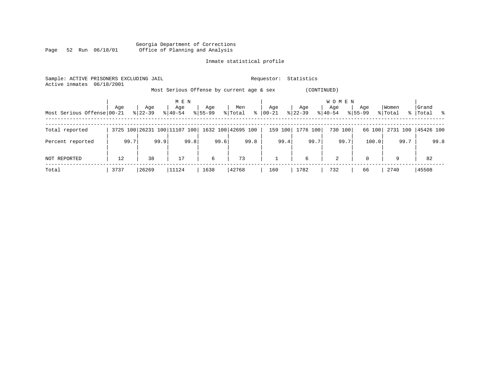|      |  |                 | Georgia Department of Corrections |                                 |  |  |
|------|--|-----------------|-----------------------------------|---------------------------------|--|--|
| Page |  | 52 Run 06/18/01 |                                   | Office of Planning and Analysis |  |  |

| Sample: ACTIVE PRISONERS EXCLUDING JAIL<br>06/18/2001<br>Active inmates |      |           | Requestor:                   | Statistics  |                                           |              |             |                     |             |          |             |
|-------------------------------------------------------------------------|------|-----------|------------------------------|-------------|-------------------------------------------|--------------|-------------|---------------------|-------------|----------|-------------|
|                                                                         |      |           |                              |             | Most Serious Offense by current age & sex |              | (CONTINUED) |                     |             |          |             |
|                                                                         | Age  | Age       | M E N<br>Age                 | Age         | Men                                       | Age          | Age         | <b>WOMEN</b><br>Age | Age         | Women    | Grand       |
| Most Serious Offense 00-21                                              |      | $8 22-39$ | $8140 - 54$                  | $8155 - 99$ | $\frac{8}{6}$<br>% Total                  | 00-21        | $ 22-39 $   | $8 40-54$           | $8155 - 99$ | % Total  | %   Total % |
| Total reported                                                          |      |           | 3725 100 26231 100 11107 100 |             | 1632 100 42695 100                        | 159 100      | 1776 100    | 730 100             | 66 100      | 2731 100 | 45426 100   |
| Percent reported                                                        | 99.7 | 99.9      | 99.8                         | 99.6        | 99.8                                      | 99.4         | 99.7        | 99.7                | 100.0       | 99.7     | 99.8        |
| NOT REPORTED                                                            | 12   | 38        | 17                           | 6           | 73                                        | $\mathbf{1}$ | 6           | $\overline{a}$      | $\Omega$    | 9        | 82          |
| Total                                                                   | 3737 | 26269     | 11124                        | 1638        | 42768                                     | 160          | 1782        | 732                 | 66          | 2740     | 45508       |